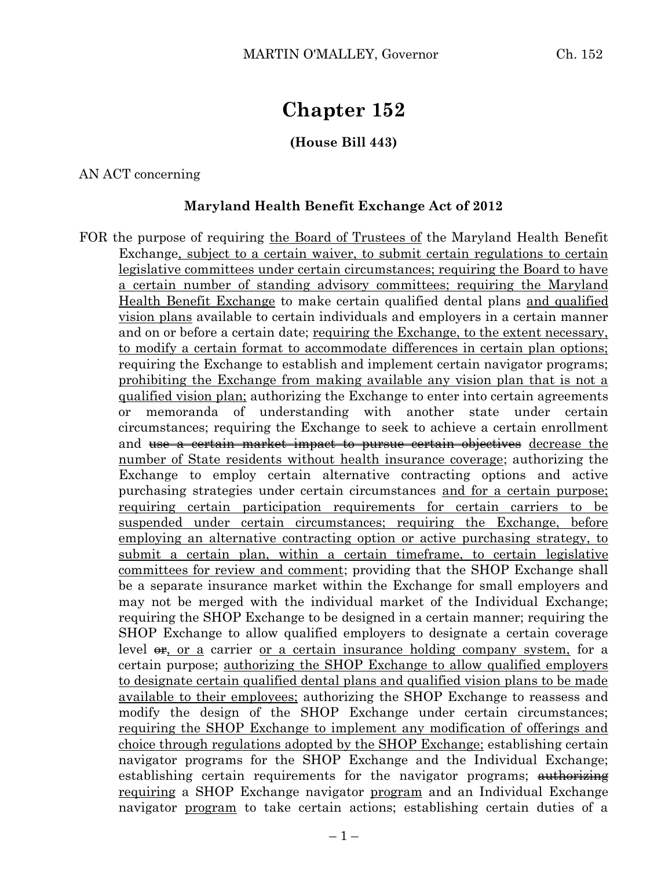# **Chapter 152**

## **(House Bill 443)**

#### AN ACT concerning

#### **Maryland Health Benefit Exchange Act of 2012**

FOR the purpose of requiring the Board of Trustees of the Maryland Health Benefit Exchange, subject to a certain waiver, to submit certain regulations to certain legislative committees under certain circumstances; requiring the Board to have a certain number of standing advisory committees; requiring the Maryland Health Benefit Exchange to make certain qualified dental plans and qualified vision plans available to certain individuals and employers in a certain manner and on or before a certain date; requiring the Exchange, to the extent necessary, to modify a certain format to accommodate differences in certain plan options; requiring the Exchange to establish and implement certain navigator programs; prohibiting the Exchange from making available any vision plan that is not a qualified vision plan; authorizing the Exchange to enter into certain agreements or memoranda of understanding with another state under certain circumstances; requiring the Exchange to seek to achieve a certain enrollment and <del>use a certain market impact to pursue certain objectives</del> decrease the number of State residents without health insurance coverage; authorizing the Exchange to employ certain alternative contracting options and active purchasing strategies under certain circumstances and for a certain purpose; requiring certain participation requirements for certain carriers to be suspended under certain circumstances; requiring the Exchange, before employing an alternative contracting option or active purchasing strategy, to submit a certain plan, within a certain timeframe, to certain legislative committees for review and comment; providing that the SHOP Exchange shall be a separate insurance market within the Exchange for small employers and may not be merged with the individual market of the Individual Exchange; requiring the SHOP Exchange to be designed in a certain manner; requiring the SHOP Exchange to allow qualified employers to designate a certain coverage level  $\theta$ , or a carrier or a certain insurance holding company system, for a certain purpose; authorizing the SHOP Exchange to allow qualified employers to designate certain qualified dental plans and qualified vision plans to be made available to their employees; authorizing the SHOP Exchange to reassess and modify the design of the SHOP Exchange under certain circumstances; requiring the SHOP Exchange to implement any modification of offerings and choice through regulations adopted by the SHOP Exchange; establishing certain navigator programs for the SHOP Exchange and the Individual Exchange; establishing certain requirements for the navigator programs; authorizing requiring a SHOP Exchange navigator program and an Individual Exchange navigator program to take certain actions; establishing certain duties of a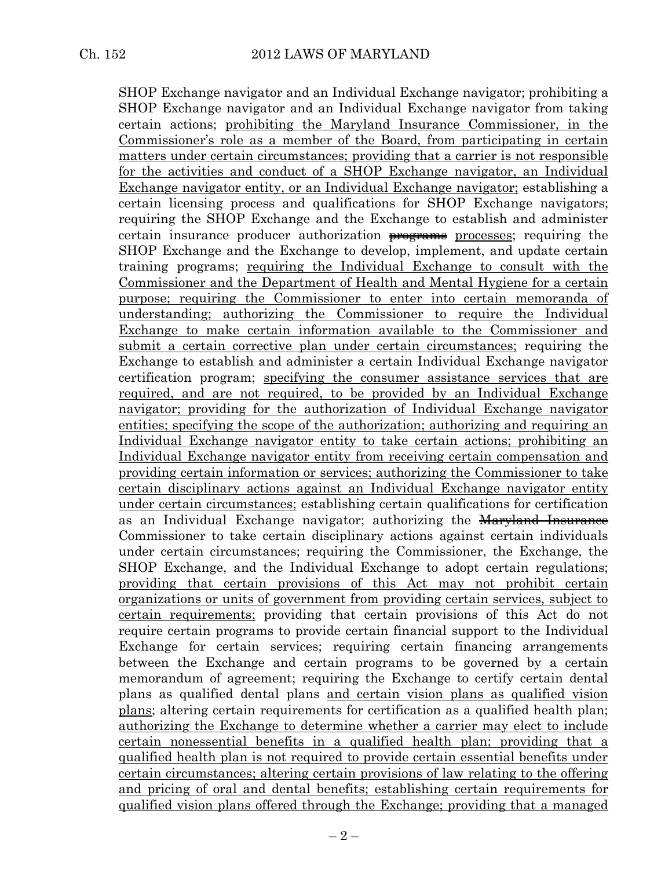SHOP Exchange navigator and an Individual Exchange navigator; prohibiting a SHOP Exchange navigator and an Individual Exchange navigator from taking certain actions; prohibiting the Maryland Insurance Commissioner, in the Commissioner's role as a member of the Board, from participating in certain matters under certain circumstances; providing that a carrier is not responsible for the activities and conduct of a SHOP Exchange navigator, an Individual Exchange navigator entity, or an Individual Exchange navigator; establishing a certain licensing process and qualifications for SHOP Exchange navigators; requiring the SHOP Exchange and the Exchange to establish and administer certain insurance producer authorization programs processes; requiring the SHOP Exchange and the Exchange to develop, implement, and update certain training programs; requiring the Individual Exchange to consult with the Commissioner and the Department of Health and Mental Hygiene for a certain purpose; requiring the Commissioner to enter into certain memoranda of understanding; authorizing the Commissioner to require the Individual Exchange to make certain information available to the Commissioner and submit a certain corrective plan under certain circumstances; requiring the Exchange to establish and administer a certain Individual Exchange navigator certification program; specifying the consumer assistance services that are required, and are not required, to be provided by an Individual Exchange navigator; providing for the authorization of Individual Exchange navigator entities; specifying the scope of the authorization; authorizing and requiring an Individual Exchange navigator entity to take certain actions; prohibiting an Individual Exchange navigator entity from receiving certain compensation and providing certain information or services; authorizing the Commissioner to take certain disciplinary actions against an Individual Exchange navigator entity under certain circumstances; establishing certain qualifications for certification as an Individual Exchange navigator; authorizing the <del>Maryland Insurance</del> Commissioner to take certain disciplinary actions against certain individuals under certain circumstances; requiring the Commissioner, the Exchange, the SHOP Exchange, and the Individual Exchange to adopt certain regulations; providing that certain provisions of this Act may not prohibit certain organizations or units of government from providing certain services, subject to certain requirements; providing that certain provisions of this Act do not require certain programs to provide certain financial support to the Individual Exchange for certain services; requiring certain financing arrangements between the Exchange and certain programs to be governed by a certain memorandum of agreement; requiring the Exchange to certify certain dental plans as qualified dental plans and certain vision plans as qualified vision plans; altering certain requirements for certification as a qualified health plan; authorizing the Exchange to determine whether a carrier may elect to include certain nonessential benefits in a qualified health plan; providing that a qualified health plan is not required to provide certain essential benefits under certain circumstances; altering certain provisions of law relating to the offering and pricing of oral and dental benefits; establishing certain requirements for qualified vision plans offered through the Exchange; providing that a managed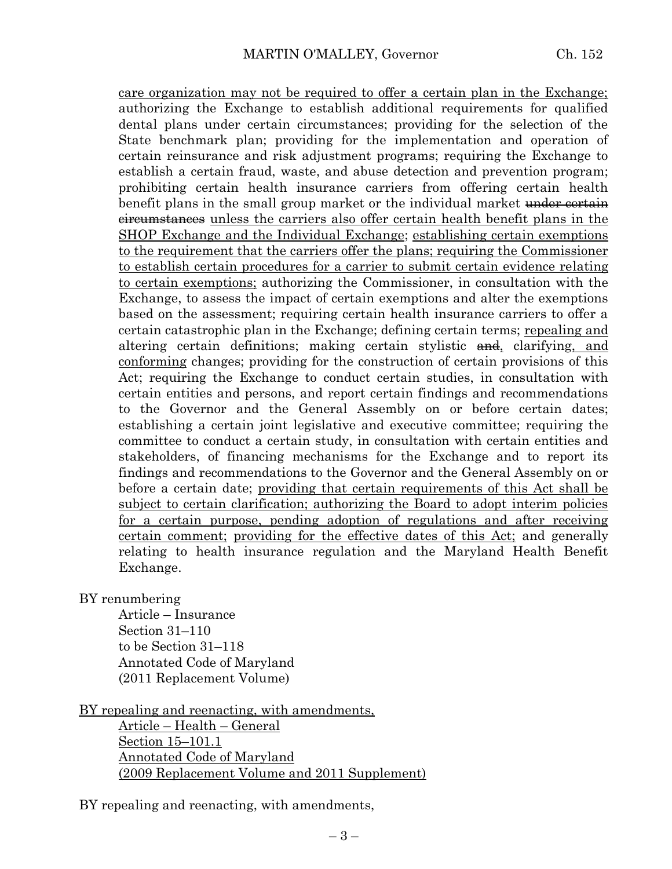care organization may not be required to offer a certain plan in the Exchange; authorizing the Exchange to establish additional requirements for qualified dental plans under certain circumstances; providing for the selection of the State benchmark plan; providing for the implementation and operation of certain reinsurance and risk adjustment programs; requiring the Exchange to establish a certain fraud, waste, and abuse detection and prevention program; prohibiting certain health insurance carriers from offering certain health benefit plans in the small group market or the individual market under certain eircumstances unless the carriers also offer certain health benefit plans in the SHOP Exchange and the Individual Exchange; establishing certain exemptions to the requirement that the carriers offer the plans; requiring the Commissioner to establish certain procedures for a carrier to submit certain evidence relating to certain exemptions; authorizing the Commissioner, in consultation with the Exchange, to assess the impact of certain exemptions and alter the exemptions based on the assessment; requiring certain health insurance carriers to offer a certain catastrophic plan in the Exchange; defining certain terms; repealing and altering certain definitions; making certain stylistic  $\theta$ , clarifying, and conforming changes; providing for the construction of certain provisions of this Act; requiring the Exchange to conduct certain studies, in consultation with certain entities and persons, and report certain findings and recommendations to the Governor and the General Assembly on or before certain dates; establishing a certain joint legislative and executive committee; requiring the committee to conduct a certain study, in consultation with certain entities and stakeholders, of financing mechanisms for the Exchange and to report its findings and recommendations to the Governor and the General Assembly on or before a certain date; providing that certain requirements of this Act shall be subject to certain clarification; authorizing the Board to adopt interim policies for a certain purpose, pending adoption of regulations and after receiving certain comment; providing for the effective dates of this Act; and generally relating to health insurance regulation and the Maryland Health Benefit Exchange.

BY renumbering

Article – Insurance Section 31–110 to be Section 31–118 Annotated Code of Maryland (2011 Replacement Volume)

BY repealing and reenacting, with amendments,

Article – Health – General Section 15–101.1 Annotated Code of Maryland (2009 Replacement Volume and 2011 Supplement)

BY repealing and reenacting, with amendments,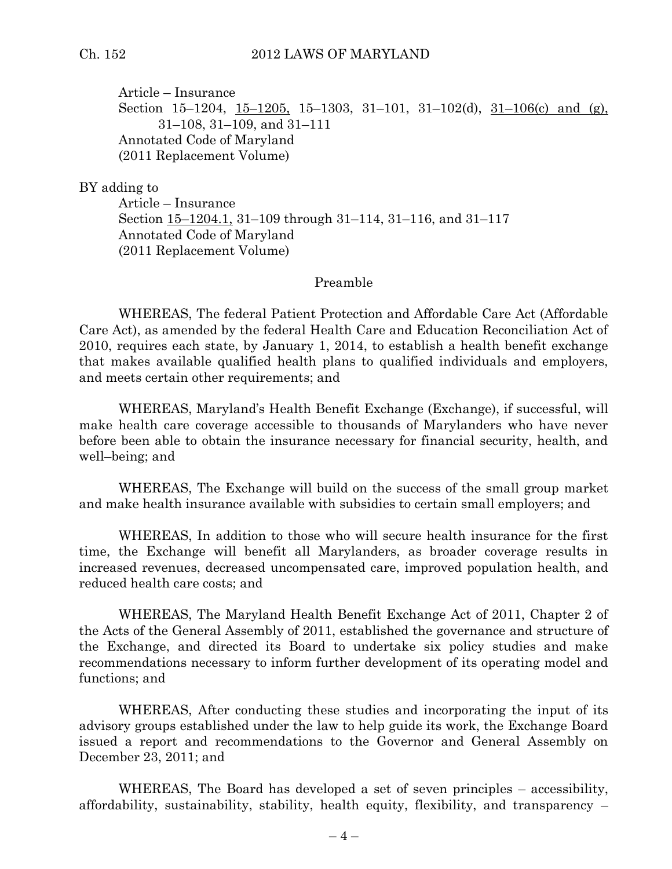Article – Insurance Section 15–1204,  $15-1205$ , 15–1303, 31–101, 31–102(d), 31–106(c) and (g), 31–108, 31–109, and 31–111 Annotated Code of Maryland (2011 Replacement Volume)

#### BY adding to

Article – Insurance Section 15–1204.1, 31–109 through 31–114, 31–116, and 31–117 Annotated Code of Maryland (2011 Replacement Volume)

#### Preamble

WHEREAS, The federal Patient Protection and Affordable Care Act (Affordable Care Act), as amended by the federal Health Care and Education Reconciliation Act of 2010, requires each state, by January 1, 2014, to establish a health benefit exchange that makes available qualified health plans to qualified individuals and employers, and meets certain other requirements; and

WHEREAS, Maryland's Health Benefit Exchange (Exchange), if successful, will make health care coverage accessible to thousands of Marylanders who have never before been able to obtain the insurance necessary for financial security, health, and well–being; and

WHEREAS, The Exchange will build on the success of the small group market and make health insurance available with subsidies to certain small employers; and

WHEREAS, In addition to those who will secure health insurance for the first time, the Exchange will benefit all Marylanders, as broader coverage results in increased revenues, decreased uncompensated care, improved population health, and reduced health care costs; and

WHEREAS, The Maryland Health Benefit Exchange Act of 2011, Chapter 2 of the Acts of the General Assembly of 2011, established the governance and structure of the Exchange, and directed its Board to undertake six policy studies and make recommendations necessary to inform further development of its operating model and functions; and

WHEREAS, After conducting these studies and incorporating the input of its advisory groups established under the law to help guide its work, the Exchange Board issued a report and recommendations to the Governor and General Assembly on December 23, 2011; and

WHEREAS, The Board has developed a set of seven principles – accessibility, affordability, sustainability, stability, health equity, flexibility, and transparency –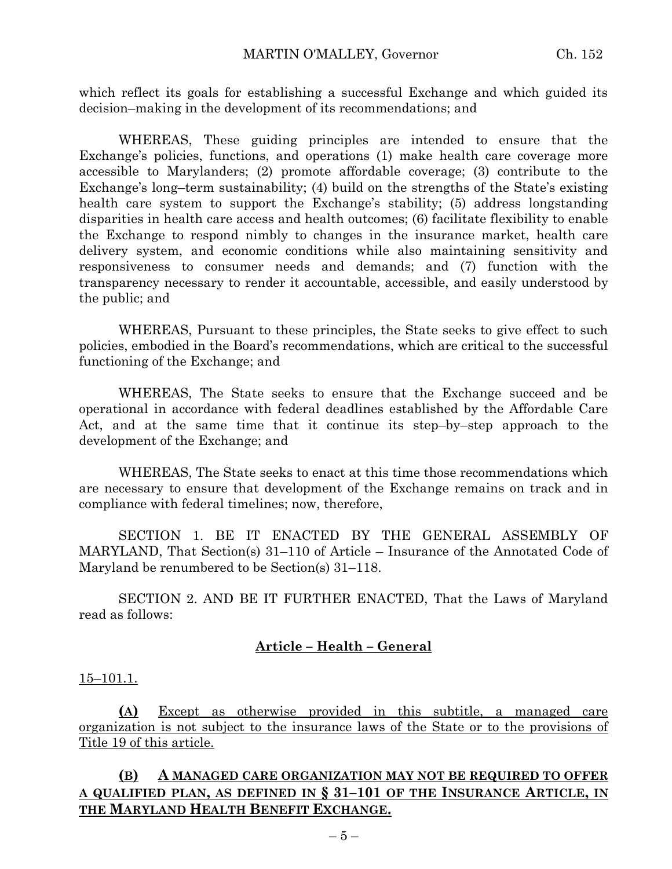which reflect its goals for establishing a successful Exchange and which guided its decision–making in the development of its recommendations; and

WHEREAS, These guiding principles are intended to ensure that the Exchange's policies, functions, and operations (1) make health care coverage more accessible to Marylanders; (2) promote affordable coverage; (3) contribute to the Exchange's long–term sustainability; (4) build on the strengths of the State's existing health care system to support the Exchange's stability; (5) address longstanding disparities in health care access and health outcomes; (6) facilitate flexibility to enable the Exchange to respond nimbly to changes in the insurance market, health care delivery system, and economic conditions while also maintaining sensitivity and responsiveness to consumer needs and demands; and (7) function with the transparency necessary to render it accountable, accessible, and easily understood by the public; and

WHEREAS, Pursuant to these principles, the State seeks to give effect to such policies, embodied in the Board's recommendations, which are critical to the successful functioning of the Exchange; and

WHEREAS, The State seeks to ensure that the Exchange succeed and be operational in accordance with federal deadlines established by the Affordable Care Act, and at the same time that it continue its step–by–step approach to the development of the Exchange; and

WHEREAS, The State seeks to enact at this time those recommendations which are necessary to ensure that development of the Exchange remains on track and in compliance with federal timelines; now, therefore,

SECTION 1. BE IT ENACTED BY THE GENERAL ASSEMBLY OF MARYLAND, That Section(s) 31–110 of Article – Insurance of the Annotated Code of Maryland be renumbered to be Section(s) 31–118.

SECTION 2. AND BE IT FURTHER ENACTED, That the Laws of Maryland read as follows:

#### **Article – Health – General**

#### $15-101.1.$

**(A)** Except as otherwise provided in this subtitle, a managed care organization is not subject to the insurance laws of the State or to the provisions of Title 19 of this article.

#### **(B) A MANAGED CARE ORGANIZATION MAY NOT BE REQUIRED TO OFFER A QUALIFIED PLAN, AS DEFINED IN § 31–101 OF THE INSURANCE ARTICLE, IN THE MARYLAND HEALTH BENEFIT EXCHANGE.**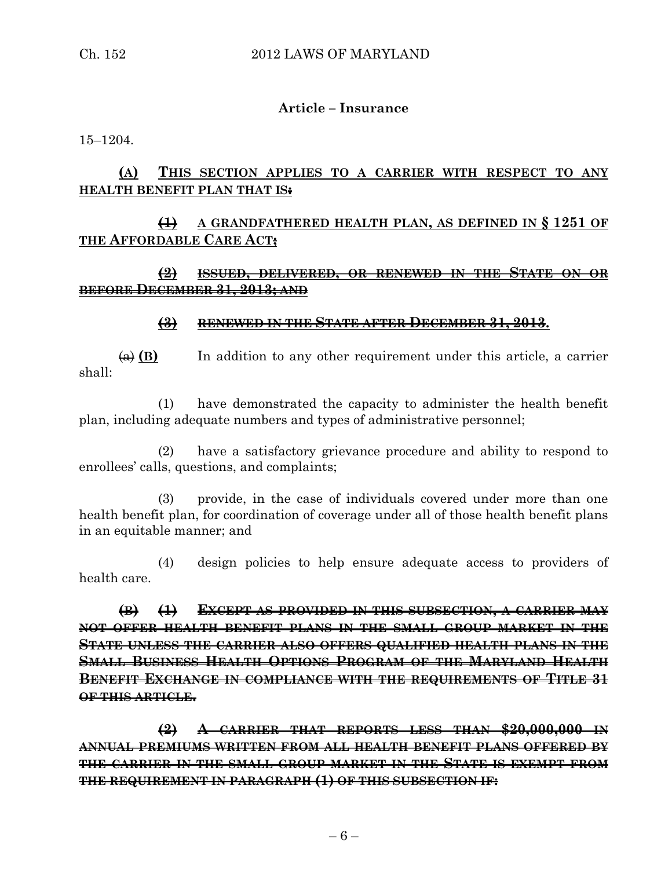#### **Article – Insurance**

15–1204.

# **(A) THIS SECTION APPLIES TO A CARRIER WITH RESPECT TO ANY HEALTH BENEFIT PLAN THAT IS:**

# **(1) A GRANDFATHERED HEALTH PLAN, AS DEFINED IN § 1251 OF THE AFFORDABLE CARE ACT;**

## **(2) ISSUED, DELIVERED, OR RENEWED IN THE STATE ON OR BEFORE DECEMBER 31, 2013; AND**

#### **(3) RENEWED IN THE STATE AFTER DECEMBER 31, 2013.**

 $\overline{(a)}$  **(B)** In addition to any other requirement under this article, a carrier shall:

(1) have demonstrated the capacity to administer the health benefit plan, including adequate numbers and types of administrative personnel;

(2) have a satisfactory grievance procedure and ability to respond to enrollees' calls, questions, and complaints;

(3) provide, in the case of individuals covered under more than one health benefit plan, for coordination of coverage under all of those health benefit plans in an equitable manner; and

(4) design policies to help ensure adequate access to providers of health care.

**(B) (1) EXCEPT AS PROVIDED IN THIS SUBSECTION, A CARRIER MAY NOT OFFER HEALTH BENEFIT PLANS IN THE SMALL GROUP MARKET IN THE STATE UNLESS THE CARRIER ALSO OFFERS QUALIFIED HEALTH PLANS IN THE SMALL BUSINESS HEALTH OPTIONS PROGRAM OF THE MARYLAND HEALTH BENEFIT EXCHANGE IN COMPLIANCE WITH THE REQUIREMENTS OF TITLE 31 OF THIS ARTICLE.**

**(2) A CARRIER THAT REPORTS LESS THAN \$20,000,000 IN ANNUAL PREMIUMS WRITTEN FROM ALL HEALTH BENEFIT PLANS OFFERED BY THE CARRIER IN THE SMALL GROUP MARKET IN THE STATE IS EXEMPT FROM THE REQUIREMENT IN PARAGRAPH (1) OF THIS SUBSECTION IF:**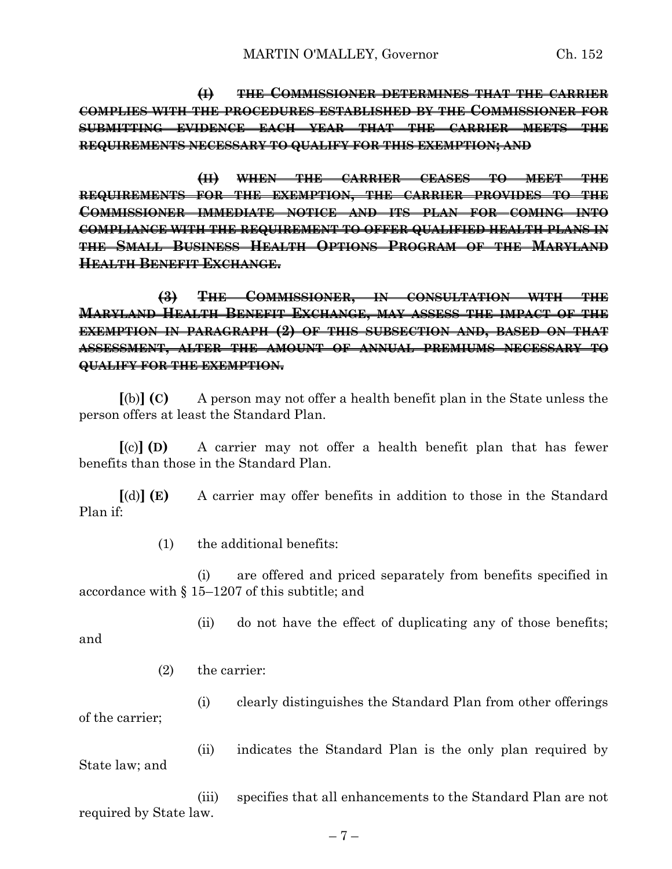**(I) THE COMMISSIONER DETERMINES THAT THE CARRIER COMPLIES WITH THE PROCEDURES ESTABLISHED BY THE COMMISSIONER FOR SUBMITTING EVIDENCE EACH YEAR THAT THE CARRIER MEETS THE REQUIREMENTS NECESSARY TO QUALIFY FOR THIS EXEMPTION; AND**

**(II) WHEN THE CARRIER CEASES TO MEET THE REQUIREMENTS FOR THE EXEMPTION, THE CARRIER PROVIDES TO THE COMMISSIONER IMMEDIATE NOTICE AND ITS PLAN FOR COMING INTO COMPLIANCE WITH THE REQUIREMENT TO OFFER QUALIFIED HEALTH PLANS IN THE SMALL BUSINESS HEALTH OPTIONS PROGRAM OF THE MARYLAND HEALTH BENEFIT EXCHANGE.**

**(3) THE COMMISSIONER, IN CONSULTATION WITH THE MARYLAND HEALTH BENEFIT EXCHANGE, MAY ASSESS THE IMPACT OF THE EXEMPTION IN PARAGRAPH (2) OF THIS SUBSECTION AND, BASED ON THAT ASSESSMENT, ALTER THE AMOUNT OF ANNUAL PREMIUMS NECESSARY TO QUALIFY FOR THE EXEMPTION.**

**[**(b)**] (C)** A person may not offer a health benefit plan in the State unless the person offers at least the Standard Plan.

**[**(c)**] (D)** A carrier may not offer a health benefit plan that has fewer benefits than those in the Standard Plan.

**[**(d)**] (E)** A carrier may offer benefits in addition to those in the Standard Plan if:

(1) the additional benefits:

(i) are offered and priced separately from benefits specified in accordance with § 15–1207 of this subtitle; and

(ii) do not have the effect of duplicating any of those benefits;

and

(2) the carrier:

(i) clearly distinguishes the Standard Plan from other offerings of the carrier;

(ii) indicates the Standard Plan is the only plan required by State law; and

(iii) specifies that all enhancements to the Standard Plan are not required by State law.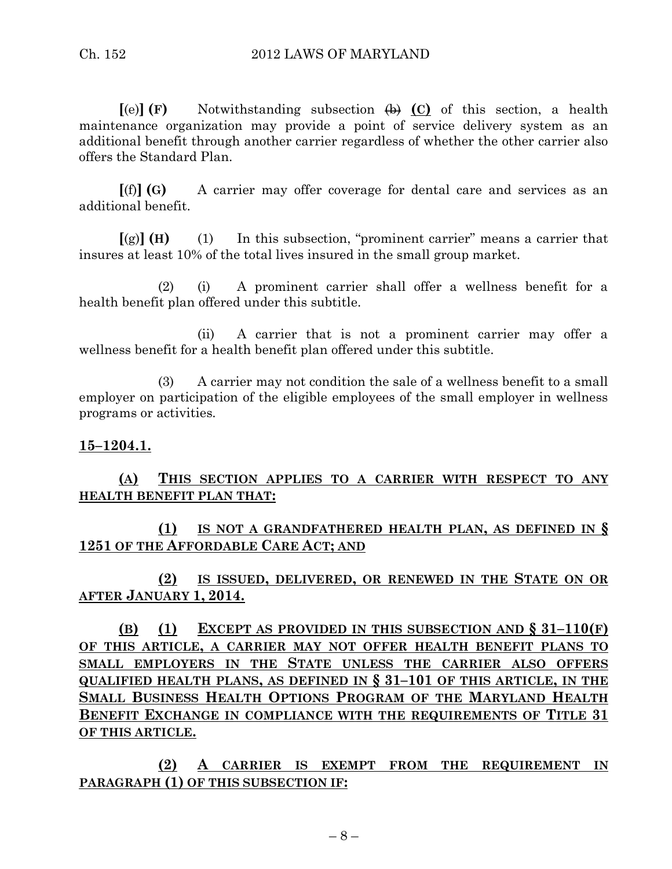**[**(e)**] (F)** Notwithstanding subsection (b) **(C)** of this section, a health maintenance organization may provide a point of service delivery system as an additional benefit through another carrier regardless of whether the other carrier also offers the Standard Plan.

**[**(f)**] (G)** A carrier may offer coverage for dental care and services as an additional benefit.

**[**(g)**] (H)** (1) In this subsection, "prominent carrier" means a carrier that insures at least 10% of the total lives insured in the small group market.

(2) (i) A prominent carrier shall offer a wellness benefit for a health benefit plan offered under this subtitle.

(ii) A carrier that is not a prominent carrier may offer a wellness benefit for a health benefit plan offered under this subtitle.

(3) A carrier may not condition the sale of a wellness benefit to a small employer on participation of the eligible employees of the small employer in wellness programs or activities.

## **15–1204.1.**

# **(A) THIS SECTION APPLIES TO A CARRIER WITH RESPECT TO ANY HEALTH BENEFIT PLAN THAT:**

# **(1) IS NOT A GRANDFATHERED HEALTH PLAN, AS DEFINED IN § 1251 OF THE AFFORDABLE CARE ACT; AND**

**(2) IS ISSUED, DELIVERED, OR RENEWED IN THE STATE ON OR AFTER JANUARY 1, 2014.**

**(B) (1) EXCEPT AS PROVIDED IN THIS SUBSECTION AND § 31–110(F) OF THIS ARTICLE, A CARRIER MAY NOT OFFER HEALTH BENEFIT PLANS TO SMALL EMPLOYERS IN THE STATE UNLESS THE CARRIER ALSO OFFERS QUALIFIED HEALTH PLANS, AS DEFINED IN § 31–101 OF THIS ARTICLE, IN THE SMALL BUSINESS HEALTH OPTIONS PROGRAM OF THE MARYLAND HEALTH BENEFIT EXCHANGE IN COMPLIANCE WITH THE REQUIREMENTS OF TITLE 31 OF THIS ARTICLE.**

**(2) A CARRIER IS EXEMPT FROM THE REQUIREMENT IN PARAGRAPH (1) OF THIS SUBSECTION IF:**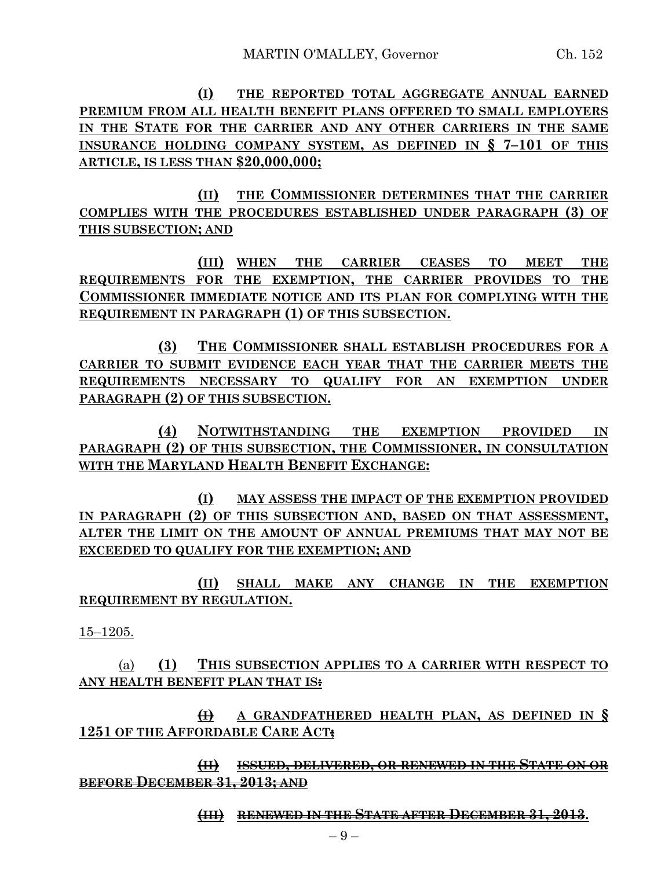**(I) THE REPORTED TOTAL AGGREGATE ANNUAL EARNED PREMIUM FROM ALL HEALTH BENEFIT PLANS OFFERED TO SMALL EMPLOYERS IN THE STATE FOR THE CARRIER AND ANY OTHER CARRIERS IN THE SAME INSURANCE HOLDING COMPANY SYSTEM, AS DEFINED IN § 7–101 OF THIS ARTICLE, IS LESS THAN \$20,000,000;**

**(II) THE COMMISSIONER DETERMINES THAT THE CARRIER COMPLIES WITH THE PROCEDURES ESTABLISHED UNDER PARAGRAPH (3) OF THIS SUBSECTION; AND**

**(III) WHEN THE CARRIER CEASES TO MEET THE REQUIREMENTS FOR THE EXEMPTION, THE CARRIER PROVIDES TO THE COMMISSIONER IMMEDIATE NOTICE AND ITS PLAN FOR COMPLYING WITH THE REQUIREMENT IN PARAGRAPH (1) OF THIS SUBSECTION.**

**(3) THE COMMISSIONER SHALL ESTABLISH PROCEDURES FOR A CARRIER TO SUBMIT EVIDENCE EACH YEAR THAT THE CARRIER MEETS THE REQUIREMENTS NECESSARY TO QUALIFY FOR AN EXEMPTION UNDER PARAGRAPH (2) OF THIS SUBSECTION.**

**(4) NOTWITHSTANDING THE EXEMPTION PROVIDED IN PARAGRAPH (2) OF THIS SUBSECTION, THE COMMISSIONER, IN CONSULTATION WITH THE MARYLAND HEALTH BENEFIT EXCHANGE:**

**(I) MAY ASSESS THE IMPACT OF THE EXEMPTION PROVIDED IN PARAGRAPH (2) OF THIS SUBSECTION AND, BASED ON THAT ASSESSMENT, ALTER THE LIMIT ON THE AMOUNT OF ANNUAL PREMIUMS THAT MAY NOT BE EXCEEDED TO QUALIFY FOR THE EXEMPTION; AND**

**(II) SHALL MAKE ANY CHANGE IN THE EXEMPTION REQUIREMENT BY REGULATION.**

15–1205.

(a) **(1) THIS SUBSECTION APPLIES TO A CARRIER WITH RESPECT TO ANY HEALTH BENEFIT PLAN THAT IS:**

**(I) A GRANDFATHERED HEALTH PLAN, AS DEFINED IN § 1251 OF THE AFFORDABLE CARE ACT;**

**(II) ISSUED, DELIVERED, OR RENEWED IN THE STATE ON OR BEFORE DECEMBER 31, 2013; AND**

**(III) RENEWED IN THE STATE AFTER DECEMBER 31, 2013.**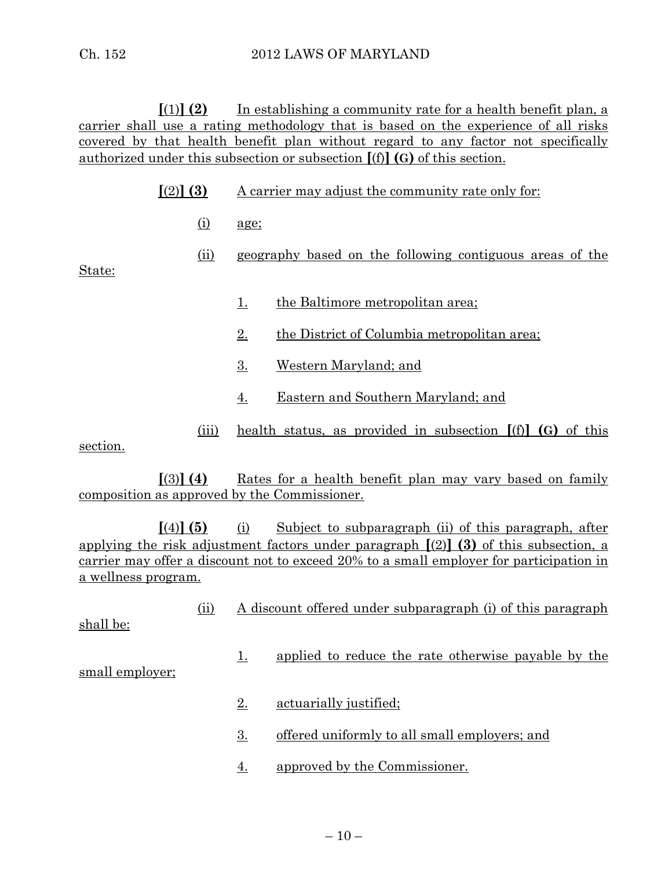**[**(1)**] (2)** In establishing a community rate for a health benefit plan, a carrier shall use a rating methodology that is based on the experience of all risks covered by that health benefit plan without regard to any factor not specifically authorized under this subsection or subsection **[**(f)**] (G)** of this section.

| $(2)$ (3) |  | A carrier may adjust the community rate only for: |  |
|-----------|--|---------------------------------------------------|--|
|           |  |                                                   |  |

- (i) age;
- (ii) geography based on the following contiguous areas of the

State:

- 1. the Baltimore metropolitan area;
- 2. the District of Columbia metropolitan area;
- 3. Western Maryland; and
- 4. Eastern and Southern Maryland; and
- (iii) health status, as provided in subsection **[**(f)**] (G)** of this

section.

**[**(3)**] (4)** Rates for a health benefit plan may vary based on family composition as approved by the Commissioner.

**[**(4)**] (5)** (i) Subject to subparagraph (ii) of this paragraph, after applying the risk adjustment factors under paragraph **[**(2)**] (3)** of this subsection, a carrier may offer a discount not to exceed 20% to a small employer for participation in a wellness program.

(ii) A discount offered under subparagraph (i) of this paragraph

shall be:

1. applied to reduce the rate otherwise payable by the

small employer;

- 2. actuarially justified;
- 3. offered uniformly to all small employers; and
- 4. approved by the Commissioner.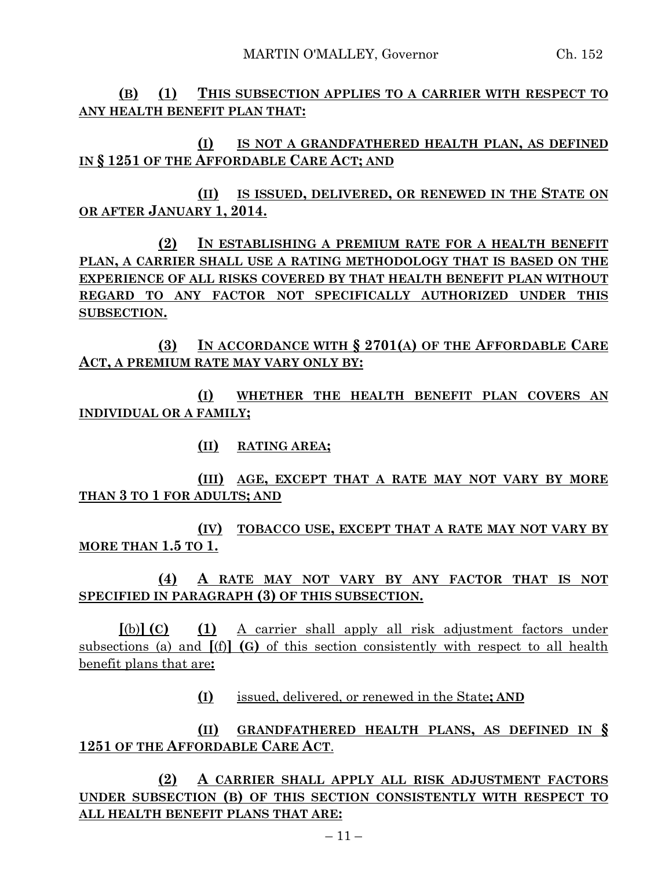**(B) (1) THIS SUBSECTION APPLIES TO A CARRIER WITH RESPECT TO ANY HEALTH BENEFIT PLAN THAT:**

**(I) IS NOT A GRANDFATHERED HEALTH PLAN, AS DEFINED IN § 1251 OF THE AFFORDABLE CARE ACT; AND**

**(II) IS ISSUED, DELIVERED, OR RENEWED IN THE STATE ON OR AFTER JANUARY 1, 2014.**

**(2) IN ESTABLISHING A PREMIUM RATE FOR A HEALTH BENEFIT PLAN, A CARRIER SHALL USE A RATING METHODOLOGY THAT IS BASED ON THE EXPERIENCE OF ALL RISKS COVERED BY THAT HEALTH BENEFIT PLAN WITHOUT REGARD TO ANY FACTOR NOT SPECIFICALLY AUTHORIZED UNDER THIS SUBSECTION.**

**(3) IN ACCORDANCE WITH § 2701(A) OF THE AFFORDABLE CARE ACT, A PREMIUM RATE MAY VARY ONLY BY:**

**(I) WHETHER THE HEALTH BENEFIT PLAN COVERS AN INDIVIDUAL OR A FAMILY;**

**(II) RATING AREA;**

**(III) AGE, EXCEPT THAT A RATE MAY NOT VARY BY MORE THAN 3 TO 1 FOR ADULTS; AND**

**(IV) TOBACCO USE, EXCEPT THAT A RATE MAY NOT VARY BY MORE THAN 1.5 TO 1.**

**(4) A RATE MAY NOT VARY BY ANY FACTOR THAT IS NOT SPECIFIED IN PARAGRAPH (3) OF THIS SUBSECTION.**

**[**(b)**] (C) (1)** A carrier shall apply all risk adjustment factors under subsections (a) and **[**(f)**] (G)** of this section consistently with respect to all health benefit plans that are**:**

**(I)** issued, delivered, or renewed in the State**; AND**

**(II) GRANDFATHERED HEALTH PLANS, AS DEFINED IN § 1251 OF THE AFFORDABLE CARE ACT**.

**(2) A CARRIER SHALL APPLY ALL RISK ADJUSTMENT FACTORS UNDER SUBSECTION (B) OF THIS SECTION CONSISTENTLY WITH RESPECT TO ALL HEALTH BENEFIT PLANS THAT ARE:**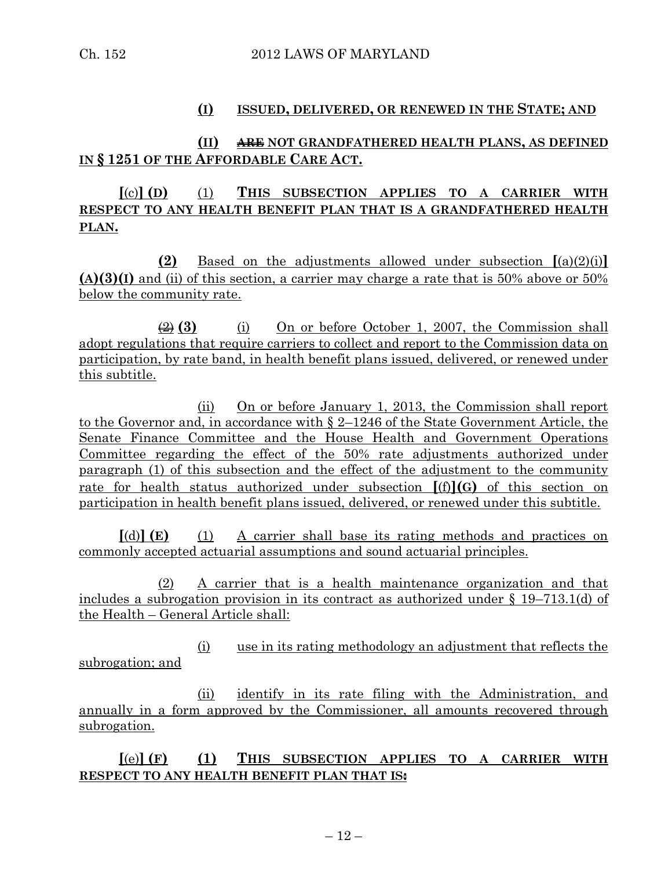#### **(I) ISSUED, DELIVERED, OR RENEWED IN THE STATE; AND**

#### **(II) ARE NOT GRANDFATHERED HEALTH PLANS, AS DEFINED IN § 1251 OF THE AFFORDABLE CARE ACT.**

# **[**(c)**] (D)** (1) **THIS SUBSECTION APPLIES TO A CARRIER WITH RESPECT TO ANY HEALTH BENEFIT PLAN THAT IS A GRANDFATHERED HEALTH PLAN.**

**(2)** Based on the adjustments allowed under subsection **[**(a)(2)(i)**] (A)(3)(I)** and (ii) of this section, a carrier may charge a rate that is 50% above or 50% below the community rate.

(2) **(3)** (i) On or before October 1, 2007, the Commission shall adopt regulations that require carriers to collect and report to the Commission data on participation, by rate band, in health benefit plans issued, delivered, or renewed under this subtitle.

(ii) On or before January 1, 2013, the Commission shall report to the Governor and, in accordance with § 2–1246 of the State Government Article, the Senate Finance Committee and the House Health and Government Operations Committee regarding the effect of the 50% rate adjustments authorized under paragraph (1) of this subsection and the effect of the adjustment to the community rate for health status authorized under subsection **[**(f)**](G)** of this section on participation in health benefit plans issued, delivered, or renewed under this subtitle.

**[**(d)**] (E)** (1) A carrier shall base its rating methods and practices on commonly accepted actuarial assumptions and sound actuarial principles.

(2) A carrier that is a health maintenance organization and that includes a subrogation provision in its contract as authorized under § 19–713.1(d) of the Health – General Article shall:

(i) use in its rating methodology an adjustment that reflects the subrogation; and

(ii) identify in its rate filing with the Administration, and annually in a form approved by the Commissioner, all amounts recovered through subrogation.

**[**(e)**] (F) (1) THIS SUBSECTION APPLIES TO A CARRIER WITH RESPECT TO ANY HEALTH BENEFIT PLAN THAT IS:**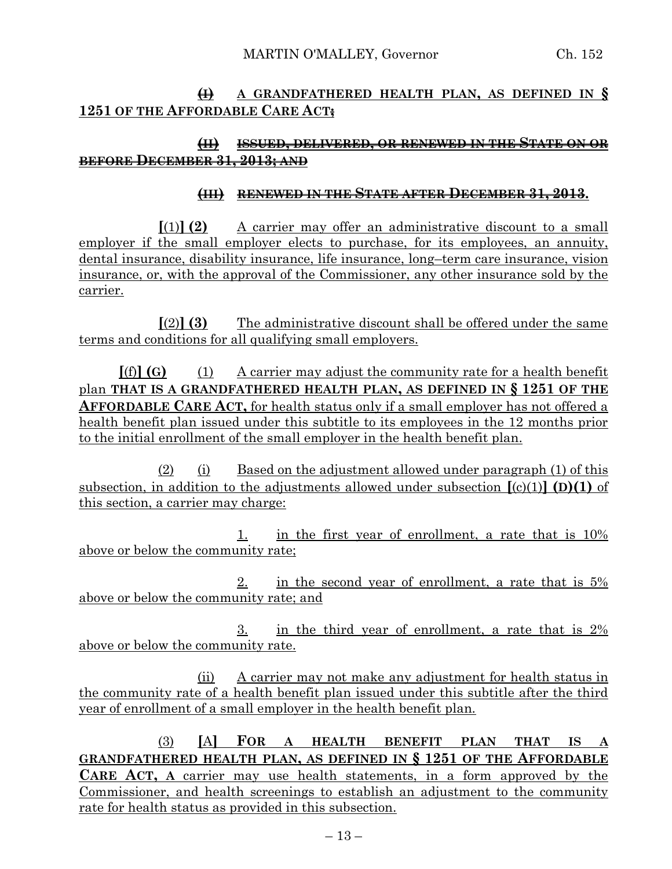# **(I) A GRANDFATHERED HEALTH PLAN, AS DEFINED IN § 1251 OF THE AFFORDABLE CARE ACT;**

# **(II) ISSUED, DELIVERED, OR RENEWED IN THE STATE ON OR BEFORE DECEMBER 31, 2013; AND**

#### **(III) RENEWED IN THE STATE AFTER DECEMBER 31, 2013.**

**[**(1)**] (2)** A carrier may offer an administrative discount to a small employer if the small employer elects to purchase, for its employees, an annuity, dental insurance, disability insurance, life insurance, long–term care insurance, vision insurance, or, with the approval of the Commissioner, any other insurance sold by the carrier.

 $\lceil(2)\rceil$  **(3)** The administrative discount shall be offered under the same terms and conditions for all qualifying small employers.

**[**(f)**] (G)** (1) A carrier may adjust the community rate for a health benefit plan **THAT IS A GRANDFATHERED HEALTH PLAN, AS DEFINED IN § 1251 OF THE AFFORDABLE CARE ACT,** for health status only if a small employer has not offered a health benefit plan issued under this subtitle to its employees in the 12 months prior to the initial enrollment of the small employer in the health benefit plan.

(2) (i) Based on the adjustment allowed under paragraph (1) of this subsection, in addition to the adjustments allowed under subsection  $[(c)(1)]$  **(D)(1)** of this section, a carrier may charge:

1. in the first year of enrollment, a rate that is 10% above or below the community rate;

2. in the second year of enrollment, a rate that is 5% above or below the community rate; and

3. in the third year of enrollment, a rate that is 2% above or below the community rate.

(ii) A carrier may not make any adjustment for health status in the community rate of a health benefit plan issued under this subtitle after the third year of enrollment of a small employer in the health benefit plan.

(3) **[**A**] FOR A HEALTH BENEFIT PLAN THAT IS A GRANDFATHERED HEALTH PLAN, AS DEFINED IN § 1251 OF THE AFFORDABLE CARE ACT, A** carrier may use health statements, in a form approved by the Commissioner, and health screenings to establish an adjustment to the community rate for health status as provided in this subsection.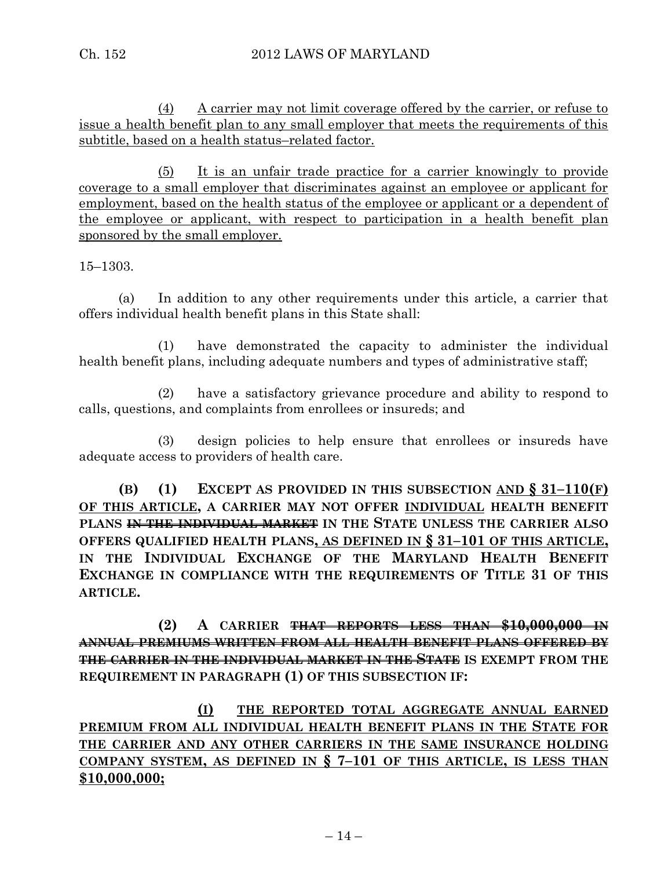(4) A carrier may not limit coverage offered by the carrier, or refuse to issue a health benefit plan to any small employer that meets the requirements of this subtitle, based on a health status–related factor.

(5) It is an unfair trade practice for a carrier knowingly to provide coverage to a small employer that discriminates against an employee or applicant for employment, based on the health status of the employee or applicant or a dependent of the employee or applicant, with respect to participation in a health benefit plan sponsored by the small employer.

15–1303.

(a) In addition to any other requirements under this article, a carrier that offers individual health benefit plans in this State shall:

(1) have demonstrated the capacity to administer the individual health benefit plans, including adequate numbers and types of administrative staff;

(2) have a satisfactory grievance procedure and ability to respond to calls, questions, and complaints from enrollees or insureds; and

(3) design policies to help ensure that enrollees or insureds have adequate access to providers of health care.

**(B) (1) EXCEPT AS PROVIDED IN THIS SUBSECTION AND § 31–110(F) OF THIS ARTICLE, A CARRIER MAY NOT OFFER INDIVIDUAL HEALTH BENEFIT PLANS IN THE INDIVIDUAL MARKET IN THE STATE UNLESS THE CARRIER ALSO OFFERS QUALIFIED HEALTH PLANS, AS DEFINED IN § 31–101 OF THIS ARTICLE, IN THE INDIVIDUAL EXCHANGE OF THE MARYLAND HEALTH BENEFIT EXCHANGE IN COMPLIANCE WITH THE REQUIREMENTS OF TITLE 31 OF THIS ARTICLE.**

**(2) A CARRIER THAT REPORTS LESS THAN \$10,000,000 IN ANNUAL PREMIUMS WRITTEN FROM ALL HEALTH BENEFIT PLANS OFFERED BY THE CARRIER IN THE INDIVIDUAL MARKET IN THE STATE IS EXEMPT FROM THE REQUIREMENT IN PARAGRAPH (1) OF THIS SUBSECTION IF:**

**(I) THE REPORTED TOTAL AGGREGATE ANNUAL EARNED PREMIUM FROM ALL INDIVIDUAL HEALTH BENEFIT PLANS IN THE STATE FOR THE CARRIER AND ANY OTHER CARRIERS IN THE SAME INSURANCE HOLDING COMPANY SYSTEM, AS DEFINED IN § 7–101 OF THIS ARTICLE, IS LESS THAN \$10,000,000;**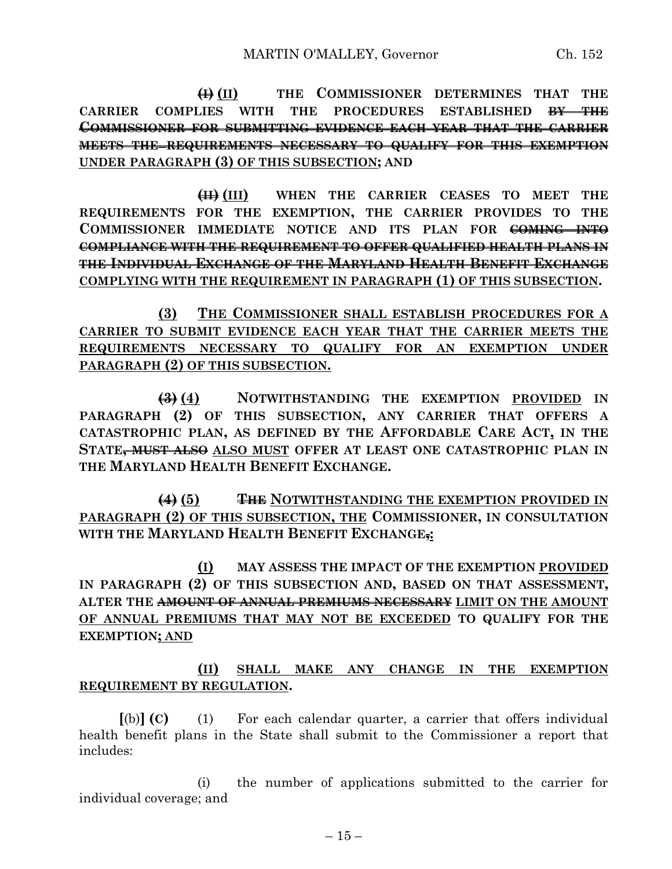**(I) (II) THE COMMISSIONER DETERMINES THAT THE CARRIER COMPLIES WITH THE PROCEDURES ESTABLISHED BY THE COMMISSIONER FOR SUBMITTING EVIDENCE EACH YEAR THAT THE CARRIER MEETS THE REQUIREMENTS NECESSARY TO QUALIFY FOR THIS EXEMPTION UNDER PARAGRAPH (3) OF THIS SUBSECTION; AND**

**(II) (III) WHEN THE CARRIER CEASES TO MEET THE REQUIREMENTS FOR THE EXEMPTION, THE CARRIER PROVIDES TO THE COMMISSIONER IMMEDIATE NOTICE AND ITS PLAN FOR COMING INTO COMPLIANCE WITH THE REQUIREMENT TO OFFER QUALIFIED HEALTH PLANS IN THE INDIVIDUAL EXCHANGE OF THE MARYLAND HEALTH BENEFIT EXCHANGE COMPLYING WITH THE REQUIREMENT IN PARAGRAPH (1) OF THIS SUBSECTION.**

**(3) THE COMMISSIONER SHALL ESTABLISH PROCEDURES FOR A CARRIER TO SUBMIT EVIDENCE EACH YEAR THAT THE CARRIER MEETS THE REQUIREMENTS NECESSARY TO QUALIFY FOR AN EXEMPTION UNDER PARAGRAPH (2) OF THIS SUBSECTION.**

**(3) (4) NOTWITHSTANDING THE EXEMPTION PROVIDED IN PARAGRAPH (2) OF THIS SUBSECTION, ANY CARRIER THAT OFFERS A CATASTROPHIC PLAN, AS DEFINED BY THE AFFORDABLE CARE ACT, IN THE STATE, MUST ALSO ALSO MUST OFFER AT LEAST ONE CATASTROPHIC PLAN IN THE MARYLAND HEALTH BENEFIT EXCHANGE.**

**(4) (5) THE NOTWITHSTANDING THE EXEMPTION PROVIDED IN PARAGRAPH (2) OF THIS SUBSECTION, THE COMMISSIONER, IN CONSULTATION WITH THE MARYLAND HEALTH BENEFIT EXCHANGE,:**

**(I) MAY ASSESS THE IMPACT OF THE EXEMPTION PROVIDED IN PARAGRAPH (2) OF THIS SUBSECTION AND, BASED ON THAT ASSESSMENT, ALTER THE AMOUNT OF ANNUAL PREMIUMS NECESSARY LIMIT ON THE AMOUNT OF ANNUAL PREMIUMS THAT MAY NOT BE EXCEEDED TO QUALIFY FOR THE EXEMPTION; AND**

**(II) SHALL MAKE ANY CHANGE IN THE EXEMPTION REQUIREMENT BY REGULATION.**

**[**(b)**] (C)** (1) For each calendar quarter, a carrier that offers individual health benefit plans in the State shall submit to the Commissioner a report that includes:

(i) the number of applications submitted to the carrier for individual coverage; and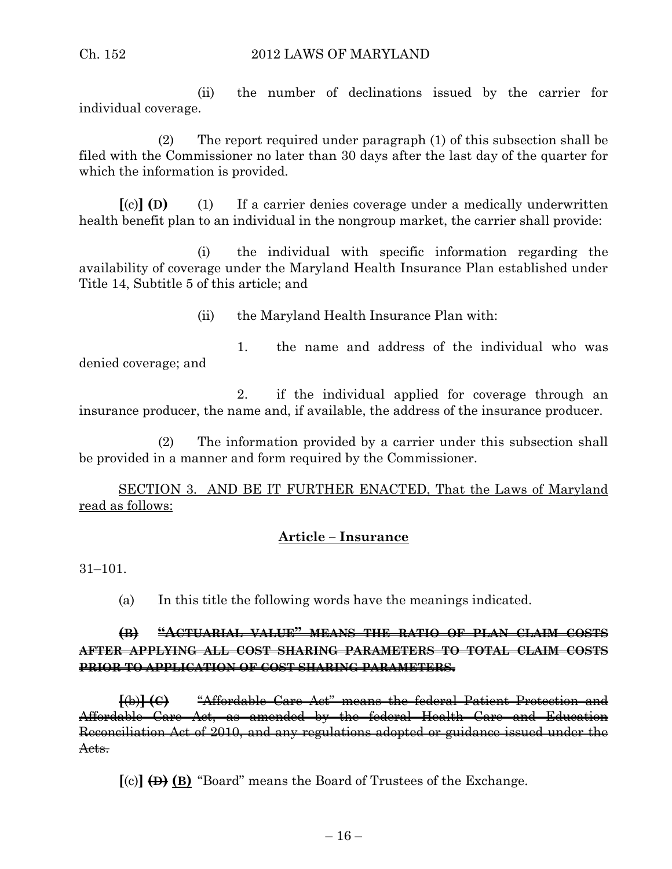(ii) the number of declinations issued by the carrier for individual coverage.

(2) The report required under paragraph (1) of this subsection shall be filed with the Commissioner no later than 30 days after the last day of the quarter for which the information is provided.

**[**(c)**] (D)** (1) If a carrier denies coverage under a medically underwritten health benefit plan to an individual in the nongroup market, the carrier shall provide:

(i) the individual with specific information regarding the availability of coverage under the Maryland Health Insurance Plan established under Title 14, Subtitle 5 of this article; and

(ii) the Maryland Health Insurance Plan with:

1. the name and address of the individual who was denied coverage; and

2. if the individual applied for coverage through an insurance producer, the name and, if available, the address of the insurance producer.

(2) The information provided by a carrier under this subsection shall be provided in a manner and form required by the Commissioner.

SECTION 3. AND BE IT FURTHER ENACTED, That the Laws of Maryland read as follows:

## **Article – Insurance**

31–101.

(a) In this title the following words have the meanings indicated.

## **(B) "ACTUARIAL VALUE" MEANS THE RATIO OF PLAN CLAIM COSTS AFTER APPLYING ALL COST SHARING PARAMETERS TO TOTAL CLAIM COSTS PRIOR TO APPLICATION OF COST SHARING PARAMETERS.**

**[**(b)**] (C)** "Affordable Care Act" means the federal Patient Protection and Affordable Care Act, as amended by the federal Health Care and Education Reconciliation Act of 2010, and any regulations adopted or guidance issued under the Acts.

**[**(c)**] (D) (B)** "Board" means the Board of Trustees of the Exchange.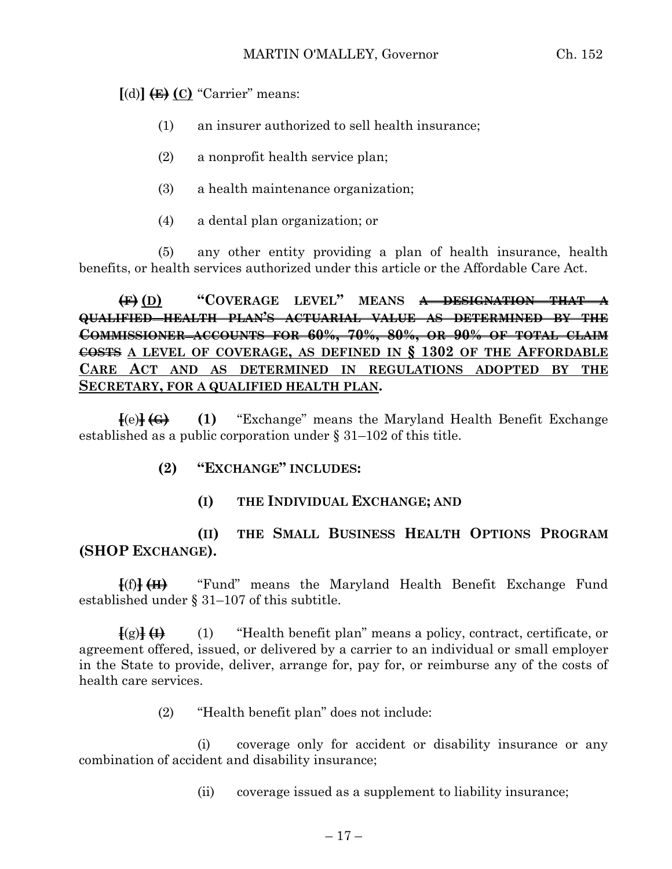**[**(d)**] (E) (C)** "Carrier" means:

- (1) an insurer authorized to sell health insurance;
- (2) a nonprofit health service plan;
- (3) a health maintenance organization;
- (4) a dental plan organization; or

(5) any other entity providing a plan of health insurance, health benefits, or health services authorized under this article or the Affordable Care Act.

**(F) (D) "COVERAGE LEVEL" MEANS A DESIGNATION THAT A QUALIFIED HEALTH PLAN'S ACTUARIAL VALUE AS DETERMINED BY THE COMMISSIONER ACCOUNTS FOR 60%, 70%, 80%, OR 90% OF TOTAL CLAIM COSTS A LEVEL OF COVERAGE, AS DEFINED IN § 1302 OF THE AFFORDABLE CARE ACT AND AS DETERMINED IN REGULATIONS ADOPTED BY THE SECRETARY, FOR A QUALIFIED HEALTH PLAN.**

**[**(e)**] (G) (1)** "Exchange" means the Maryland Health Benefit Exchange established as a public corporation under § 31–102 of this title.

## **(2) "EXCHANGE" INCLUDES:**

**(I) THE INDIVIDUAL EXCHANGE; AND**

# **(II) THE SMALL BUSINESS HEALTH OPTIONS PROGRAM (SHOP EXCHANGE).**

**[**(f)**] (H)** "Fund" means the Maryland Health Benefit Exchange Fund established under § 31–107 of this subtitle.

**[**(g)**] (I)** (1) "Health benefit plan" means a policy, contract, certificate, or agreement offered, issued, or delivered by a carrier to an individual or small employer in the State to provide, deliver, arrange for, pay for, or reimburse any of the costs of health care services.

(2) "Health benefit plan" does not include:

(i) coverage only for accident or disability insurance or any combination of accident and disability insurance;

(ii) coverage issued as a supplement to liability insurance;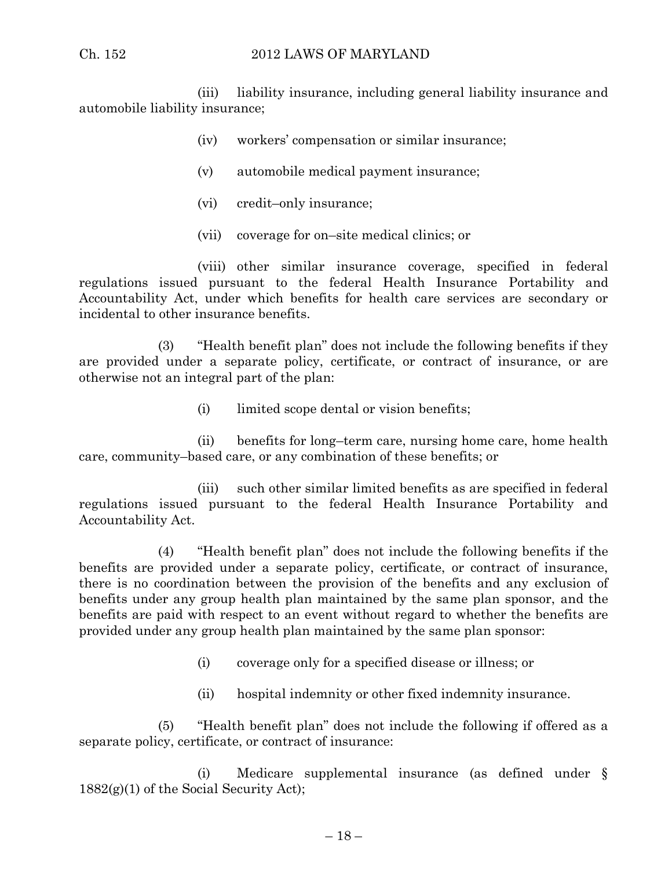(iii) liability insurance, including general liability insurance and automobile liability insurance;

- (iv) workers' compensation or similar insurance;
- (v) automobile medical payment insurance;
- (vi) credit–only insurance;
- (vii) coverage for on–site medical clinics; or

(viii) other similar insurance coverage, specified in federal regulations issued pursuant to the federal Health Insurance Portability and Accountability Act, under which benefits for health care services are secondary or incidental to other insurance benefits.

(3) "Health benefit plan" does not include the following benefits if they are provided under a separate policy, certificate, or contract of insurance, or are otherwise not an integral part of the plan:

(i) limited scope dental or vision benefits;

(ii) benefits for long–term care, nursing home care, home health care, community–based care, or any combination of these benefits; or

(iii) such other similar limited benefits as are specified in federal regulations issued pursuant to the federal Health Insurance Portability and Accountability Act.

(4) "Health benefit plan" does not include the following benefits if the benefits are provided under a separate policy, certificate, or contract of insurance, there is no coordination between the provision of the benefits and any exclusion of benefits under any group health plan maintained by the same plan sponsor, and the benefits are paid with respect to an event without regard to whether the benefits are provided under any group health plan maintained by the same plan sponsor:

- (i) coverage only for a specified disease or illness; or
- (ii) hospital indemnity or other fixed indemnity insurance.

(5) "Health benefit plan" does not include the following if offered as a separate policy, certificate, or contract of insurance:

(i) Medicare supplemental insurance (as defined under §  $1882(g)(1)$  of the Social Security Act);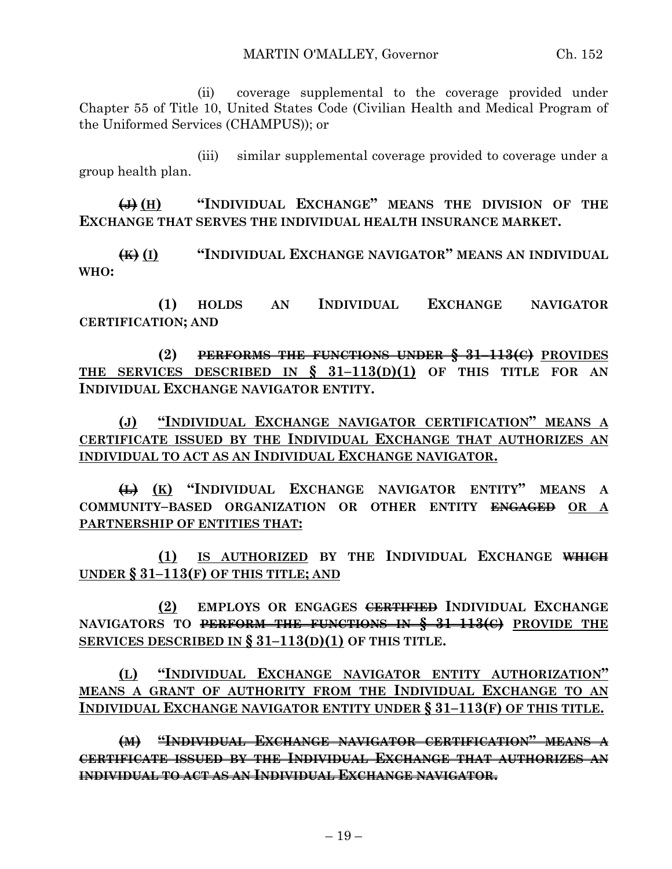(ii) coverage supplemental to the coverage provided under Chapter 55 of Title 10, United States Code (Civilian Health and Medical Program of the Uniformed Services (CHAMPUS)); or

(iii) similar supplemental coverage provided to coverage under a group health plan.

**(J) (H) "INDIVIDUAL EXCHANGE" MEANS THE DIVISION OF THE EXCHANGE THAT SERVES THE INDIVIDUAL HEALTH INSURANCE MARKET.**

**(K) (I) "INDIVIDUAL EXCHANGE NAVIGATOR" MEANS AN INDIVIDUAL WHO:**

**(1) HOLDS AN INDIVIDUAL EXCHANGE NAVIGATOR CERTIFICATION; AND**

**(2) PERFORMS THE FUNCTIONS UNDER § 31–113(C) PROVIDES THE SERVICES DESCRIBED IN § 31–113(D)(1) OF THIS TITLE FOR AN INDIVIDUAL EXCHANGE NAVIGATOR ENTITY.**

**(J) "INDIVIDUAL EXCHANGE NAVIGATOR CERTIFICATION" MEANS A CERTIFICATE ISSUED BY THE INDIVIDUAL EXCHANGE THAT AUTHORIZES AN INDIVIDUAL TO ACT AS AN INDIVIDUAL EXCHANGE NAVIGATOR.**

**(L) (K) "INDIVIDUAL EXCHANGE NAVIGATOR ENTITY" MEANS A COMMUNITY–BASED ORGANIZATION OR OTHER ENTITY ENGAGED OR A PARTNERSHIP OF ENTITIES THAT:**

**(1) IS AUTHORIZED BY THE INDIVIDUAL EXCHANGE WHICH UNDER § 31–113(F) OF THIS TITLE; AND**

**(2) EMPLOYS OR ENGAGES CERTIFIED INDIVIDUAL EXCHANGE NAVIGATORS TO PERFORM THE FUNCTIONS IN § 31–113(C) PROVIDE THE SERVICES DESCRIBED IN § 31–113(D)(1) OF THIS TITLE.**

**(L) "INDIVIDUAL EXCHANGE NAVIGATOR ENTITY AUTHORIZATION" MEANS A GRANT OF AUTHORITY FROM THE INDIVIDUAL EXCHANGE TO AN INDIVIDUAL EXCHANGE NAVIGATOR ENTITY UNDER § 31–113(F) OF THIS TITLE.**

**(M) "INDIVIDUAL EXCHANGE NAVIGATOR CERTIFICATION" MEANS A CERTIFICATE ISSUED BY THE INDIVIDUAL EXCHANGE THAT AUTHORIZES AN INDIVIDUAL TO ACT AS AN INDIVIDUAL EXCHANGE NAVIGATOR.**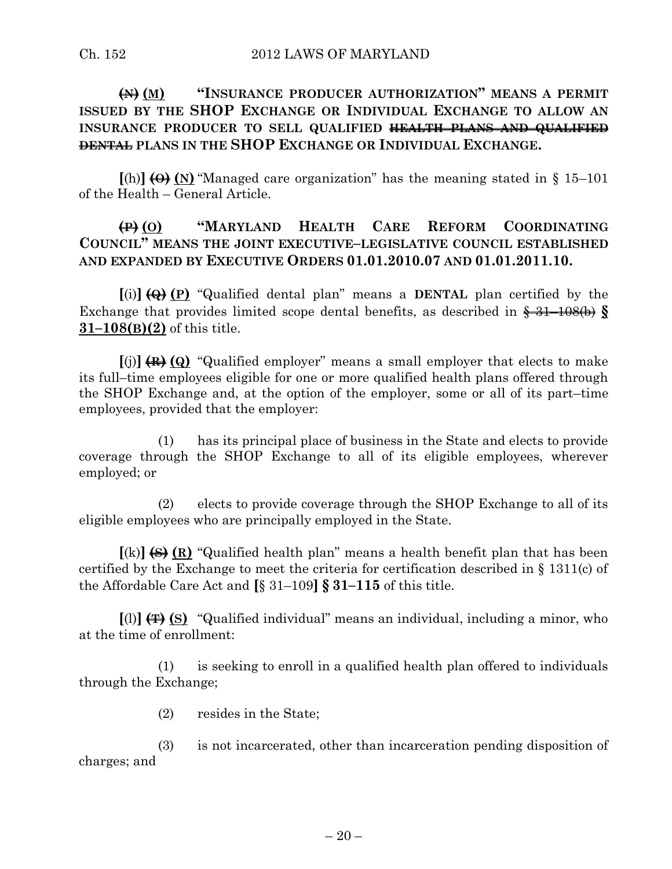# **(N) (M) "INSURANCE PRODUCER AUTHORIZATION" MEANS A PERMIT ISSUED BY THE SHOP EXCHANGE OR INDIVIDUAL EXCHANGE TO ALLOW AN INSURANCE PRODUCER TO SELL QUALIFIED HEALTH PLANS AND QUALIFIED DENTAL PLANS IN THE SHOP EXCHANGE OR INDIVIDUAL EXCHANGE.**

 $[(h)]$   $(\Theta)$   $(N)$  "Managed care organization" has the meaning stated in § 15–101 of the Health – General Article.

# **(P) (O) "MARYLAND HEALTH CARE REFORM COORDINATING COUNCIL" MEANS THE JOINT EXECUTIVE–LEGISLATIVE COUNCIL ESTABLISHED AND EXPANDED BY EXECUTIVE ORDERS 01.01.2010.07 AND 01.01.2011.10.**

**[**(i)**] (Q) (P)** "Qualified dental plan" means a **DENTAL** plan certified by the Exchange that provides limited scope dental benefits, as described in § 31–108(b) **§ 31–108(B)(2)** of this title.

**[**(j)**] (R) (Q)** "Qualified employer" means a small employer that elects to make its full–time employees eligible for one or more qualified health plans offered through the SHOP Exchange and, at the option of the employer, some or all of its part–time employees, provided that the employer:

(1) has its principal place of business in the State and elects to provide coverage through the SHOP Exchange to all of its eligible employees, wherever employed; or

(2) elects to provide coverage through the SHOP Exchange to all of its eligible employees who are principally employed in the State.

**[**(k)**] (S) (R)** "Qualified health plan" means a health benefit plan that has been certified by the Exchange to meet the criteria for certification described in § 1311(c) of the Affordable Care Act and **[**§ 31–109**] § 31–115** of this title.

**[**(l)**] (T) (S)** "Qualified individual" means an individual, including a minor, who at the time of enrollment:

(1) is seeking to enroll in a qualified health plan offered to individuals through the Exchange;

(2) resides in the State;

(3) is not incarcerated, other than incarceration pending disposition of charges; and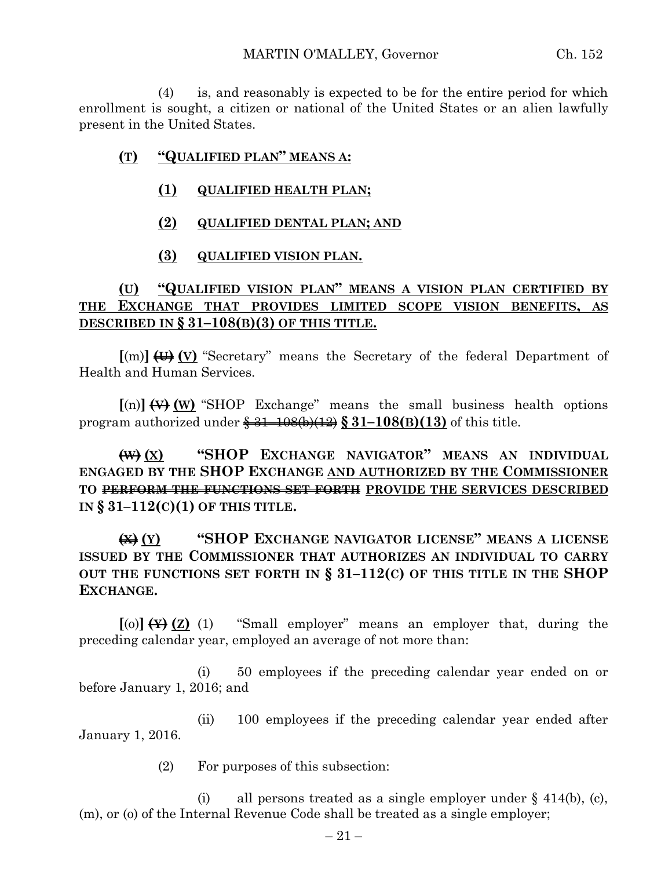(4) is, and reasonably is expected to be for the entire period for which enrollment is sought, a citizen or national of the United States or an alien lawfully present in the United States.

#### **(T) "QUALIFIED PLAN" MEANS A:**

- **(1) QUALIFIED HEALTH PLAN;**
- **(2) QUALIFIED DENTAL PLAN; AND**
- **(3) QUALIFIED VISION PLAN.**

## **(U) "QUALIFIED VISION PLAN" MEANS A VISION PLAN CERTIFIED BY THE EXCHANGE THAT PROVIDES LIMITED SCOPE VISION BENEFITS, AS DESCRIBED IN § 31–108(B)(3) OF THIS TITLE.**

**[**(m)**] (U) (V)** "Secretary" means the Secretary of the federal Department of Health and Human Services.

 $[(n)]$   $(\forall)$   $(\forall)$  "SHOP Exchange" means the small business health options program authorized under § 31–108(b)(12) **§ 31–108(B)(13)** of this title.

**(W) (X) "SHOP EXCHANGE NAVIGATOR" MEANS AN INDIVIDUAL ENGAGED BY THE SHOP EXCHANGE AND AUTHORIZED BY THE COMMISSIONER TO PERFORM THE FUNCTIONS SET FORTH PROVIDE THE SERVICES DESCRIBED IN § 31–112(C)(1) OF THIS TITLE.**

**(X) (Y) "SHOP EXCHANGE NAVIGATOR LICENSE" MEANS A LICENSE ISSUED BY THE COMMISSIONER THAT AUTHORIZES AN INDIVIDUAL TO CARRY OUT THE FUNCTIONS SET FORTH IN § 31–112(C) OF THIS TITLE IN THE SHOP EXCHANGE.**

**[**(o)**] (Y) (Z)** (1) "Small employer" means an employer that, during the preceding calendar year, employed an average of not more than:

(i) 50 employees if the preceding calendar year ended on or before January 1, 2016; and

(ii) 100 employees if the preceding calendar year ended after January 1, 2016.

(2) For purposes of this subsection:

(i) all persons treated as a single employer under  $\S$  414(b), (c), (m), or (o) of the Internal Revenue Code shall be treated as a single employer;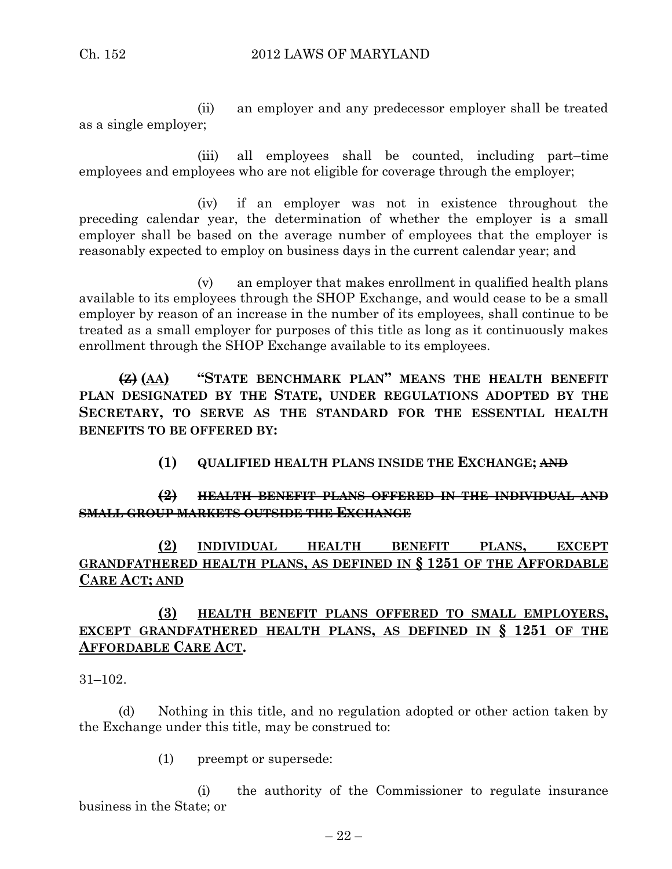(ii) an employer and any predecessor employer shall be treated as a single employer;

(iii) all employees shall be counted, including part–time employees and employees who are not eligible for coverage through the employer;

(iv) if an employer was not in existence throughout the preceding calendar year, the determination of whether the employer is a small employer shall be based on the average number of employees that the employer is reasonably expected to employ on business days in the current calendar year; and

(v) an employer that makes enrollment in qualified health plans available to its employees through the SHOP Exchange, and would cease to be a small employer by reason of an increase in the number of its employees, shall continue to be treated as a small employer for purposes of this title as long as it continuously makes enrollment through the SHOP Exchange available to its employees.

**(Z) (AA) "STATE BENCHMARK PLAN" MEANS THE HEALTH BENEFIT PLAN DESIGNATED BY THE STATE, UNDER REGULATIONS ADOPTED BY THE SECRETARY, TO SERVE AS THE STANDARD FOR THE ESSENTIAL HEALTH BENEFITS TO BE OFFERED BY:**

**(1) QUALIFIED HEALTH PLANS INSIDE THE EXCHANGE; AND**

# **(2) HEALTH BENEFIT PLANS OFFERED IN THE INDIVIDUAL AND SMALL GROUP MARKETS OUTSIDE THE EXCHANGE**

**(2) INDIVIDUAL HEALTH BENEFIT PLANS, EXCEPT GRANDFATHERED HEALTH PLANS, AS DEFINED IN § 1251 OF THE AFFORDABLE CARE ACT; AND** 

# **(3) HEALTH BENEFIT PLANS OFFERED TO SMALL EMPLOYERS, EXCEPT GRANDFATHERED HEALTH PLANS, AS DEFINED IN § 1251 OF THE AFFORDABLE CARE ACT.**

31–102.

(d) Nothing in this title, and no regulation adopted or other action taken by the Exchange under this title, may be construed to:

(1) preempt or supersede:

(i) the authority of the Commissioner to regulate insurance business in the State; or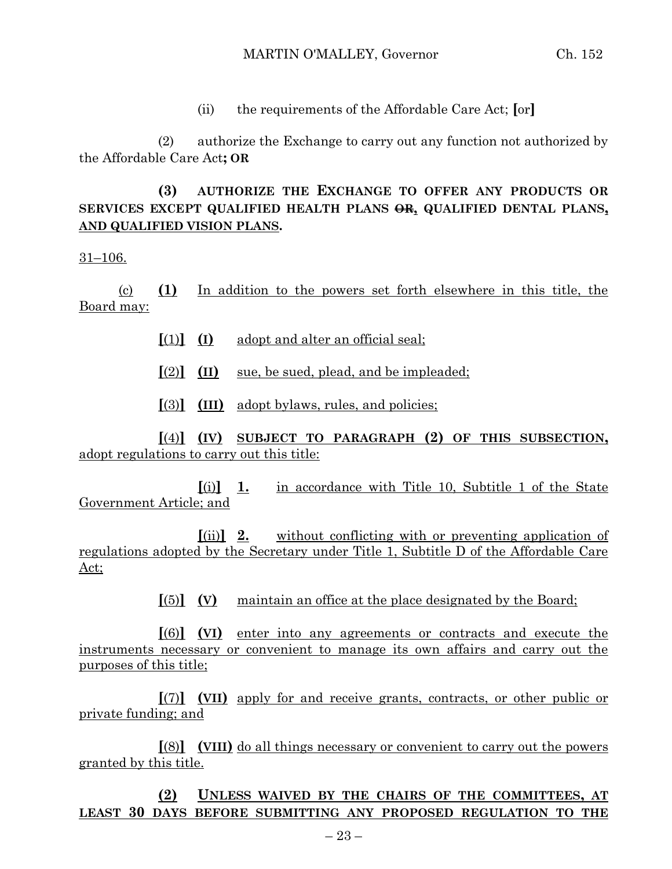(ii) the requirements of the Affordable Care Act; **[**or**]**

(2) authorize the Exchange to carry out any function not authorized by the Affordable Care Act**; OR**

## **(3) AUTHORIZE THE EXCHANGE TO OFFER ANY PRODUCTS OR SERVICES EXCEPT QUALIFIED HEALTH PLANS OR, QUALIFIED DENTAL PLANS, AND QUALIFIED VISION PLANS.**

31–106.

(c) **(1)** In addition to the powers set forth elsewhere in this title, the Board may:

- **[**(1)**] (I)** adopt and alter an official seal;
- **[**(2)**] (II)** sue, be sued, plead, and be impleaded;
- **[**(3)**] (III)** adopt bylaws, rules, and policies;

**[**(4)**] (IV) SUBJECT TO PARAGRAPH (2) OF THIS SUBSECTION,** adopt regulations to carry out this title:

**[**(i)**] 1.** in accordance with Title 10, Subtitle 1 of the State Government Article; and

**[**(ii)**] 2.** without conflicting with or preventing application of regulations adopted by the Secretary under Title 1, Subtitle D of the Affordable Care Act;

**[**(5)**] (V)** maintain an office at the place designated by the Board;

**[**(6)**] (VI)** enter into any agreements or contracts and execute the instruments necessary or convenient to manage its own affairs and carry out the purposes of this title;

**[**(7)**] (VII)** apply for and receive grants, contracts, or other public or private funding; and

**[**(8)**] (VIII)** do all things necessary or convenient to carry out the powers granted by this title.

**(2) UNLESS WAIVED BY THE CHAIRS OF THE COMMITTEES, AT LEAST 30 DAYS BEFORE SUBMITTING ANY PROPOSED REGULATION TO THE**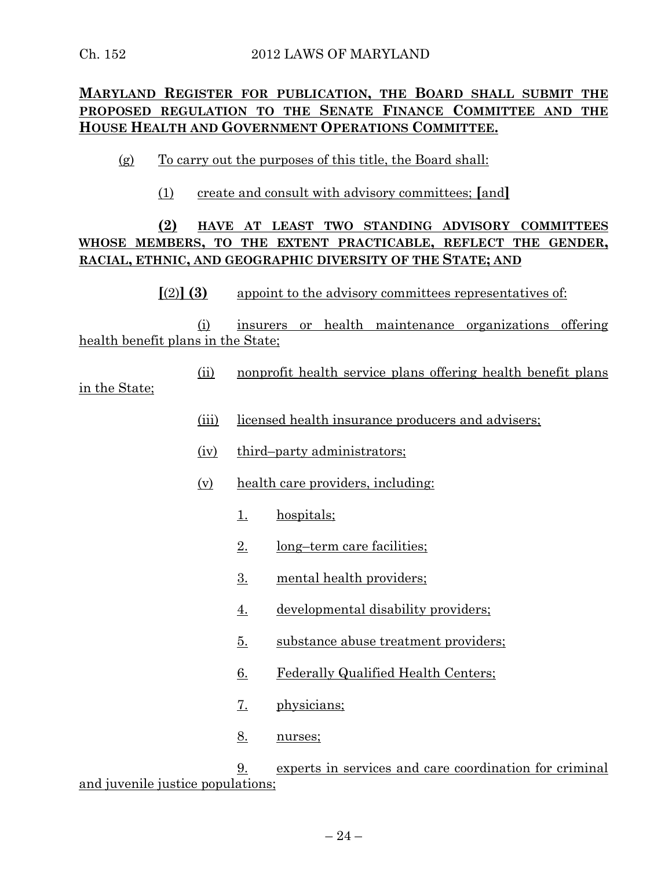# **MARYLAND REGISTER FOR PUBLICATION, THE BOARD SHALL SUBMIT THE PROPOSED REGULATION TO THE SENATE FINANCE COMMITTEE AND THE HOUSE HEALTH AND GOVERNMENT OPERATIONS COMMITTEE.**

- (g) To carry out the purposes of this title, the Board shall:
	- (1) create and consult with advisory committees; **[**and**]**

# **(2) HAVE AT LEAST TWO STANDING ADVISORY COMMITTEES WHOSE MEMBERS, TO THE EXTENT PRACTICABLE, REFLECT THE GENDER, RACIAL, ETHNIC, AND GEOGRAPHIC DIVERSITY OF THE STATE; AND**

#### **[**(2)**] (3)** appoint to the advisory committees representatives of:

(i) insurers or health maintenance organizations offering health benefit plans in the State;

(ii) nonprofit health service plans offering health benefit plans

#### in the State;

- (iii) licensed health insurance producers and advisers;
- (iv) third–party administrators;
- (v) health care providers, including:
	- 1. hospitals;
	- 2. long–term care facilities;
	- 3. mental health providers;
	- 4. developmental disability providers;
	- 5. substance abuse treatment providers;
	- 6. Federally Qualified Health Centers;
	- 7. physicians;
	- 8. nurses;

9. experts in services and care coordination for criminal and juvenile justice populations;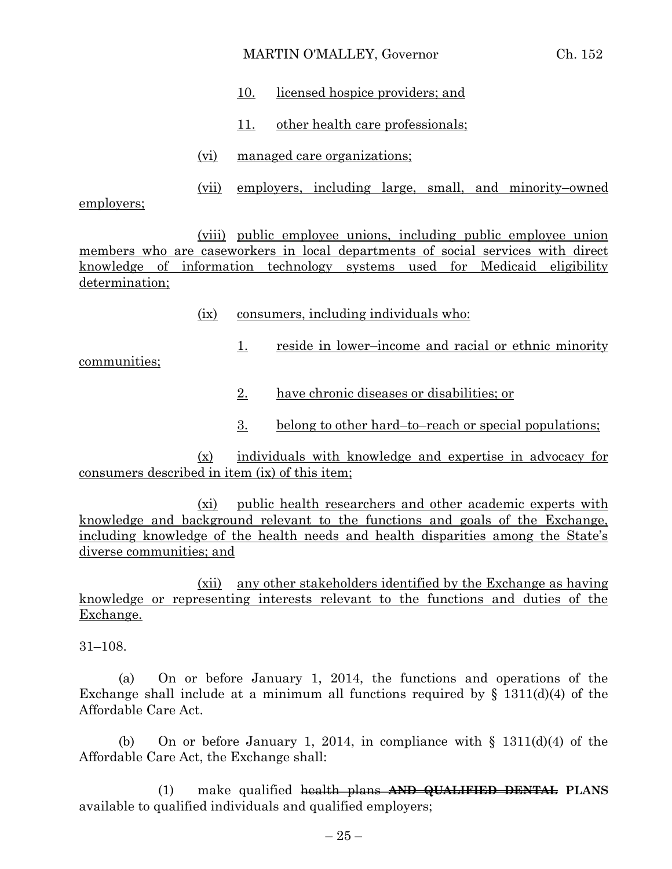#### MARTIN O'MALLEY, Governor Ch. 152

- 10. licensed hospice providers; and
- 11. other health care professionals;
- (vi) managed care organizations;
- (vii) employers, including large, small, and minority–owned

employers;

(viii) public employee unions, including public employee union members who are caseworkers in local departments of social services with direct knowledge of information technology systems used for Medicaid eligibility determination;

(ix) consumers, including individuals who:

communities;

- 1. reside in lower–income and racial or ethnic minority
- 2. have chronic diseases or disabilities; or
- 3. belong to other hard–to–reach or special populations;

(x) individuals with knowledge and expertise in advocacy for consumers described in item (ix) of this item;

(xi) public health researchers and other academic experts with knowledge and background relevant to the functions and goals of the Exchange, including knowledge of the health needs and health disparities among the State's diverse communities; and

(xii) any other stakeholders identified by the Exchange as having knowledge or representing interests relevant to the functions and duties of the Exchange.

31–108.

(a) On or before January 1, 2014, the functions and operations of the Exchange shall include at a minimum all functions required by  $\S$  1311(d)(4) of the Affordable Care Act.

(b) On or before January 1, 2014, in compliance with  $\S$  1311(d)(4) of the Affordable Care Act, the Exchange shall:

(1) make qualified health plans **AND QUALIFIED DENTAL PLANS** available to qualified individuals and qualified employers;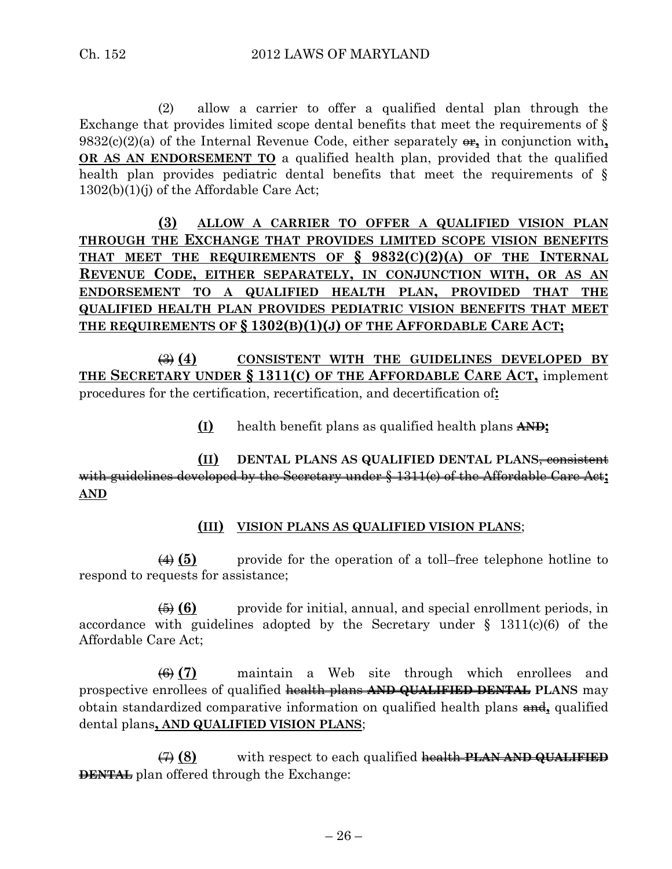(2) allow a carrier to offer a qualified dental plan through the Exchange that provides limited scope dental benefits that meet the requirements of § 9832(c)(2)(a) of the Internal Revenue Code, either separately  $\theta$ , in conjunction with, **OR AS AN ENDORSEMENT TO** a qualified health plan, provided that the qualified health plan provides pediatric dental benefits that meet the requirements of § 1302(b)(1)(j) of the Affordable Care Act;

**(3) ALLOW A CARRIER TO OFFER A QUALIFIED VISION PLAN THROUGH THE EXCHANGE THAT PROVIDES LIMITED SCOPE VISION BENEFITS THAT MEET THE REQUIREMENTS OF § 9832(C)(2)(A) OF THE INTERNAL REVENUE CODE, EITHER SEPARATELY, IN CONJUNCTION WITH, OR AS AN ENDORSEMENT TO A QUALIFIED HEALTH PLAN, PROVIDED THAT THE QUALIFIED HEALTH PLAN PROVIDES PEDIATRIC VISION BENEFITS THAT MEET THE REQUIREMENTS OF § 1302(B)(1)(J) OF THE AFFORDABLE CARE ACT;**

(3) **(4) CONSISTENT WITH THE GUIDELINES DEVELOPED BY THE SECRETARY UNDER § 1311(C) OF THE AFFORDABLE CARE ACT,** implement procedures for the certification, recertification, and decertification of**:**

**(I)** health benefit plans as qualified health plans **AND;**

**(II) DENTAL PLANS AS QUALIFIED DENTAL PLANS**, consistent with guidelines developed by the Secretary under § 1311(c) of the Affordable Care Act**; AND**

#### **(III) VISION PLANS AS QUALIFIED VISION PLANS**;

(4) **(5)** provide for the operation of a toll–free telephone hotline to respond to requests for assistance;

(5) **(6)** provide for initial, annual, and special enrollment periods, in accordance with guidelines adopted by the Secretary under  $\S$  1311(c)(6) of the Affordable Care Act;

(6) **(7)** maintain a Web site through which enrollees and prospective enrollees of qualified health plans **AND QUALIFIED DENTAL PLANS** may obtain standardized comparative information on qualified health plans and**,** qualified dental plans**, AND QUALIFIED VISION PLANS**;

(7) **(8)** with respect to each qualified health **PLAN AND QUALIFIED DENTAL** plan offered through the Exchange: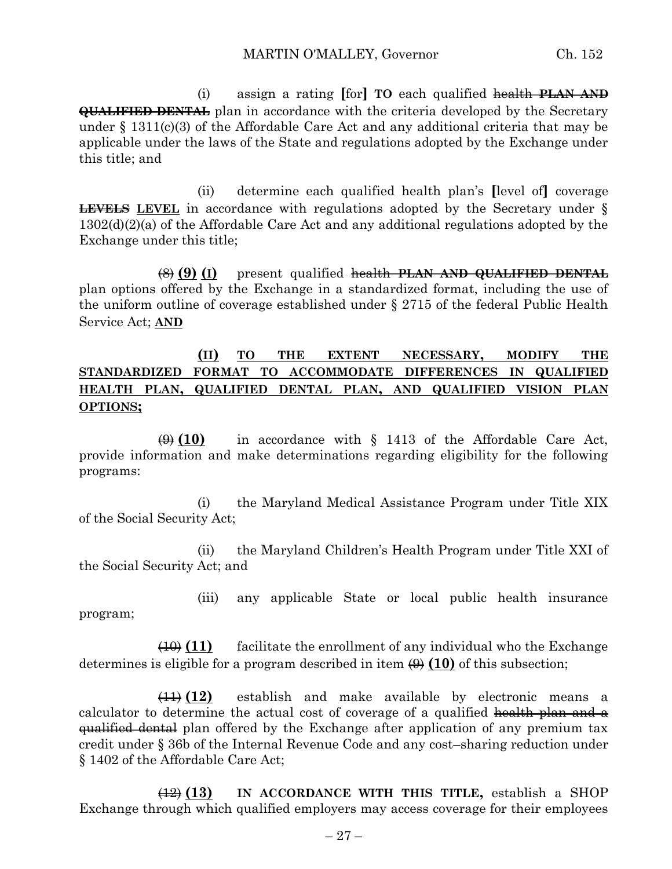(i) assign a rating **[**for**] TO** each qualified health **PLAN AND QUALIFIED DENTAL** plan in accordance with the criteria developed by the Secretary under  $\S$  1311(c)(3) of the Affordable Care Act and any additional criteria that may be applicable under the laws of the State and regulations adopted by the Exchange under this title; and

(ii) determine each qualified health plan's **[**level of**]** coverage **LEVELS** LEVEL in accordance with regulations adopted by the Secretary under § 1302(d)(2)(a) of the Affordable Care Act and any additional regulations adopted by the Exchange under this title;

(8) **(9) (I)** present qualified health **PLAN AND QUALIFIED DENTAL** plan options offered by the Exchange in a standardized format, including the use of the uniform outline of coverage established under § 2715 of the federal Public Health Service Act; **AND**

#### **(II) TO THE EXTENT NECESSARY, MODIFY THE STANDARDIZED FORMAT TO ACCOMMODATE DIFFERENCES IN QUALIFIED HEALTH PLAN, QUALIFIED DENTAL PLAN, AND QUALIFIED VISION PLAN OPTIONS;**

 $\overline{(9)}$  (10) in accordance with  $\S$  1413 of the Affordable Care Act, provide information and make determinations regarding eligibility for the following programs:

(i) the Maryland Medical Assistance Program under Title XIX of the Social Security Act;

(ii) the Maryland Children's Health Program under Title XXI of the Social Security Act; and

(iii) any applicable State or local public health insurance program;

(10) **(11)** facilitate the enrollment of any individual who the Exchange determines is eligible for a program described in item  $\left(\frac{\theta}{\theta}\right)$  (10) of this subsection;

(11) **(12)** establish and make available by electronic means a calculator to determine the actual cost of coverage of a qualified health plan and a **qualified dental** plan offered by the Exchange after application of any premium tax credit under § 36b of the Internal Revenue Code and any cost–sharing reduction under § 1402 of the Affordable Care Act;

(12) **(13) IN ACCORDANCE WITH THIS TITLE,** establish a SHOP Exchange through which qualified employers may access coverage for their employees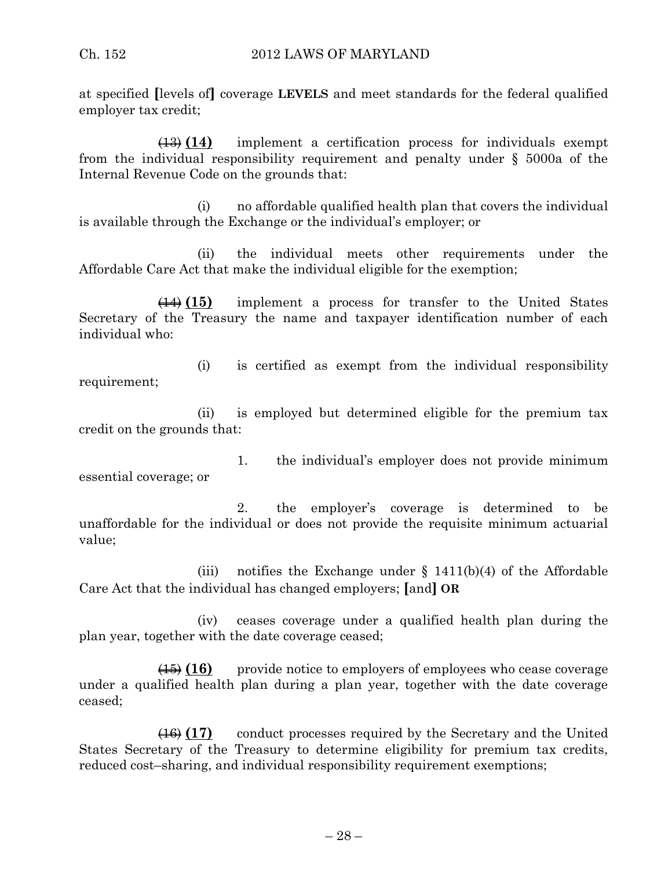at specified **[**levels of**]** coverage **LEVELS** and meet standards for the federal qualified employer tax credit;

(13) **(14)** implement a certification process for individuals exempt from the individual responsibility requirement and penalty under § 5000a of the Internal Revenue Code on the grounds that:

(i) no affordable qualified health plan that covers the individual is available through the Exchange or the individual's employer; or

(ii) the individual meets other requirements under the Affordable Care Act that make the individual eligible for the exemption;

(14) **(15)** implement a process for transfer to the United States Secretary of the Treasury the name and taxpayer identification number of each individual who:

(i) is certified as exempt from the individual responsibility requirement;

(ii) is employed but determined eligible for the premium tax credit on the grounds that:

1. the individual's employer does not provide minimum essential coverage; or

2. the employer's coverage is determined to be unaffordable for the individual or does not provide the requisite minimum actuarial value;

(iii) notifies the Exchange under  $\S$  1411(b)(4) of the Affordable Care Act that the individual has changed employers; **[**and**] OR**

(iv) ceases coverage under a qualified health plan during the plan year, together with the date coverage ceased;

(15) **(16)** provide notice to employers of employees who cease coverage under a qualified health plan during a plan year, together with the date coverage ceased;

(16) **(17)** conduct processes required by the Secretary and the United States Secretary of the Treasury to determine eligibility for premium tax credits, reduced cost–sharing, and individual responsibility requirement exemptions;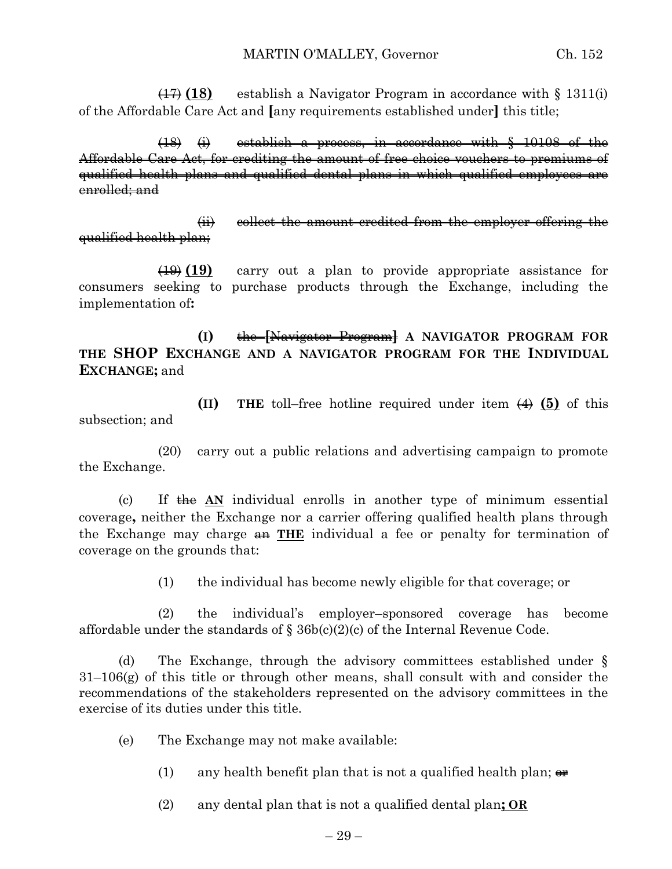(17) **(18)** establish a Navigator Program in accordance with § 1311(i) of the Affordable Care Act and **[**any requirements established under**]** this title;

(18) (i) establish a process, in accordance with § 10108 of the Affordable Care Act, for crediting the amount of free choice vouchers to premiums of qualified health plans and qualified dental plans in which qualified employees are enrolled; and

(ii) collect the amount credited from the employer offering the qualified health plan;

(19) **(19)** carry out a plan to provide appropriate assistance for consumers seeking to purchase products through the Exchange, including the implementation of**:**

**(I)** the **[**Navigator Program**] A NAVIGATOR PROGRAM FOR THE SHOP EXCHANGE AND A NAVIGATOR PROGRAM FOR THE INDIVIDUAL EXCHANGE;** and

**(II) THE** toll–free hotline required under item (4) **(5)** of this subsection; and

(20) carry out a public relations and advertising campaign to promote the Exchange.

(c) If the **AN** individual enrolls in another type of minimum essential coverage**,** neither the Exchange nor a carrier offering qualified health plans through the Exchange may charge an **THE** individual a fee or penalty for termination of coverage on the grounds that:

(1) the individual has become newly eligible for that coverage; or

(2) the individual's employer–sponsored coverage has become affordable under the standards of § 36b(c)(2)(c) of the Internal Revenue Code.

(d) The Exchange, through the advisory committees established under § 31–106(g) of this title or through other means, shall consult with and consider the recommendations of the stakeholders represented on the advisory committees in the exercise of its duties under this title.

- (e) The Exchange may not make available:
	- (1) any health benefit plan that is not a qualified health plan;  $\theta$

(2) any dental plan that is not a qualified dental plan**; OR**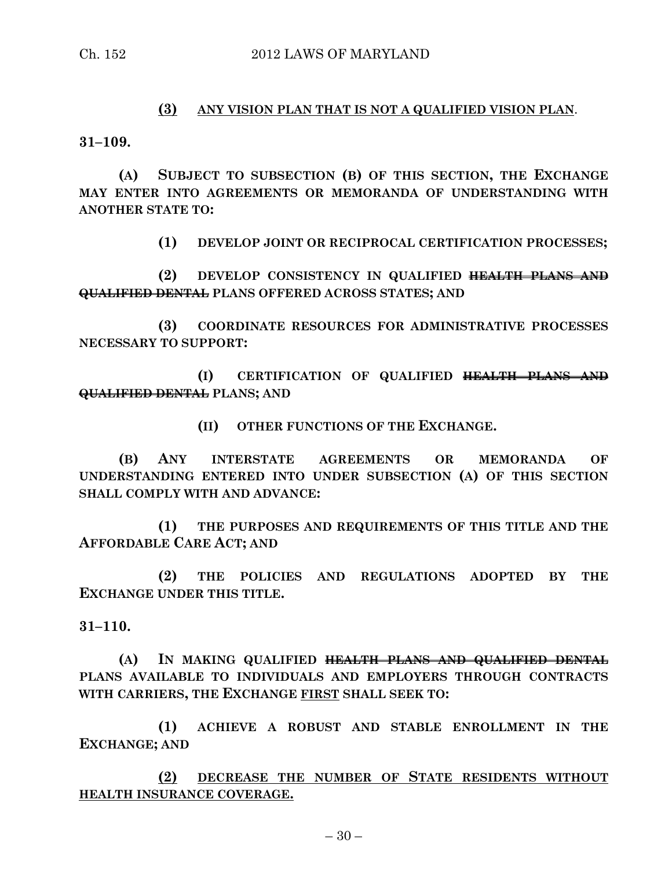#### **(3) ANY VISION PLAN THAT IS NOT A QUALIFIED VISION PLAN**.

**31–109.**

**(A) SUBJECT TO SUBSECTION (B) OF THIS SECTION, THE EXCHANGE MAY ENTER INTO AGREEMENTS OR MEMORANDA OF UNDERSTANDING WITH ANOTHER STATE TO:**

**(1) DEVELOP JOINT OR RECIPROCAL CERTIFICATION PROCESSES;**

**(2) DEVELOP CONSISTENCY IN QUALIFIED HEALTH PLANS AND QUALIFIED DENTAL PLANS OFFERED ACROSS STATES; AND**

**(3) COORDINATE RESOURCES FOR ADMINISTRATIVE PROCESSES NECESSARY TO SUPPORT:**

**(I) CERTIFICATION OF QUALIFIED HEALTH PLANS AND QUALIFIED DENTAL PLANS; AND** 

**(II) OTHER FUNCTIONS OF THE EXCHANGE.**

**(B) ANY INTERSTATE AGREEMENTS OR MEMORANDA OF UNDERSTANDING ENTERED INTO UNDER SUBSECTION (A) OF THIS SECTION SHALL COMPLY WITH AND ADVANCE:**

**(1) THE PURPOSES AND REQUIREMENTS OF THIS TITLE AND THE AFFORDABLE CARE ACT; AND**

**(2) THE POLICIES AND REGULATIONS ADOPTED BY THE EXCHANGE UNDER THIS TITLE.**

**31–110.**

**(A) IN MAKING QUALIFIED HEALTH PLANS AND QUALIFIED DENTAL PLANS AVAILABLE TO INDIVIDUALS AND EMPLOYERS THROUGH CONTRACTS WITH CARRIERS, THE EXCHANGE FIRST SHALL SEEK TO:**

**(1) ACHIEVE A ROBUST AND STABLE ENROLLMENT IN THE EXCHANGE; AND** 

**(2) DECREASE THE NUMBER OF STATE RESIDENTS WITHOUT HEALTH INSURANCE COVERAGE.**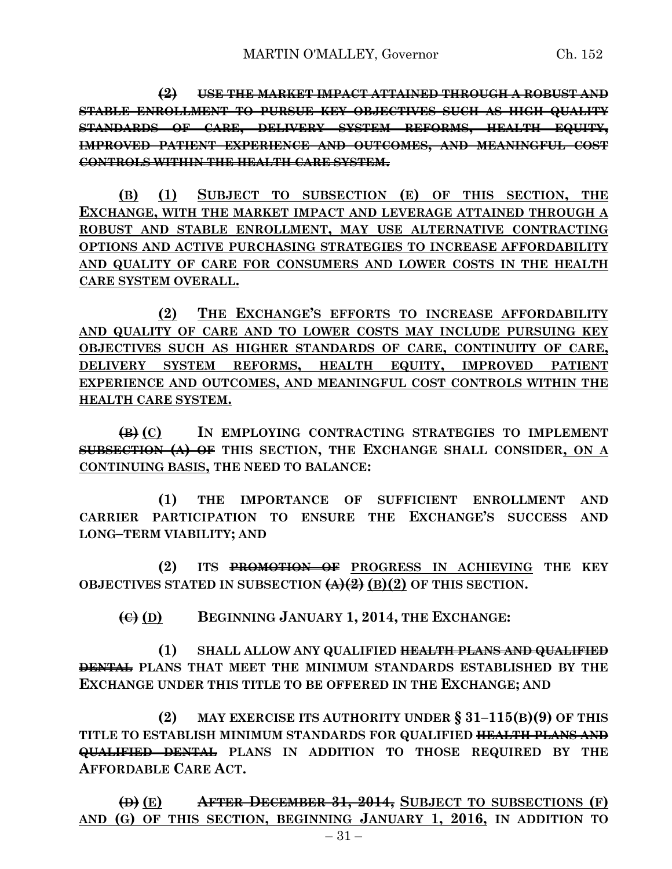**(2) USE THE MARKET IMPACT ATTAINED THROUGH A ROBUST AND STABLE ENROLLMENT TO PURSUE KEY OBJECTIVES SUCH AS HIGH QUALITY STANDARDS OF CARE, DELIVERY SYSTEM REFORMS, HEALTH EQUITY, IMPROVED PATIENT EXPERIENCE AND OUTCOMES, AND MEANINGFUL COST CONTROLS WITHIN THE HEALTH CARE SYSTEM.**

**(B) (1) SUBJECT TO SUBSECTION (E) OF THIS SECTION, THE EXCHANGE, WITH THE MARKET IMPACT AND LEVERAGE ATTAINED THROUGH A ROBUST AND STABLE ENROLLMENT, MAY USE ALTERNATIVE CONTRACTING OPTIONS AND ACTIVE PURCHASING STRATEGIES TO INCREASE AFFORDABILITY AND QUALITY OF CARE FOR CONSUMERS AND LOWER COSTS IN THE HEALTH CARE SYSTEM OVERALL.**

**(2) THE EXCHANGE'S EFFORTS TO INCREASE AFFORDABILITY AND QUALITY OF CARE AND TO LOWER COSTS MAY INCLUDE PURSUING KEY OBJECTIVES SUCH AS HIGHER STANDARDS OF CARE, CONTINUITY OF CARE, DELIVERY SYSTEM REFORMS, HEALTH EQUITY, IMPROVED PATIENT EXPERIENCE AND OUTCOMES, AND MEANINGFUL COST CONTROLS WITHIN THE HEALTH CARE SYSTEM.**

**(B) (C) IN EMPLOYING CONTRACTING STRATEGIES TO IMPLEMENT SUBSECTION (A) OF THIS SECTION, THE EXCHANGE SHALL CONSIDER, ON A CONTINUING BASIS, THE NEED TO BALANCE:**

**(1) THE IMPORTANCE OF SUFFICIENT ENROLLMENT AND CARRIER PARTICIPATION TO ENSURE THE EXCHANGE'S SUCCESS AND LONG–TERM VIABILITY; AND**

**(2) ITS PROMOTION OF PROGRESS IN ACHIEVING THE KEY OBJECTIVES STATED IN SUBSECTION (A)(2) (B)(2) OF THIS SECTION.**

**(C) (D) BEGINNING JANUARY 1, 2014, THE EXCHANGE:**

**(1) SHALL ALLOW ANY QUALIFIED HEALTH PLANS AND QUALIFIED DENTAL PLANS THAT MEET THE MINIMUM STANDARDS ESTABLISHED BY THE EXCHANGE UNDER THIS TITLE TO BE OFFERED IN THE EXCHANGE; AND**

**(2) MAY EXERCISE ITS AUTHORITY UNDER § 31–115(B)(9) OF THIS TITLE TO ESTABLISH MINIMUM STANDARDS FOR QUALIFIED HEALTH PLANS AND QUALIFIED DENTAL PLANS IN ADDITION TO THOSE REQUIRED BY THE AFFORDABLE CARE ACT.**

**(D) (E) AFTER DECEMBER 31, 2014, SUBJECT TO SUBSECTIONS (F) AND (G) OF THIS SECTION, BEGINNING JANUARY 1, 2016, IN ADDITION TO**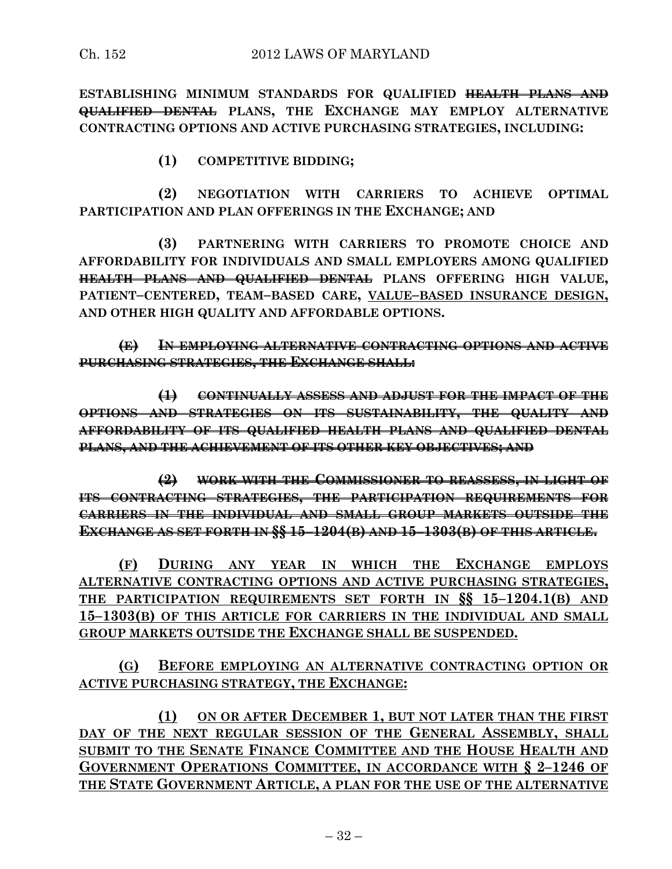**ESTABLISHING MINIMUM STANDARDS FOR QUALIFIED HEALTH PLANS AND QUALIFIED DENTAL PLANS, THE EXCHANGE MAY EMPLOY ALTERNATIVE CONTRACTING OPTIONS AND ACTIVE PURCHASING STRATEGIES, INCLUDING:**

**(1) COMPETITIVE BIDDING;**

**(2) NEGOTIATION WITH CARRIERS TO ACHIEVE OPTIMAL PARTICIPATION AND PLAN OFFERINGS IN THE EXCHANGE; AND** 

**(3) PARTNERING WITH CARRIERS TO PROMOTE CHOICE AND AFFORDABILITY FOR INDIVIDUALS AND SMALL EMPLOYERS AMONG QUALIFIED HEALTH PLANS AND QUALIFIED DENTAL PLANS OFFERING HIGH VALUE, PATIENT–CENTERED, TEAM–BASED CARE, VALUE–BASED INSURANCE DESIGN, AND OTHER HIGH QUALITY AND AFFORDABLE OPTIONS.**

**(E) IN EMPLOYING ALTERNATIVE CONTRACTING OPTIONS AND ACTIVE PURCHASING STRATEGIES, THE EXCHANGE SHALL:**

**(1) CONTINUALLY ASSESS AND ADJUST FOR THE IMPACT OF THE OPTIONS AND STRATEGIES ON ITS SUSTAINABILITY, THE QUALITY AND AFFORDABILITY OF ITS QUALIFIED HEALTH PLANS AND QUALIFIED DENTAL PLANS, AND THE ACHIEVEMENT OF ITS OTHER KEY OBJECTIVES; AND** 

**(2) WORK WITH THE COMMISSIONER TO REASSESS, IN LIGHT OF ITS CONTRACTING STRATEGIES, THE PARTICIPATION REQUIREMENTS FOR CARRIERS IN THE INDIVIDUAL AND SMALL GROUP MARKETS OUTSIDE THE EXCHANGE AS SET FORTH IN §§ 15–1204(B) AND 15–1303(B) OF THIS ARTICLE.**

**(F) DURING ANY YEAR IN WHICH THE EXCHANGE EMPLOYS ALTERNATIVE CONTRACTING OPTIONS AND ACTIVE PURCHASING STRATEGIES, THE PARTICIPATION REQUIREMENTS SET FORTH IN §§ 15–1204.1(B) AND 15–1303(B) OF THIS ARTICLE FOR CARRIERS IN THE INDIVIDUAL AND SMALL GROUP MARKETS OUTSIDE THE EXCHANGE SHALL BE SUSPENDED.**

# **(G) BEFORE EMPLOYING AN ALTERNATIVE CONTRACTING OPTION OR ACTIVE PURCHASING STRATEGY, THE EXCHANGE:**

**(1) ON OR AFTER DECEMBER 1, BUT NOT LATER THAN THE FIRST DAY OF THE NEXT REGULAR SESSION OF THE GENERAL ASSEMBLY, SHALL SUBMIT TO THE SENATE FINANCE COMMITTEE AND THE HOUSE HEALTH AND GOVERNMENT OPERATIONS COMMITTEE, IN ACCORDANCE WITH § 2–1246 OF THE STATE GOVERNMENT ARTICLE, A PLAN FOR THE USE OF THE ALTERNATIVE**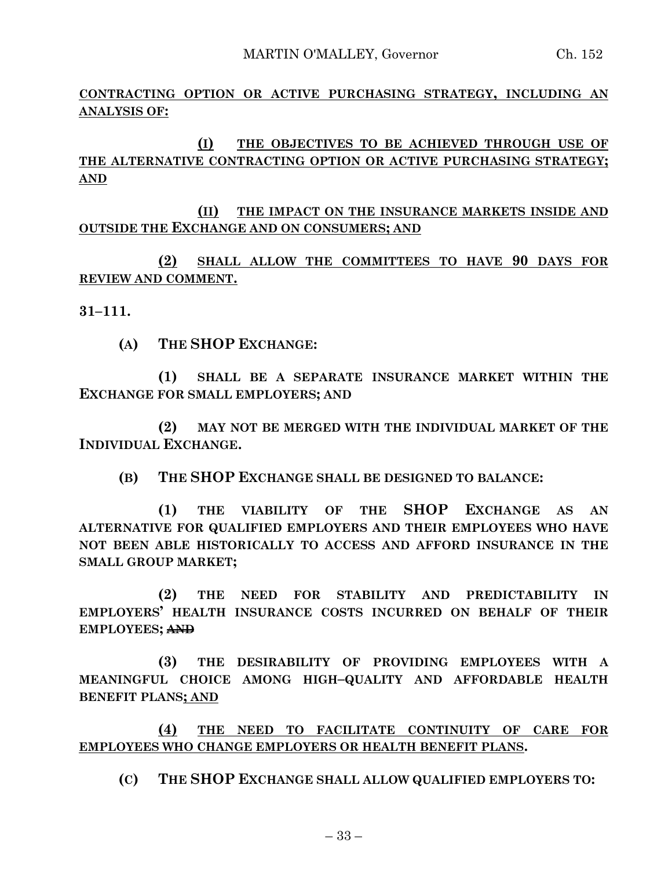**CONTRACTING OPTION OR ACTIVE PURCHASING STRATEGY, INCLUDING AN ANALYSIS OF:**

**(I) THE OBJECTIVES TO BE ACHIEVED THROUGH USE OF THE ALTERNATIVE CONTRACTING OPTION OR ACTIVE PURCHASING STRATEGY; AND**

**(II) THE IMPACT ON THE INSURANCE MARKETS INSIDE AND OUTSIDE THE EXCHANGE AND ON CONSUMERS; AND**

**(2) SHALL ALLOW THE COMMITTEES TO HAVE 90 DAYS FOR REVIEW AND COMMENT.**

**31–111.**

**(A) THE SHOP EXCHANGE:**

**(1) SHALL BE A SEPARATE INSURANCE MARKET WITHIN THE EXCHANGE FOR SMALL EMPLOYERS; AND** 

**(2) MAY NOT BE MERGED WITH THE INDIVIDUAL MARKET OF THE INDIVIDUAL EXCHANGE.**

**(B) THE SHOP EXCHANGE SHALL BE DESIGNED TO BALANCE:**

**(1) THE VIABILITY OF THE SHOP EXCHANGE AS AN ALTERNATIVE FOR QUALIFIED EMPLOYERS AND THEIR EMPLOYEES WHO HAVE NOT BEEN ABLE HISTORICALLY TO ACCESS AND AFFORD INSURANCE IN THE SMALL GROUP MARKET;**

**(2) THE NEED FOR STABILITY AND PREDICTABILITY IN EMPLOYERS' HEALTH INSURANCE COSTS INCURRED ON BEHALF OF THEIR EMPLOYEES; AND**

**(3) THE DESIRABILITY OF PROVIDING EMPLOYEES WITH A MEANINGFUL CHOICE AMONG HIGH–QUALITY AND AFFORDABLE HEALTH BENEFIT PLANS; AND**

**(4) THE NEED TO FACILITATE CONTINUITY OF CARE FOR EMPLOYEES WHO CHANGE EMPLOYERS OR HEALTH BENEFIT PLANS.**

**(C) THE SHOP EXCHANGE SHALL ALLOW QUALIFIED EMPLOYERS TO:**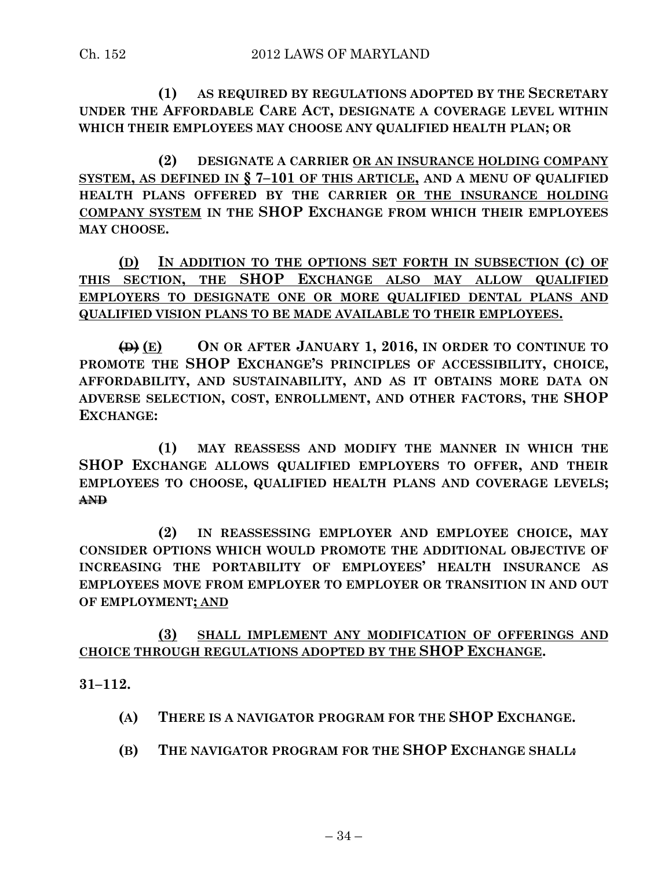**(1) AS REQUIRED BY REGULATIONS ADOPTED BY THE SECRETARY UNDER THE AFFORDABLE CARE ACT, DESIGNATE A COVERAGE LEVEL WITHIN WHICH THEIR EMPLOYEES MAY CHOOSE ANY QUALIFIED HEALTH PLAN; OR**

**(2) DESIGNATE A CARRIER OR AN INSURANCE HOLDING COMPANY SYSTEM, AS DEFINED IN § 7–101 OF THIS ARTICLE, AND A MENU OF QUALIFIED HEALTH PLANS OFFERED BY THE CARRIER OR THE INSURANCE HOLDING COMPANY SYSTEM IN THE SHOP EXCHANGE FROM WHICH THEIR EMPLOYEES MAY CHOOSE.**

**(D) IN ADDITION TO THE OPTIONS SET FORTH IN SUBSECTION (C) OF THIS SECTION, THE SHOP EXCHANGE ALSO MAY ALLOW QUALIFIED EMPLOYERS TO DESIGNATE ONE OR MORE QUALIFIED DENTAL PLANS AND QUALIFIED VISION PLANS TO BE MADE AVAILABLE TO THEIR EMPLOYEES.**

**(D) (E) ON OR AFTER JANUARY 1, 2016, IN ORDER TO CONTINUE TO PROMOTE THE SHOP EXCHANGE'S PRINCIPLES OF ACCESSIBILITY, CHOICE, AFFORDABILITY, AND SUSTAINABILITY, AND AS IT OBTAINS MORE DATA ON ADVERSE SELECTION, COST, ENROLLMENT, AND OTHER FACTORS, THE SHOP EXCHANGE:**

**(1) MAY REASSESS AND MODIFY THE MANNER IN WHICH THE SHOP EXCHANGE ALLOWS QUALIFIED EMPLOYERS TO OFFER, AND THEIR EMPLOYEES TO CHOOSE, QUALIFIED HEALTH PLANS AND COVERAGE LEVELS; AND**

**(2) IN REASSESSING EMPLOYER AND EMPLOYEE CHOICE, MAY CONSIDER OPTIONS WHICH WOULD PROMOTE THE ADDITIONAL OBJECTIVE OF INCREASING THE PORTABILITY OF EMPLOYEES' HEALTH INSURANCE AS EMPLOYEES MOVE FROM EMPLOYER TO EMPLOYER OR TRANSITION IN AND OUT OF EMPLOYMENT; AND**

**(3) SHALL IMPLEMENT ANY MODIFICATION OF OFFERINGS AND CHOICE THROUGH REGULATIONS ADOPTED BY THE SHOP EXCHANGE.**

**31–112.**

- **(A) THERE IS A NAVIGATOR PROGRAM FOR THE SHOP EXCHANGE.**
- **(B) THE NAVIGATOR PROGRAM FOR THE SHOP EXCHANGE SHALL:**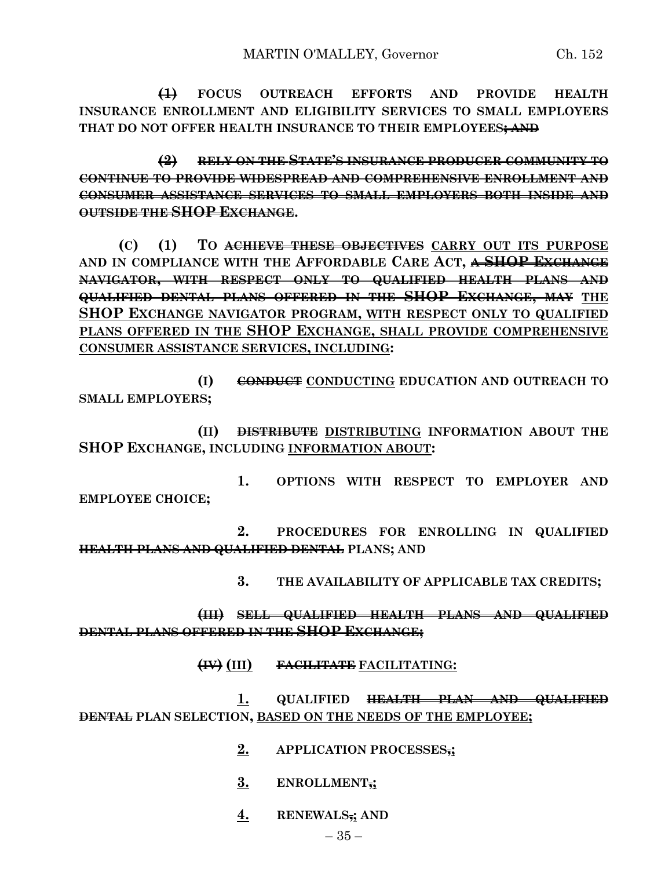**(1) FOCUS OUTREACH EFFORTS AND PROVIDE HEALTH INSURANCE ENROLLMENT AND ELIGIBILITY SERVICES TO SMALL EMPLOYERS THAT DO NOT OFFER HEALTH INSURANCE TO THEIR EMPLOYEES; AND**

**(2) RELY ON THE STATE'S INSURANCE PRODUCER COMMUNITY TO CONTINUE TO PROVIDE WIDESPREAD AND COMPREHENSIVE ENROLLMENT AND CONSUMER ASSISTANCE SERVICES TO SMALL EMPLOYERS BOTH INSIDE AND OUTSIDE THE SHOP EXCHANGE.**

**(C) (1) TO ACHIEVE THESE OBJECTIVES CARRY OUT ITS PURPOSE AND IN COMPLIANCE WITH THE AFFORDABLE CARE ACT, A SHOP EXCHANGE NAVIGATOR, WITH RESPECT ONLY TO QUALIFIED HEALTH PLANS AND QUALIFIED DENTAL PLANS OFFERED IN THE SHOP EXCHANGE, MAY THE SHOP EXCHANGE NAVIGATOR PROGRAM, WITH RESPECT ONLY TO QUALIFIED PLANS OFFERED IN THE SHOP EXCHANGE, SHALL PROVIDE COMPREHENSIVE CONSUMER ASSISTANCE SERVICES, INCLUDING:**

**(I) CONDUCT CONDUCTING EDUCATION AND OUTREACH TO SMALL EMPLOYERS;**

**(II) DISTRIBUTE DISTRIBUTING INFORMATION ABOUT THE SHOP EXCHANGE, INCLUDING INFORMATION ABOUT:**

**1. OPTIONS WITH RESPECT TO EMPLOYER AND EMPLOYEE CHOICE;**

**2. PROCEDURES FOR ENROLLING IN QUALIFIED HEALTH PLANS AND QUALIFIED DENTAL PLANS; AND** 

**3. THE AVAILABILITY OF APPLICABLE TAX CREDITS;**

**(III) SELL QUALIFIED HEALTH PLANS AND QUALIFIED DENTAL PLANS OFFERED IN THE SHOP EXCHANGE;**

**(IV) (III) FACILITATE FACILITATING:**

**1. QUALIFIED HEALTH PLAN AND QUALIFIED DENTAL PLAN SELECTION, BASED ON THE NEEDS OF THE EMPLOYEE;**

- **2. APPLICATION PROCESSES,;**
- **3. ENROLLMENT,;**
- **4. RENEWALS,; AND**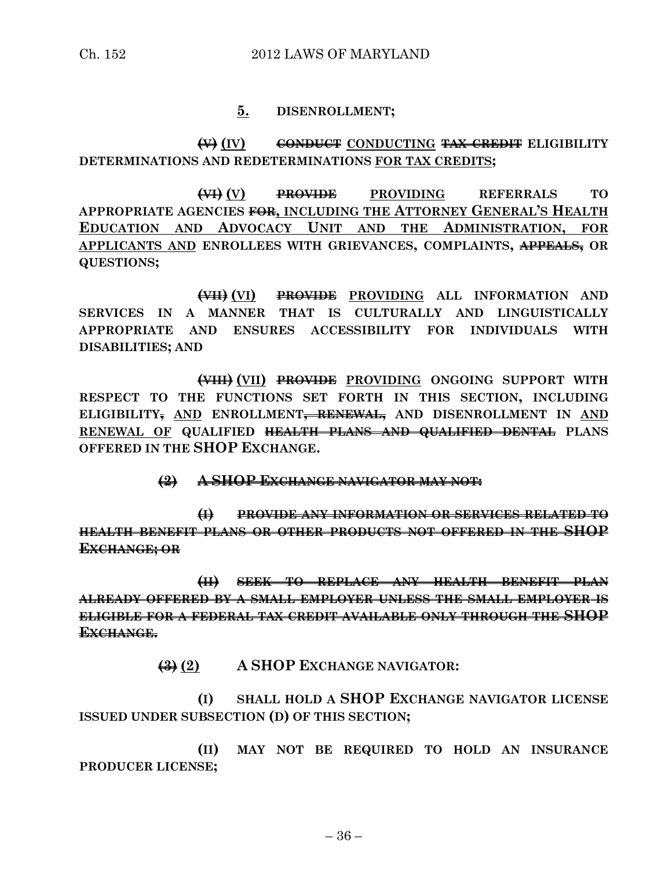#### **5. DISENROLLMENT;**

#### **(V) (IV) CONDUCT CONDUCTING TAX CREDIT ELIGIBILITY DETERMINATIONS AND REDETERMINATIONS FOR TAX CREDITS;**

**(VI) (V) PROVIDE PROVIDING REFERRALS TO APPROPRIATE AGENCIES FOR, INCLUDING THE ATTORNEY GENERAL'S HEALTH EDUCATION AND ADVOCACY UNIT AND THE ADMINISTRATION, FOR APPLICANTS AND ENROLLEES WITH GRIEVANCES, COMPLAINTS, APPEALS, OR QUESTIONS;**

**(VII) (VI) PROVIDE PROVIDING ALL INFORMATION AND SERVICES IN A MANNER THAT IS CULTURALLY AND LINGUISTICALLY APPROPRIATE AND ENSURES ACCESSIBILITY FOR INDIVIDUALS WITH DISABILITIES; AND**

**(VIII) (VII) PROVIDE PROVIDING ONGOING SUPPORT WITH RESPECT TO THE FUNCTIONS SET FORTH IN THIS SECTION, INCLUDING ELIGIBILITY, AND ENROLLMENT, RENEWAL, AND DISENROLLMENT IN AND RENEWAL OF QUALIFIED HEALTH PLANS AND QUALIFIED DENTAL PLANS OFFERED IN THE SHOP EXCHANGE.**

**(2) A SHOP EXCHANGE NAVIGATOR MAY NOT:**

**(I) PROVIDE ANY INFORMATION OR SERVICES RELATED TO HEALTH BENEFIT PLANS OR OTHER PRODUCTS NOT OFFERED IN THE SHOP EXCHANGE; OR**

**(II) SEEK TO REPLACE ANY HEALTH BENEFIT PLAN ALREADY OFFERED BY A SMALL EMPLOYER UNLESS THE SMALL EMPLOYER IS ELIGIBLE FOR A FEDERAL TAX CREDIT AVAILABLE ONLY THROUGH THE SHOP EXCHANGE.**

**(3) (2) A SHOP EXCHANGE NAVIGATOR:**

**(I) SHALL HOLD A SHOP EXCHANGE NAVIGATOR LICENSE ISSUED UNDER SUBSECTION (D) OF THIS SECTION;**

**(II) MAY NOT BE REQUIRED TO HOLD AN INSURANCE PRODUCER LICENSE;**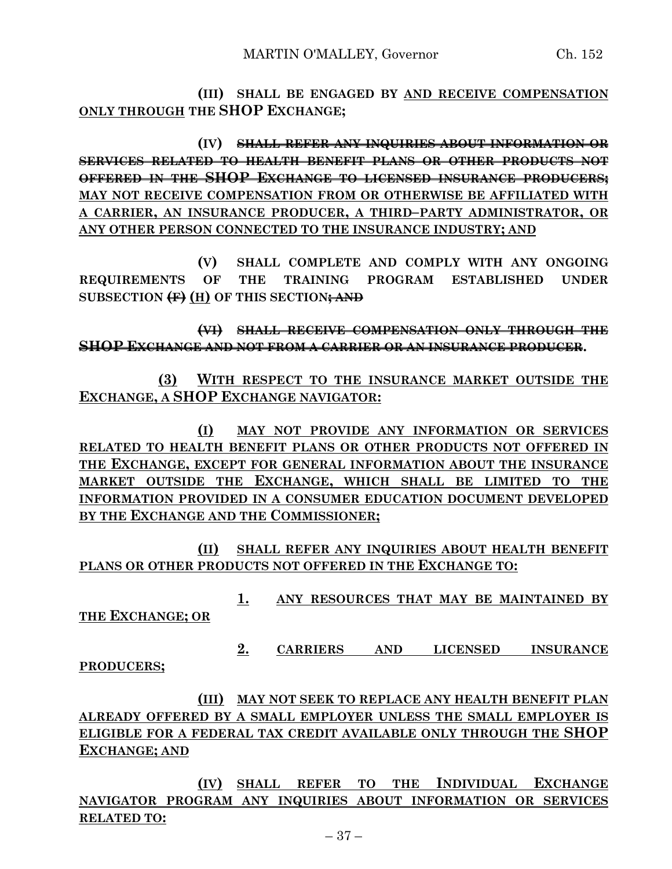**(III) SHALL BE ENGAGED BY AND RECEIVE COMPENSATION ONLY THROUGH THE SHOP EXCHANGE;**

**(IV) SHALL REFER ANY INQUIRIES ABOUT INFORMATION OR SERVICES RELATED TO HEALTH BENEFIT PLANS OR OTHER PRODUCTS NOT OFFERED IN THE SHOP EXCHANGE TO LICENSED INSURANCE PRODUCERS; MAY NOT RECEIVE COMPENSATION FROM OR OTHERWISE BE AFFILIATED WITH A CARRIER, AN INSURANCE PRODUCER, A THIRD–PARTY ADMINISTRATOR, OR ANY OTHER PERSON CONNECTED TO THE INSURANCE INDUSTRY; AND**

**(V) SHALL COMPLETE AND COMPLY WITH ANY ONGOING REQUIREMENTS OF THE TRAINING PROGRAM ESTABLISHED UNDER SUBSECTION (F) (H) OF THIS SECTION; AND**

**(VI) SHALL RECEIVE COMPENSATION ONLY THROUGH THE SHOP EXCHANGE AND NOT FROM A CARRIER OR AN INSURANCE PRODUCER.**

**(3) WITH RESPECT TO THE INSURANCE MARKET OUTSIDE THE EXCHANGE, A SHOP EXCHANGE NAVIGATOR:**

**(I) MAY NOT PROVIDE ANY INFORMATION OR SERVICES RELATED TO HEALTH BENEFIT PLANS OR OTHER PRODUCTS NOT OFFERED IN THE EXCHANGE, EXCEPT FOR GENERAL INFORMATION ABOUT THE INSURANCE MARKET OUTSIDE THE EXCHANGE, WHICH SHALL BE LIMITED TO THE INFORMATION PROVIDED IN A CONSUMER EDUCATION DOCUMENT DEVELOPED BY THE EXCHANGE AND THE COMMISSIONER;**

**(II) SHALL REFER ANY INQUIRIES ABOUT HEALTH BENEFIT PLANS OR OTHER PRODUCTS NOT OFFERED IN THE EXCHANGE TO:**

**1. ANY RESOURCES THAT MAY BE MAINTAINED BY** 

**THE EXCHANGE; OR**

**2. CARRIERS AND LICENSED INSURANCE** 

**PRODUCERS;**

**(III) MAY NOT SEEK TO REPLACE ANY HEALTH BENEFIT PLAN ALREADY OFFERED BY A SMALL EMPLOYER UNLESS THE SMALL EMPLOYER IS ELIGIBLE FOR A FEDERAL TAX CREDIT AVAILABLE ONLY THROUGH THE SHOP EXCHANGE; AND**

**(IV) SHALL REFER TO THE INDIVIDUAL EXCHANGE NAVIGATOR PROGRAM ANY INQUIRIES ABOUT INFORMATION OR SERVICES RELATED TO:**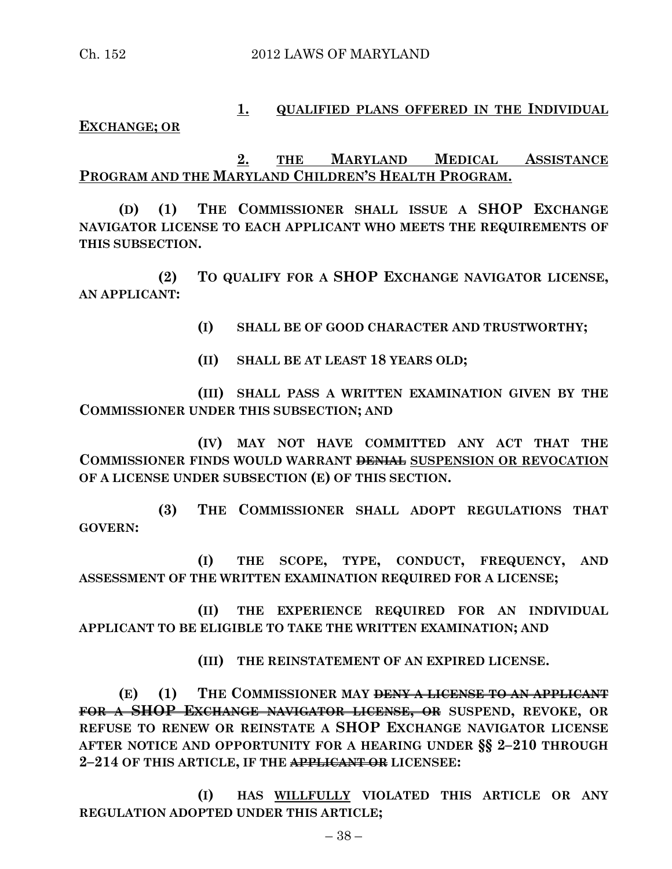### **1. QUALIFIED PLANS OFFERED IN THE INDIVIDUAL**

#### **EXCHANGE; OR**

# **2. THE MARYLAND MEDICAL ASSISTANCE PROGRAM AND THE MARYLAND CHILDREN'S HEALTH PROGRAM.**

**(D) (1) THE COMMISSIONER SHALL ISSUE A SHOP EXCHANGE NAVIGATOR LICENSE TO EACH APPLICANT WHO MEETS THE REQUIREMENTS OF THIS SUBSECTION.**

**(2) TO QUALIFY FOR A SHOP EXCHANGE NAVIGATOR LICENSE, AN APPLICANT:**

**(I) SHALL BE OF GOOD CHARACTER AND TRUSTWORTHY;**

**(II) SHALL BE AT LEAST 18 YEARS OLD;**

**(III) SHALL PASS A WRITTEN EXAMINATION GIVEN BY THE COMMISSIONER UNDER THIS SUBSECTION; AND**

**(IV) MAY NOT HAVE COMMITTED ANY ACT THAT THE COMMISSIONER FINDS WOULD WARRANT DENIAL SUSPENSION OR REVOCATION OF A LICENSE UNDER SUBSECTION (E) OF THIS SECTION.**

**(3) THE COMMISSIONER SHALL ADOPT REGULATIONS THAT GOVERN:**

**(I) THE SCOPE, TYPE, CONDUCT, FREQUENCY, AND ASSESSMENT OF THE WRITTEN EXAMINATION REQUIRED FOR A LICENSE;**

**(II) THE EXPERIENCE REQUIRED FOR AN INDIVIDUAL APPLICANT TO BE ELIGIBLE TO TAKE THE WRITTEN EXAMINATION; AND**

**(III) THE REINSTATEMENT OF AN EXPIRED LICENSE.**

**(E) (1) THE COMMISSIONER MAY DENY A LICENSE TO AN APPLICANT FOR A SHOP EXCHANGE NAVIGATOR LICENSE, OR SUSPEND, REVOKE, OR REFUSE TO RENEW OR REINSTATE A SHOP EXCHANGE NAVIGATOR LICENSE AFTER NOTICE AND OPPORTUNITY FOR A HEARING UNDER §§ 2–210 THROUGH 2–214 OF THIS ARTICLE, IF THE APPLICANT OR LICENSEE:**

**(I) HAS WILLFULLY VIOLATED THIS ARTICLE OR ANY REGULATION ADOPTED UNDER THIS ARTICLE;**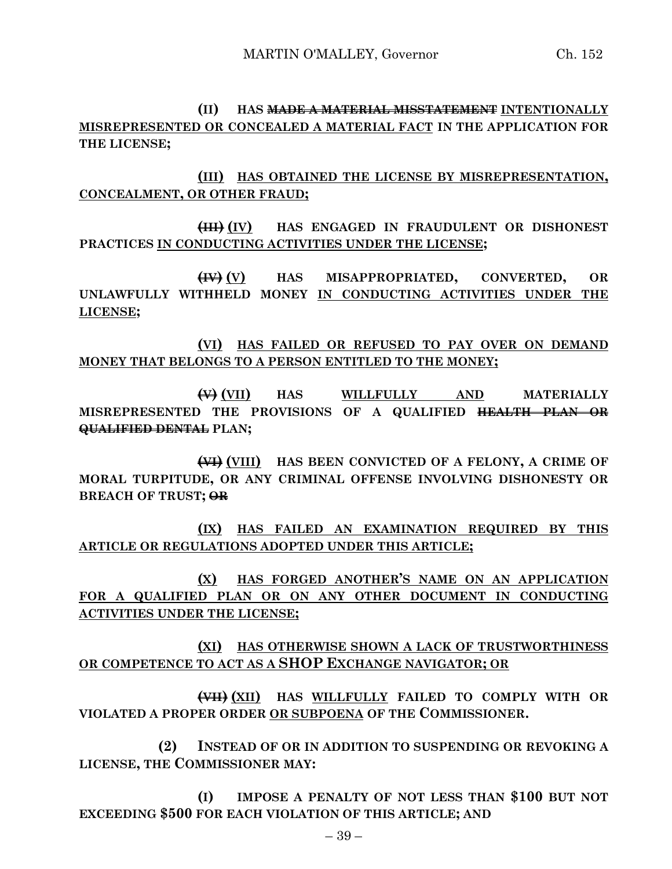**(II) HAS MADE A MATERIAL MISSTATEMENT INTENTIONALLY MISREPRESENTED OR CONCEALED A MATERIAL FACT IN THE APPLICATION FOR THE LICENSE;**

**(III) HAS OBTAINED THE LICENSE BY MISREPRESENTATION, CONCEALMENT, OR OTHER FRAUD;**

**(III) (IV) HAS ENGAGED IN FRAUDULENT OR DISHONEST PRACTICES IN CONDUCTING ACTIVITIES UNDER THE LICENSE;**

**(IV) (V) HAS MISAPPROPRIATED, CONVERTED, OR UNLAWFULLY WITHHELD MONEY IN CONDUCTING ACTIVITIES UNDER THE LICENSE;**

**(VI) HAS FAILED OR REFUSED TO PAY OVER ON DEMAND MONEY THAT BELONGS TO A PERSON ENTITLED TO THE MONEY;**

**(V) (VII) HAS WILLFULLY AND MATERIALLY MISREPRESENTED THE PROVISIONS OF A QUALIFIED HEALTH PLAN OR QUALIFIED DENTAL PLAN;**

**(VI) (VIII) HAS BEEN CONVICTED OF A FELONY, A CRIME OF MORAL TURPITUDE, OR ANY CRIMINAL OFFENSE INVOLVING DISHONESTY OR BREACH OF TRUST; OR**

**(IX) HAS FAILED AN EXAMINATION REQUIRED BY THIS ARTICLE OR REGULATIONS ADOPTED UNDER THIS ARTICLE;**

**(X) HAS FORGED ANOTHER'S NAME ON AN APPLICATION FOR A QUALIFIED PLAN OR ON ANY OTHER DOCUMENT IN CONDUCTING ACTIVITIES UNDER THE LICENSE;**

**(XI) HAS OTHERWISE SHOWN A LACK OF TRUSTWORTHINESS OR COMPETENCE TO ACT AS A SHOP EXCHANGE NAVIGATOR; OR**

**(VII) (XII) HAS WILLFULLY FAILED TO COMPLY WITH OR VIOLATED A PROPER ORDER OR SUBPOENA OF THE COMMISSIONER.**

**(2) INSTEAD OF OR IN ADDITION TO SUSPENDING OR REVOKING A LICENSE, THE COMMISSIONER MAY:**

**(I) IMPOSE A PENALTY OF NOT LESS THAN \$100 BUT NOT EXCEEDING \$500 FOR EACH VIOLATION OF THIS ARTICLE; AND**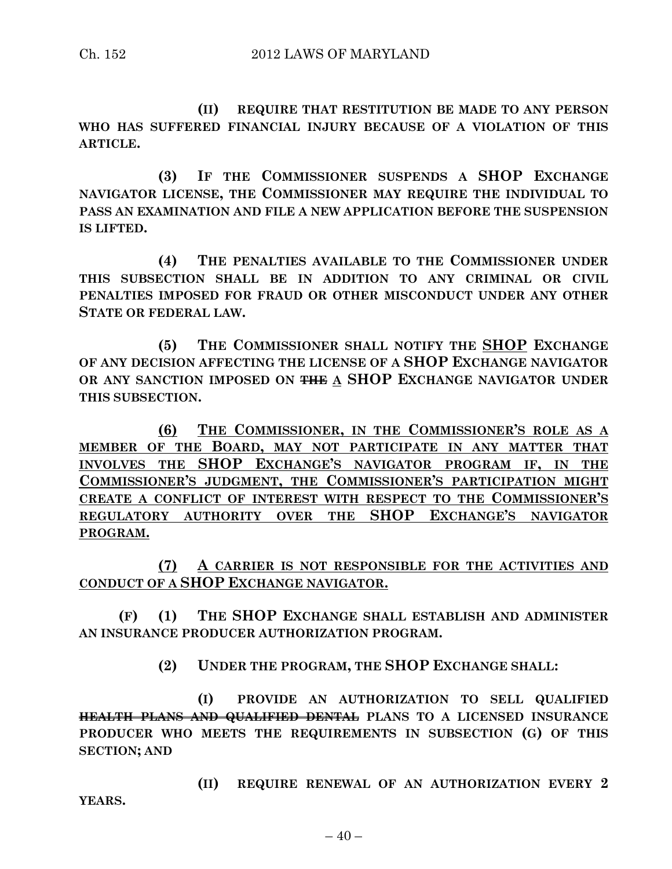**(II) REQUIRE THAT RESTITUTION BE MADE TO ANY PERSON WHO HAS SUFFERED FINANCIAL INJURY BECAUSE OF A VIOLATION OF THIS ARTICLE.**

**(3) IF THE COMMISSIONER SUSPENDS A SHOP EXCHANGE NAVIGATOR LICENSE, THE COMMISSIONER MAY REQUIRE THE INDIVIDUAL TO PASS AN EXAMINATION AND FILE A NEW APPLICATION BEFORE THE SUSPENSION IS LIFTED.**

**(4) THE PENALTIES AVAILABLE TO THE COMMISSIONER UNDER THIS SUBSECTION SHALL BE IN ADDITION TO ANY CRIMINAL OR CIVIL PENALTIES IMPOSED FOR FRAUD OR OTHER MISCONDUCT UNDER ANY OTHER STATE OR FEDERAL LAW.**

**(5) THE COMMISSIONER SHALL NOTIFY THE SHOP EXCHANGE OF ANY DECISION AFFECTING THE LICENSE OF A SHOP EXCHANGE NAVIGATOR OR ANY SANCTION IMPOSED ON THE A SHOP EXCHANGE NAVIGATOR UNDER THIS SUBSECTION.**

**(6) THE COMMISSIONER, IN THE COMMISSIONER'S ROLE AS A MEMBER OF THE BOARD, MAY NOT PARTICIPATE IN ANY MATTER THAT INVOLVES THE SHOP EXCHANGE'S NAVIGATOR PROGRAM IF, IN THE COMMISSIONER'S JUDGMENT, THE COMMISSIONER'S PARTICIPATION MIGHT CREATE A CONFLICT OF INTEREST WITH RESPECT TO THE COMMISSIONER'S REGULATORY AUTHORITY OVER THE SHOP EXCHANGE'S NAVIGATOR PROGRAM.**

**(7) A CARRIER IS NOT RESPONSIBLE FOR THE ACTIVITIES AND CONDUCT OF A SHOP EXCHANGE NAVIGATOR.**

**(F) (1) THE SHOP EXCHANGE SHALL ESTABLISH AND ADMINISTER AN INSURANCE PRODUCER AUTHORIZATION PROGRAM.**

**(2) UNDER THE PROGRAM, THE SHOP EXCHANGE SHALL:**

**(I) PROVIDE AN AUTHORIZATION TO SELL QUALIFIED HEALTH PLANS AND QUALIFIED DENTAL PLANS TO A LICENSED INSURANCE PRODUCER WHO MEETS THE REQUIREMENTS IN SUBSECTION (G) OF THIS SECTION; AND**

**(II) REQUIRE RENEWAL OF AN AUTHORIZATION EVERY 2 YEARS.**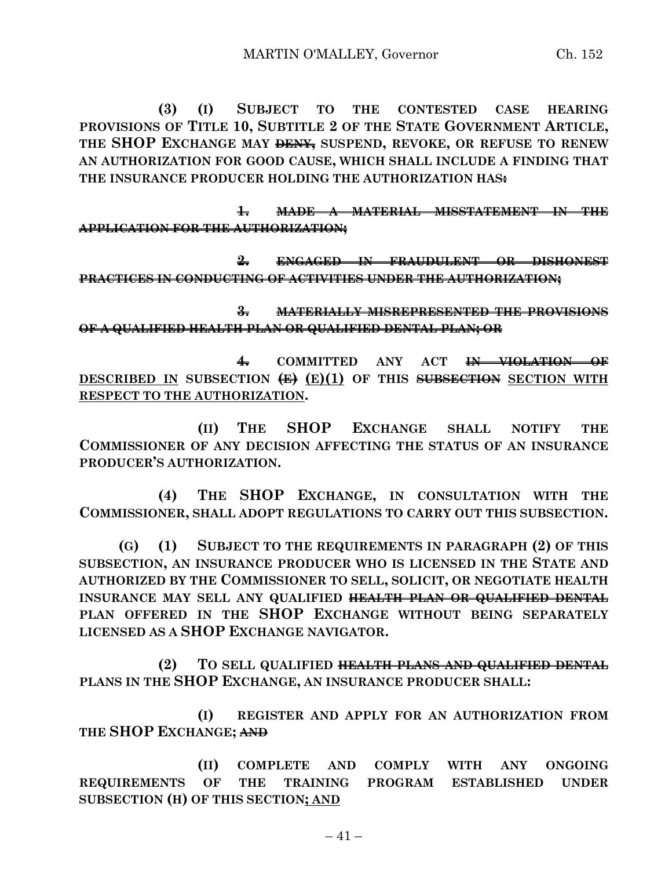**(3) (I) SUBJECT TO THE CONTESTED CASE HEARING PROVISIONS OF TITLE 10, SUBTITLE 2 OF THE STATE GOVERNMENT ARTICLE, THE SHOP EXCHANGE MAY DENY, SUSPEND, REVOKE, OR REFUSE TO RENEW AN AUTHORIZATION FOR GOOD CAUSE, WHICH SHALL INCLUDE A FINDING THAT THE INSURANCE PRODUCER HOLDING THE AUTHORIZATION HAS:**

**1. MADE A MATERIAL MISSTATEMENT IN THE APPLICATION FOR THE AUTHORIZATION;**

**2. ENGAGED IN FRAUDULENT OR DISHONEST PRACTICES IN CONDUCTING OF ACTIVITIES UNDER THE AUTHORIZATION;**

**3. MATERIALLY MISREPRESENTED THE PROVISIONS OF A QUALIFIED HEALTH PLAN OR QUALIFIED DENTAL PLAN; OR**

**4. COMMITTED ANY ACT IN VIOLATION OF DESCRIBED IN SUBSECTION (E) (E)(1) OF THIS SUBSECTION SECTION WITH RESPECT TO THE AUTHORIZATION.**

**(II) THE SHOP EXCHANGE SHALL NOTIFY THE COMMISSIONER OF ANY DECISION AFFECTING THE STATUS OF AN INSURANCE PRODUCER'S AUTHORIZATION.**

**(4) THE SHOP EXCHANGE, IN CONSULTATION WITH THE COMMISSIONER, SHALL ADOPT REGULATIONS TO CARRY OUT THIS SUBSECTION.**

**(G) (1) SUBJECT TO THE REQUIREMENTS IN PARAGRAPH (2) OF THIS SUBSECTION, AN INSURANCE PRODUCER WHO IS LICENSED IN THE STATE AND AUTHORIZED BY THE COMMISSIONER TO SELL, SOLICIT, OR NEGOTIATE HEALTH INSURANCE MAY SELL ANY QUALIFIED HEALTH PLAN OR QUALIFIED DENTAL PLAN OFFERED IN THE SHOP EXCHANGE WITHOUT BEING SEPARATELY LICENSED AS A SHOP EXCHANGE NAVIGATOR.**

**(2) TO SELL QUALIFIED HEALTH PLANS AND QUALIFIED DENTAL PLANS IN THE SHOP EXCHANGE, AN INSURANCE PRODUCER SHALL:**

**(I) REGISTER AND APPLY FOR AN AUTHORIZATION FROM THE SHOP EXCHANGE; AND**

**(II) COMPLETE AND COMPLY WITH ANY ONGOING REQUIREMENTS OF THE TRAINING PROGRAM ESTABLISHED UNDER SUBSECTION (H) OF THIS SECTION; AND**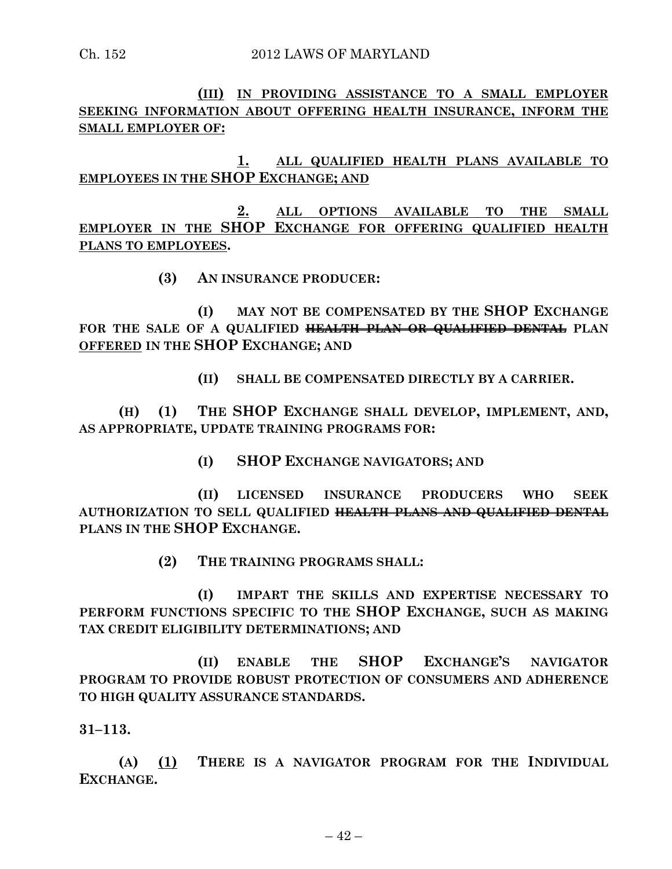**(III) IN PROVIDING ASSISTANCE TO A SMALL EMPLOYER SEEKING INFORMATION ABOUT OFFERING HEALTH INSURANCE, INFORM THE SMALL EMPLOYER OF:**

**1. ALL QUALIFIED HEALTH PLANS AVAILABLE TO EMPLOYEES IN THE SHOP EXCHANGE; AND**

**2. ALL OPTIONS AVAILABLE TO THE SMALL EMPLOYER IN THE SHOP EXCHANGE FOR OFFERING QUALIFIED HEALTH PLANS TO EMPLOYEES.**

**(3) AN INSURANCE PRODUCER:**

**(I) MAY NOT BE COMPENSATED BY THE SHOP EXCHANGE FOR THE SALE OF A QUALIFIED HEALTH PLAN OR QUALIFIED DENTAL PLAN OFFERED IN THE SHOP EXCHANGE; AND**

**(II) SHALL BE COMPENSATED DIRECTLY BY A CARRIER.**

**(H) (1) THE SHOP EXCHANGE SHALL DEVELOP, IMPLEMENT, AND, AS APPROPRIATE, UPDATE TRAINING PROGRAMS FOR:**

**(I) SHOP EXCHANGE NAVIGATORS; AND** 

**(II) LICENSED INSURANCE PRODUCERS WHO SEEK AUTHORIZATION TO SELL QUALIFIED HEALTH PLANS AND QUALIFIED DENTAL PLANS IN THE SHOP EXCHANGE.**

**(2) THE TRAINING PROGRAMS SHALL:**

**(I) IMPART THE SKILLS AND EXPERTISE NECESSARY TO PERFORM FUNCTIONS SPECIFIC TO THE SHOP EXCHANGE, SUCH AS MAKING TAX CREDIT ELIGIBILITY DETERMINATIONS; AND**

**(II) ENABLE THE SHOP EXCHANGE'S NAVIGATOR PROGRAM TO PROVIDE ROBUST PROTECTION OF CONSUMERS AND ADHERENCE TO HIGH QUALITY ASSURANCE STANDARDS.**

**31–113.**

**(A) (1) THERE IS A NAVIGATOR PROGRAM FOR THE INDIVIDUAL EXCHANGE.**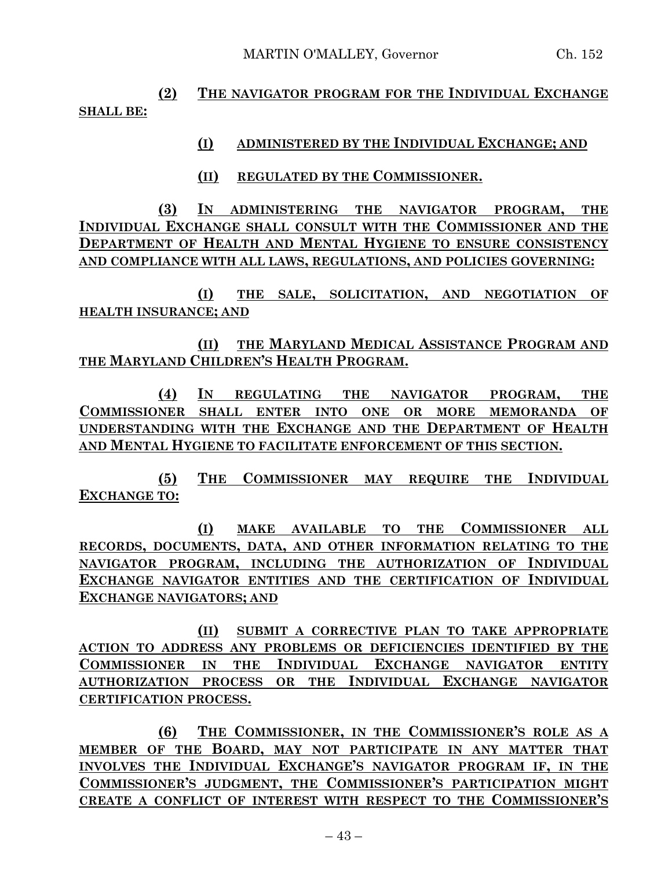**(2) THE NAVIGATOR PROGRAM FOR THE INDIVIDUAL EXCHANGE SHALL BE:**

#### **(I) ADMINISTERED BY THE INDIVIDUAL EXCHANGE; AND**

**(II) REGULATED BY THE COMMISSIONER.**

**(3) IN ADMINISTERING THE NAVIGATOR PROGRAM, THE INDIVIDUAL EXCHANGE SHALL CONSULT WITH THE COMMISSIONER AND THE DEPARTMENT OF HEALTH AND MENTAL HYGIENE TO ENSURE CONSISTENCY AND COMPLIANCE WITH ALL LAWS, REGULATIONS, AND POLICIES GOVERNING:**

**(I) THE SALE, SOLICITATION, AND NEGOTIATION OF HEALTH INSURANCE; AND**

**(II) THE MARYLAND MEDICAL ASSISTANCE PROGRAM AND THE MARYLAND CHILDREN'S HEALTH PROGRAM.**

**(4) IN REGULATING THE NAVIGATOR PROGRAM, THE COMMISSIONER SHALL ENTER INTO ONE OR MORE MEMORANDA OF UNDERSTANDING WITH THE EXCHANGE AND THE DEPARTMENT OF HEALTH AND MENTAL HYGIENE TO FACILITATE ENFORCEMENT OF THIS SECTION.**

**(5) THE COMMISSIONER MAY REQUIRE THE INDIVIDUAL EXCHANGE TO:**

**(I) MAKE AVAILABLE TO THE COMMISSIONER ALL RECORDS, DOCUMENTS, DATA, AND OTHER INFORMATION RELATING TO THE NAVIGATOR PROGRAM, INCLUDING THE AUTHORIZATION OF INDIVIDUAL EXCHANGE NAVIGATOR ENTITIES AND THE CERTIFICATION OF INDIVIDUAL EXCHANGE NAVIGATORS; AND**

**(II) SUBMIT A CORRECTIVE PLAN TO TAKE APPROPRIATE ACTION TO ADDRESS ANY PROBLEMS OR DEFICIENCIES IDENTIFIED BY THE COMMISSIONER IN THE INDIVIDUAL EXCHANGE NAVIGATOR ENTITY AUTHORIZATION PROCESS OR THE INDIVIDUAL EXCHANGE NAVIGATOR CERTIFICATION PROCESS.**

**(6) THE COMMISSIONER, IN THE COMMISSIONER'S ROLE AS A MEMBER OF THE BOARD, MAY NOT PARTICIPATE IN ANY MATTER THAT INVOLVES THE INDIVIDUAL EXCHANGE'S NAVIGATOR PROGRAM IF, IN THE COMMISSIONER'S JUDGMENT, THE COMMISSIONER'S PARTICIPATION MIGHT CREATE A CONFLICT OF INTEREST WITH RESPECT TO THE COMMISSIONER'S**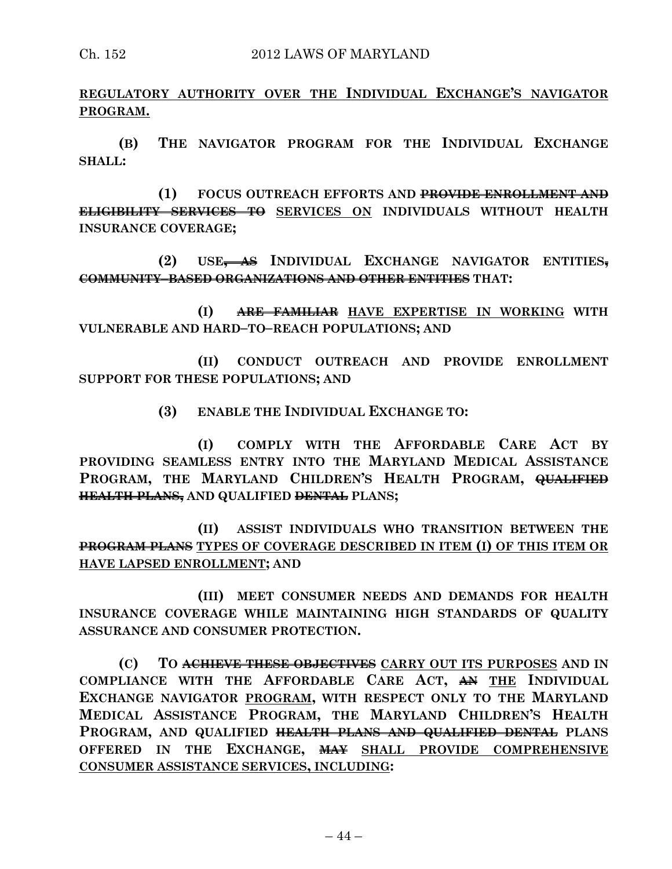**REGULATORY AUTHORITY OVER THE INDIVIDUAL EXCHANGE'S NAVIGATOR PROGRAM.**

**(B) THE NAVIGATOR PROGRAM FOR THE INDIVIDUAL EXCHANGE SHALL:**

**(1) FOCUS OUTREACH EFFORTS AND PROVIDE ENROLLMENT AND ELIGIBILITY SERVICES TO SERVICES ON INDIVIDUALS WITHOUT HEALTH INSURANCE COVERAGE;**

**(2) USE, AS INDIVIDUAL EXCHANGE NAVIGATOR ENTITIES, COMMUNITY–BASED ORGANIZATIONS AND OTHER ENTITIES THAT:**

**(I) ARE FAMILIAR HAVE EXPERTISE IN WORKING WITH VULNERABLE AND HARD–TO–REACH POPULATIONS; AND** 

**(II) CONDUCT OUTREACH AND PROVIDE ENROLLMENT SUPPORT FOR THESE POPULATIONS; AND**

**(3) ENABLE THE INDIVIDUAL EXCHANGE TO:**

**(I) COMPLY WITH THE AFFORDABLE CARE ACT BY PROVIDING SEAMLESS ENTRY INTO THE MARYLAND MEDICAL ASSISTANCE PROGRAM, THE MARYLAND CHILDREN'S HEALTH PROGRAM, QUALIFIED HEALTH PLANS, AND QUALIFIED DENTAL PLANS;**

**(II) ASSIST INDIVIDUALS WHO TRANSITION BETWEEN THE PROGRAM PLANS TYPES OF COVERAGE DESCRIBED IN ITEM (I) OF THIS ITEM OR HAVE LAPSED ENROLLMENT; AND** 

**(III) MEET CONSUMER NEEDS AND DEMANDS FOR HEALTH INSURANCE COVERAGE WHILE MAINTAINING HIGH STANDARDS OF QUALITY ASSURANCE AND CONSUMER PROTECTION.**

**(C) TO ACHIEVE THESE OBJECTIVES CARRY OUT ITS PURPOSES AND IN COMPLIANCE WITH THE AFFORDABLE CARE ACT, AN THE INDIVIDUAL EXCHANGE NAVIGATOR PROGRAM, WITH RESPECT ONLY TO THE MARYLAND MEDICAL ASSISTANCE PROGRAM, THE MARYLAND CHILDREN'S HEALTH PROGRAM, AND QUALIFIED HEALTH PLANS AND QUALIFIED DENTAL PLANS OFFERED IN THE EXCHANGE, MAY SHALL PROVIDE COMPREHENSIVE CONSUMER ASSISTANCE SERVICES, INCLUDING:**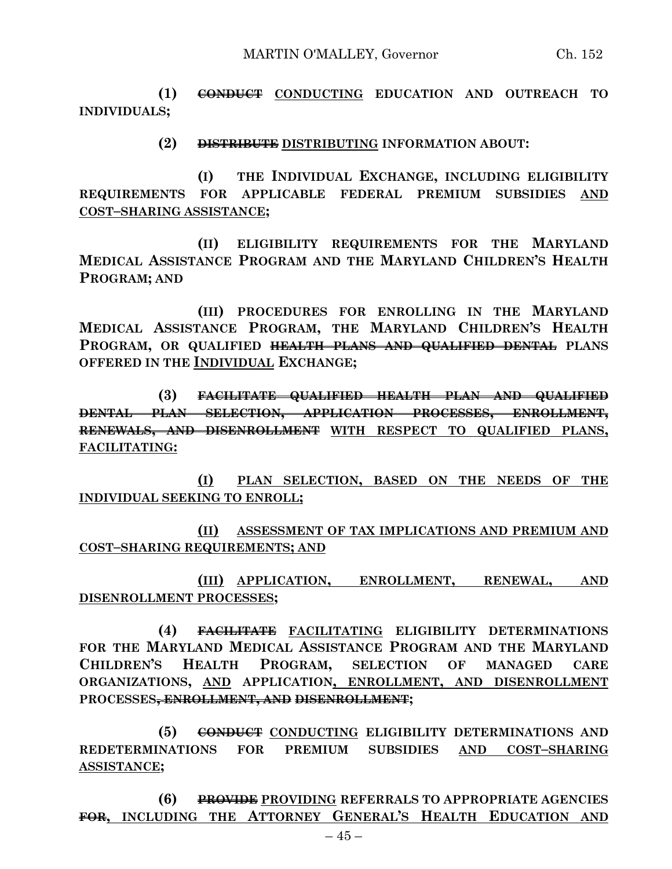**(1) CONDUCT CONDUCTING EDUCATION AND OUTREACH TO INDIVIDUALS;**

**(2) DISTRIBUTE DISTRIBUTING INFORMATION ABOUT:**

**(I) THE INDIVIDUAL EXCHANGE, INCLUDING ELIGIBILITY REQUIREMENTS FOR APPLICABLE FEDERAL PREMIUM SUBSIDIES AND COST–SHARING ASSISTANCE;**

**(II) ELIGIBILITY REQUIREMENTS FOR THE MARYLAND MEDICAL ASSISTANCE PROGRAM AND THE MARYLAND CHILDREN'S HEALTH PROGRAM; AND**

**(III) PROCEDURES FOR ENROLLING IN THE MARYLAND MEDICAL ASSISTANCE PROGRAM, THE MARYLAND CHILDREN'S HEALTH PROGRAM, OR QUALIFIED HEALTH PLANS AND QUALIFIED DENTAL PLANS OFFERED IN THE INDIVIDUAL EXCHANGE;**

**(3) FACILITATE QUALIFIED HEALTH PLAN AND QUALIFIED DENTAL PLAN SELECTION, APPLICATION PROCESSES, ENROLLMENT, RENEWALS, AND DISENROLLMENT WITH RESPECT TO QUALIFIED PLANS, FACILITATING:**

**(I) PLAN SELECTION, BASED ON THE NEEDS OF THE INDIVIDUAL SEEKING TO ENROLL;**

**(II) ASSESSMENT OF TAX IMPLICATIONS AND PREMIUM AND COST–SHARING REQUIREMENTS; AND**

**(III) APPLICATION, ENROLLMENT, RENEWAL, AND DISENROLLMENT PROCESSES;**

**(4) FACILITATE FACILITATING ELIGIBILITY DETERMINATIONS FOR THE MARYLAND MEDICAL ASSISTANCE PROGRAM AND THE MARYLAND CHILDREN'S HEALTH PROGRAM, SELECTION OF MANAGED CARE ORGANIZATIONS, AND APPLICATION, ENROLLMENT, AND DISENROLLMENT PROCESSES, ENROLLMENT, AND DISENROLLMENT;**

**(5) CONDUCT CONDUCTING ELIGIBILITY DETERMINATIONS AND REDETERMINATIONS FOR PREMIUM SUBSIDIES AND COST–SHARING ASSISTANCE;**

**(6) PROVIDE PROVIDING REFERRALS TO APPROPRIATE AGENCIES FOR, INCLUDING THE ATTORNEY GENERAL'S HEALTH EDUCATION AND**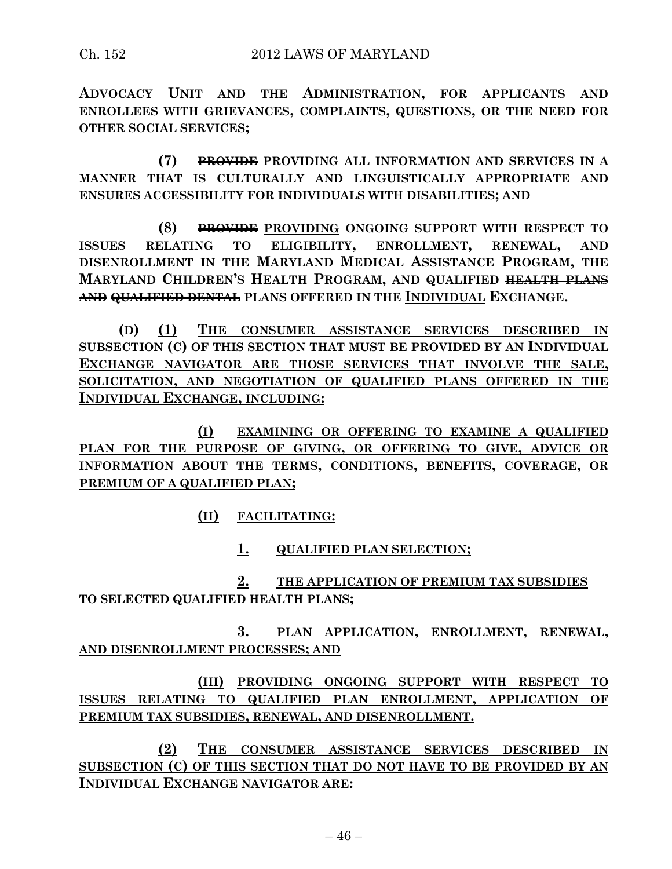**ADVOCACY UNIT AND THE ADMINISTRATION, FOR APPLICANTS AND ENROLLEES WITH GRIEVANCES, COMPLAINTS, QUESTIONS, OR THE NEED FOR OTHER SOCIAL SERVICES;**

**(7) PROVIDE PROVIDING ALL INFORMATION AND SERVICES IN A MANNER THAT IS CULTURALLY AND LINGUISTICALLY APPROPRIATE AND ENSURES ACCESSIBILITY FOR INDIVIDUALS WITH DISABILITIES; AND**

**(8) PROVIDE PROVIDING ONGOING SUPPORT WITH RESPECT TO ISSUES RELATING TO ELIGIBILITY, ENROLLMENT, RENEWAL, AND DISENROLLMENT IN THE MARYLAND MEDICAL ASSISTANCE PROGRAM, THE MARYLAND CHILDREN'S HEALTH PROGRAM, AND QUALIFIED HEALTH PLANS AND QUALIFIED DENTAL PLANS OFFERED IN THE INDIVIDUAL EXCHANGE.**

**(D) (1) THE CONSUMER ASSISTANCE SERVICES DESCRIBED IN SUBSECTION (C) OF THIS SECTION THAT MUST BE PROVIDED BY AN INDIVIDUAL EXCHANGE NAVIGATOR ARE THOSE SERVICES THAT INVOLVE THE SALE, SOLICITATION, AND NEGOTIATION OF QUALIFIED PLANS OFFERED IN THE INDIVIDUAL EXCHANGE, INCLUDING:**

**(I) EXAMINING OR OFFERING TO EXAMINE A QUALIFIED PLAN FOR THE PURPOSE OF GIVING, OR OFFERING TO GIVE, ADVICE OR INFORMATION ABOUT THE TERMS, CONDITIONS, BENEFITS, COVERAGE, OR PREMIUM OF A QUALIFIED PLAN;**

**(II) FACILITATING:**

**1. QUALIFIED PLAN SELECTION;**

**2. THE APPLICATION OF PREMIUM TAX SUBSIDIES TO SELECTED QUALIFIED HEALTH PLANS;**

**3. PLAN APPLICATION, ENROLLMENT, RENEWAL, AND DISENROLLMENT PROCESSES; AND**

**(III) PROVIDING ONGOING SUPPORT WITH RESPECT TO ISSUES RELATING TO QUALIFIED PLAN ENROLLMENT, APPLICATION OF PREMIUM TAX SUBSIDIES, RENEWAL, AND DISENROLLMENT.**

**(2) THE CONSUMER ASSISTANCE SERVICES DESCRIBED IN SUBSECTION (C) OF THIS SECTION THAT DO NOT HAVE TO BE PROVIDED BY AN INDIVIDUAL EXCHANGE NAVIGATOR ARE:**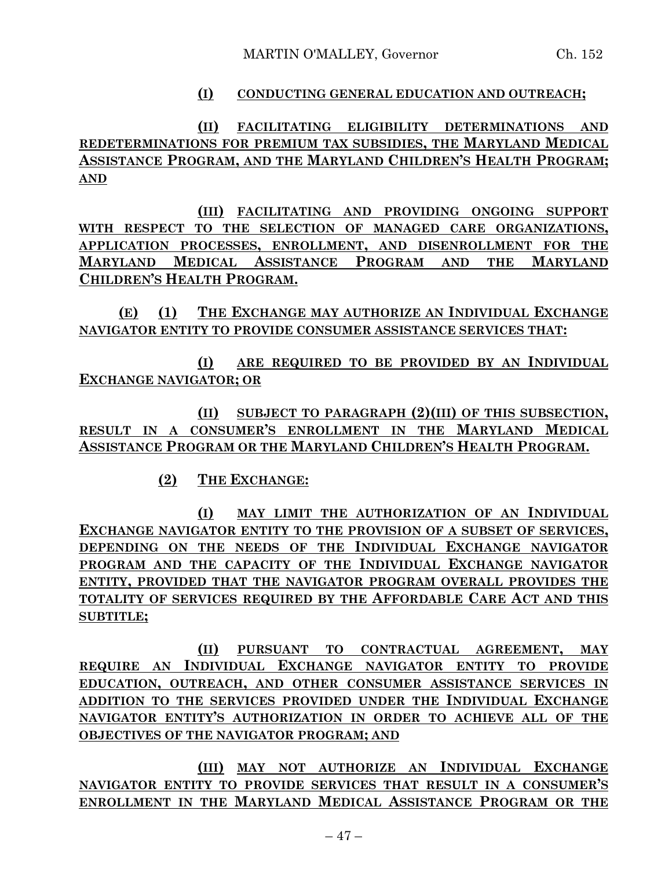### **(I) CONDUCTING GENERAL EDUCATION AND OUTREACH;**

**(II) FACILITATING ELIGIBILITY DETERMINATIONS AND REDETERMINATIONS FOR PREMIUM TAX SUBSIDIES, THE MARYLAND MEDICAL ASSISTANCE PROGRAM, AND THE MARYLAND CHILDREN'S HEALTH PROGRAM; AND**

**(III) FACILITATING AND PROVIDING ONGOING SUPPORT WITH RESPECT TO THE SELECTION OF MANAGED CARE ORGANIZATIONS, APPLICATION PROCESSES, ENROLLMENT, AND DISENROLLMENT FOR THE MARYLAND MEDICAL ASSISTANCE PROGRAM AND THE MARYLAND CHILDREN'S HEALTH PROGRAM.**

**(E) (1) THE EXCHANGE MAY AUTHORIZE AN INDIVIDUAL EXCHANGE NAVIGATOR ENTITY TO PROVIDE CONSUMER ASSISTANCE SERVICES THAT:**

**(I) ARE REQUIRED TO BE PROVIDED BY AN INDIVIDUAL EXCHANGE NAVIGATOR; OR**

**(II) SUBJECT TO PARAGRAPH (2)(III) OF THIS SUBSECTION, RESULT IN A CONSUMER'S ENROLLMENT IN THE MARYLAND MEDICAL ASSISTANCE PROGRAM OR THE MARYLAND CHILDREN'S HEALTH PROGRAM.**

**(2) THE EXCHANGE:**

**(I) MAY LIMIT THE AUTHORIZATION OF AN INDIVIDUAL EXCHANGE NAVIGATOR ENTITY TO THE PROVISION OF A SUBSET OF SERVICES, DEPENDING ON THE NEEDS OF THE INDIVIDUAL EXCHANGE NAVIGATOR PROGRAM AND THE CAPACITY OF THE INDIVIDUAL EXCHANGE NAVIGATOR ENTITY, PROVIDED THAT THE NAVIGATOR PROGRAM OVERALL PROVIDES THE TOTALITY OF SERVICES REQUIRED BY THE AFFORDABLE CARE ACT AND THIS SUBTITLE;**

**(II) PURSUANT TO CONTRACTUAL AGREEMENT, MAY REQUIRE AN INDIVIDUAL EXCHANGE NAVIGATOR ENTITY TO PROVIDE EDUCATION, OUTREACH, AND OTHER CONSUMER ASSISTANCE SERVICES IN ADDITION TO THE SERVICES PROVIDED UNDER THE INDIVIDUAL EXCHANGE NAVIGATOR ENTITY'S AUTHORIZATION IN ORDER TO ACHIEVE ALL OF THE OBJECTIVES OF THE NAVIGATOR PROGRAM; AND**

**(III) MAY NOT AUTHORIZE AN INDIVIDUAL EXCHANGE NAVIGATOR ENTITY TO PROVIDE SERVICES THAT RESULT IN A CONSUMER'S ENROLLMENT IN THE MARYLAND MEDICAL ASSISTANCE PROGRAM OR THE**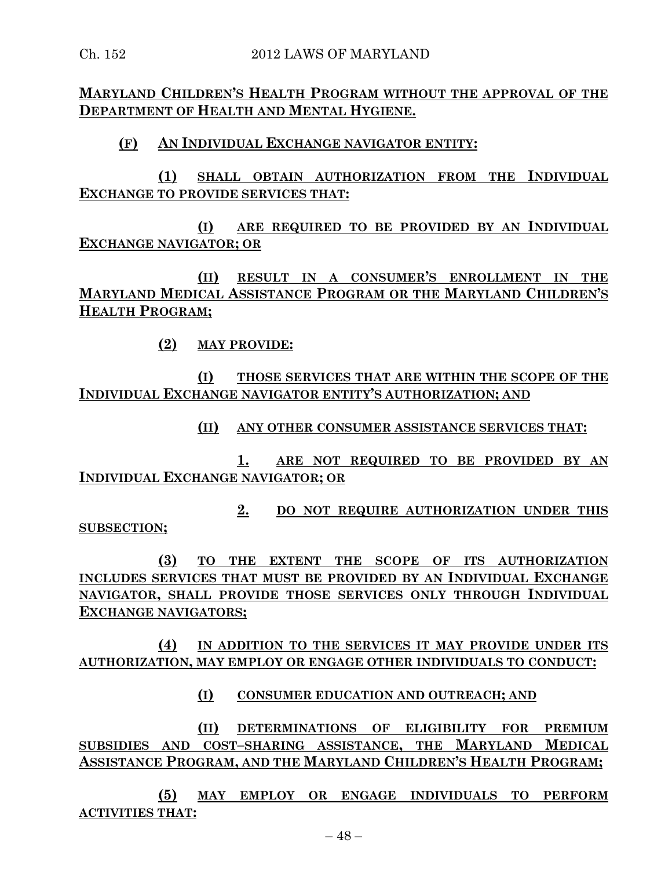**MARYLAND CHILDREN'S HEALTH PROGRAM WITHOUT THE APPROVAL OF THE DEPARTMENT OF HEALTH AND MENTAL HYGIENE.**

### **(F) AN INDIVIDUAL EXCHANGE NAVIGATOR ENTITY:**

**(1) SHALL OBTAIN AUTHORIZATION FROM THE INDIVIDUAL EXCHANGE TO PROVIDE SERVICES THAT:**

**(I) ARE REQUIRED TO BE PROVIDED BY AN INDIVIDUAL EXCHANGE NAVIGATOR; OR**

**(II) RESULT IN A CONSUMER'S ENROLLMENT IN THE MARYLAND MEDICAL ASSISTANCE PROGRAM OR THE MARYLAND CHILDREN'S HEALTH PROGRAM;**

**(2) MAY PROVIDE:**

**(I) THOSE SERVICES THAT ARE WITHIN THE SCOPE OF THE INDIVIDUAL EXCHANGE NAVIGATOR ENTITY'S AUTHORIZATION; AND**

**(II) ANY OTHER CONSUMER ASSISTANCE SERVICES THAT:**

**1. ARE NOT REQUIRED TO BE PROVIDED BY AN INDIVIDUAL EXCHANGE NAVIGATOR; OR**

**2. DO NOT REQUIRE AUTHORIZATION UNDER THIS SUBSECTION;**

**(3) TO THE EXTENT THE SCOPE OF ITS AUTHORIZATION INCLUDES SERVICES THAT MUST BE PROVIDED BY AN INDIVIDUAL EXCHANGE NAVIGATOR, SHALL PROVIDE THOSE SERVICES ONLY THROUGH INDIVIDUAL EXCHANGE NAVIGATORS;**

**(4) IN ADDITION TO THE SERVICES IT MAY PROVIDE UNDER ITS AUTHORIZATION, MAY EMPLOY OR ENGAGE OTHER INDIVIDUALS TO CONDUCT:**

**(I) CONSUMER EDUCATION AND OUTREACH; AND**

**(II) DETERMINATIONS OF ELIGIBILITY FOR PREMIUM SUBSIDIES AND COST–SHARING ASSISTANCE, THE MARYLAND MEDICAL ASSISTANCE PROGRAM, AND THE MARYLAND CHILDREN'S HEALTH PROGRAM;**

**(5) MAY EMPLOY OR ENGAGE INDIVIDUALS TO PERFORM ACTIVITIES THAT:**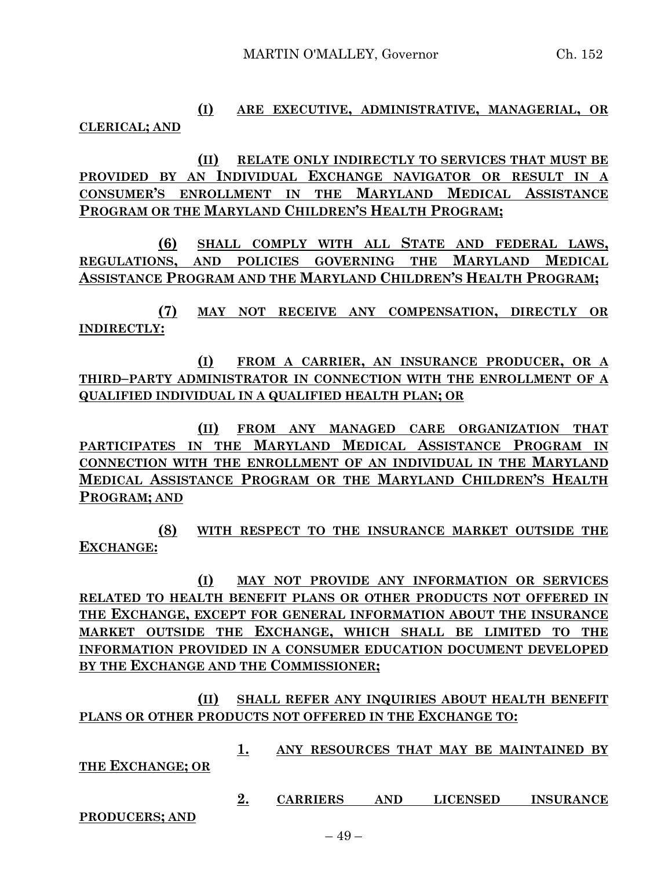**(I) ARE EXECUTIVE, ADMINISTRATIVE, MANAGERIAL, OR CLERICAL; AND**

**(II) RELATE ONLY INDIRECTLY TO SERVICES THAT MUST BE PROVIDED BY AN INDIVIDUAL EXCHANGE NAVIGATOR OR RESULT IN A CONSUMER'S ENROLLMENT IN THE MARYLAND MEDICAL ASSISTANCE PROGRAM OR THE MARYLAND CHILDREN'S HEALTH PROGRAM;**

**(6) SHALL COMPLY WITH ALL STATE AND FEDERAL LAWS, REGULATIONS, AND POLICIES GOVERNING THE MARYLAND MEDICAL ASSISTANCE PROGRAM AND THE MARYLAND CHILDREN'S HEALTH PROGRAM;**

**(7) MAY NOT RECEIVE ANY COMPENSATION, DIRECTLY OR INDIRECTLY:**

**(I) FROM A CARRIER, AN INSURANCE PRODUCER, OR A THIRD–PARTY ADMINISTRATOR IN CONNECTION WITH THE ENROLLMENT OF A QUALIFIED INDIVIDUAL IN A QUALIFIED HEALTH PLAN; OR**

**(II) FROM ANY MANAGED CARE ORGANIZATION THAT PARTICIPATES IN THE MARYLAND MEDICAL ASSISTANCE PROGRAM IN CONNECTION WITH THE ENROLLMENT OF AN INDIVIDUAL IN THE MARYLAND MEDICAL ASSISTANCE PROGRAM OR THE MARYLAND CHILDREN'S HEALTH PROGRAM; AND**

**(8) WITH RESPECT TO THE INSURANCE MARKET OUTSIDE THE EXCHANGE:**

**(I) MAY NOT PROVIDE ANY INFORMATION OR SERVICES RELATED TO HEALTH BENEFIT PLANS OR OTHER PRODUCTS NOT OFFERED IN THE EXCHANGE, EXCEPT FOR GENERAL INFORMATION ABOUT THE INSURANCE MARKET OUTSIDE THE EXCHANGE, WHICH SHALL BE LIMITED TO THE INFORMATION PROVIDED IN A CONSUMER EDUCATION DOCUMENT DEVELOPED BY THE EXCHANGE AND THE COMMISSIONER;**

**(II) SHALL REFER ANY INQUIRIES ABOUT HEALTH BENEFIT PLANS OR OTHER PRODUCTS NOT OFFERED IN THE EXCHANGE TO:**

**1. ANY RESOURCES THAT MAY BE MAINTAINED BY** 

**THE EXCHANGE; OR**

**2. CARRIERS AND LICENSED INSURANCE** 

**PRODUCERS; AND**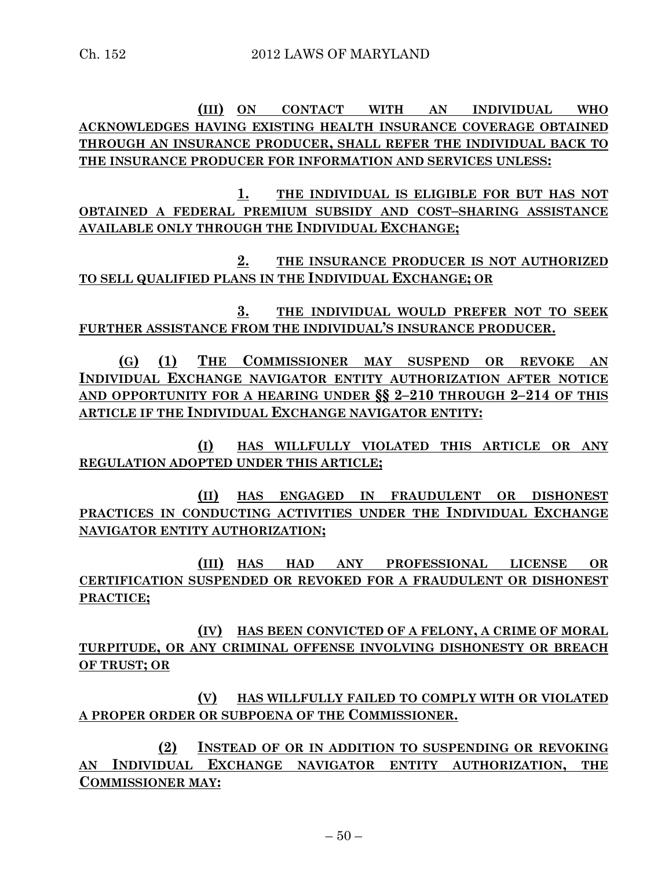**(III) ON CONTACT WITH AN INDIVIDUAL WHO ACKNOWLEDGES HAVING EXISTING HEALTH INSURANCE COVERAGE OBTAINED THROUGH AN INSURANCE PRODUCER, SHALL REFER THE INDIVIDUAL BACK TO THE INSURANCE PRODUCER FOR INFORMATION AND SERVICES UNLESS:**

**1. THE INDIVIDUAL IS ELIGIBLE FOR BUT HAS NOT OBTAINED A FEDERAL PREMIUM SUBSIDY AND COST–SHARING ASSISTANCE AVAILABLE ONLY THROUGH THE INDIVIDUAL EXCHANGE;**

**2. THE INSURANCE PRODUCER IS NOT AUTHORIZED TO SELL QUALIFIED PLANS IN THE INDIVIDUAL EXCHANGE; OR**

**3. THE INDIVIDUAL WOULD PREFER NOT TO SEEK FURTHER ASSISTANCE FROM THE INDIVIDUAL'S INSURANCE PRODUCER.**

**(G) (1) THE COMMISSIONER MAY SUSPEND OR REVOKE AN INDIVIDUAL EXCHANGE NAVIGATOR ENTITY AUTHORIZATION AFTER NOTICE AND OPPORTUNITY FOR A HEARING UNDER §§ 2–210 THROUGH 2–214 OF THIS ARTICLE IF THE INDIVIDUAL EXCHANGE NAVIGATOR ENTITY:**

**(I) HAS WILLFULLY VIOLATED THIS ARTICLE OR ANY REGULATION ADOPTED UNDER THIS ARTICLE;**

**(II) HAS ENGAGED IN FRAUDULENT OR DISHONEST PRACTICES IN CONDUCTING ACTIVITIES UNDER THE INDIVIDUAL EXCHANGE NAVIGATOR ENTITY AUTHORIZATION;**

**(III) HAS HAD ANY PROFESSIONAL LICENSE OR CERTIFICATION SUSPENDED OR REVOKED FOR A FRAUDULENT OR DISHONEST PRACTICE;**

**(IV) HAS BEEN CONVICTED OF A FELONY, A CRIME OF MORAL TURPITUDE, OR ANY CRIMINAL OFFENSE INVOLVING DISHONESTY OR BREACH OF TRUST; OR**

**(V) HAS WILLFULLY FAILED TO COMPLY WITH OR VIOLATED A PROPER ORDER OR SUBPOENA OF THE COMMISSIONER.**

**(2) INSTEAD OF OR IN ADDITION TO SUSPENDING OR REVOKING AN INDIVIDUAL EXCHANGE NAVIGATOR ENTITY AUTHORIZATION, THE COMMISSIONER MAY:**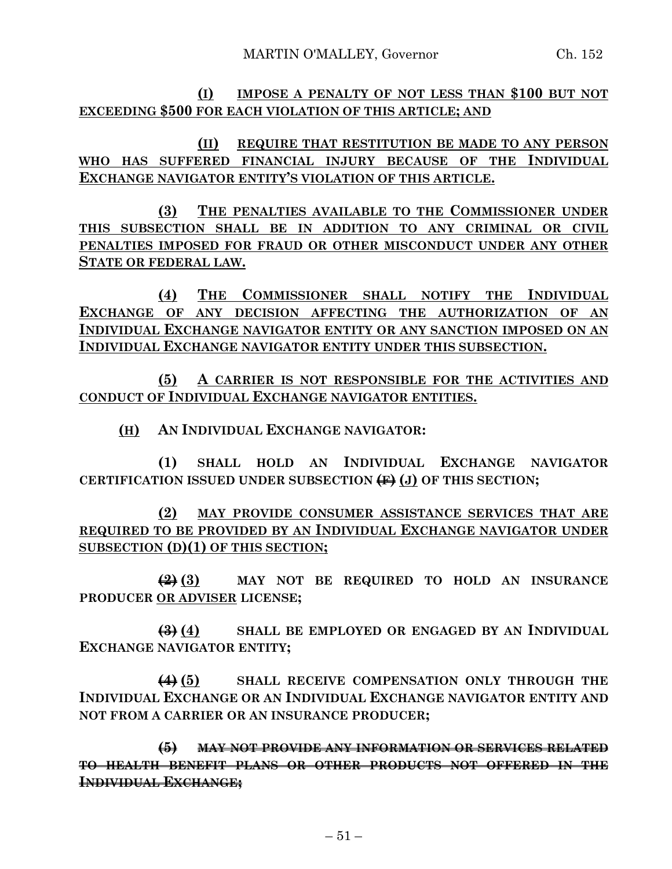**(I) IMPOSE A PENALTY OF NOT LESS THAN \$100 BUT NOT EXCEEDING \$500 FOR EACH VIOLATION OF THIS ARTICLE; AND**

**(II) REQUIRE THAT RESTITUTION BE MADE TO ANY PERSON WHO HAS SUFFERED FINANCIAL INJURY BECAUSE OF THE INDIVIDUAL EXCHANGE NAVIGATOR ENTITY'S VIOLATION OF THIS ARTICLE.**

**(3) THE PENALTIES AVAILABLE TO THE COMMISSIONER UNDER THIS SUBSECTION SHALL BE IN ADDITION TO ANY CRIMINAL OR CIVIL PENALTIES IMPOSED FOR FRAUD OR OTHER MISCONDUCT UNDER ANY OTHER STATE OR FEDERAL LAW.**

**(4) THE COMMISSIONER SHALL NOTIFY THE INDIVIDUAL EXCHANGE OF ANY DECISION AFFECTING THE AUTHORIZATION OF AN INDIVIDUAL EXCHANGE NAVIGATOR ENTITY OR ANY SANCTION IMPOSED ON AN INDIVIDUAL EXCHANGE NAVIGATOR ENTITY UNDER THIS SUBSECTION.**

**(5) A CARRIER IS NOT RESPONSIBLE FOR THE ACTIVITIES AND CONDUCT OF INDIVIDUAL EXCHANGE NAVIGATOR ENTITIES.**

**(H) AN INDIVIDUAL EXCHANGE NAVIGATOR:**

**(1) SHALL HOLD AN INDIVIDUAL EXCHANGE NAVIGATOR CERTIFICATION ISSUED UNDER SUBSECTION (F) (J) OF THIS SECTION;**

**(2) MAY PROVIDE CONSUMER ASSISTANCE SERVICES THAT ARE REQUIRED TO BE PROVIDED BY AN INDIVIDUAL EXCHANGE NAVIGATOR UNDER SUBSECTION (D)(1) OF THIS SECTION;**

**(2) (3) MAY NOT BE REQUIRED TO HOLD AN INSURANCE PRODUCER OR ADVISER LICENSE;**

**(3) (4) SHALL BE EMPLOYED OR ENGAGED BY AN INDIVIDUAL EXCHANGE NAVIGATOR ENTITY;**

**(4) (5) SHALL RECEIVE COMPENSATION ONLY THROUGH THE INDIVIDUAL EXCHANGE OR AN INDIVIDUAL EXCHANGE NAVIGATOR ENTITY AND NOT FROM A CARRIER OR AN INSURANCE PRODUCER;**

**(5) MAY NOT PROVIDE ANY INFORMATION OR SERVICES RELATED TO HEALTH BENEFIT PLANS OR OTHER PRODUCTS NOT OFFERED IN THE INDIVIDUAL EXCHANGE;**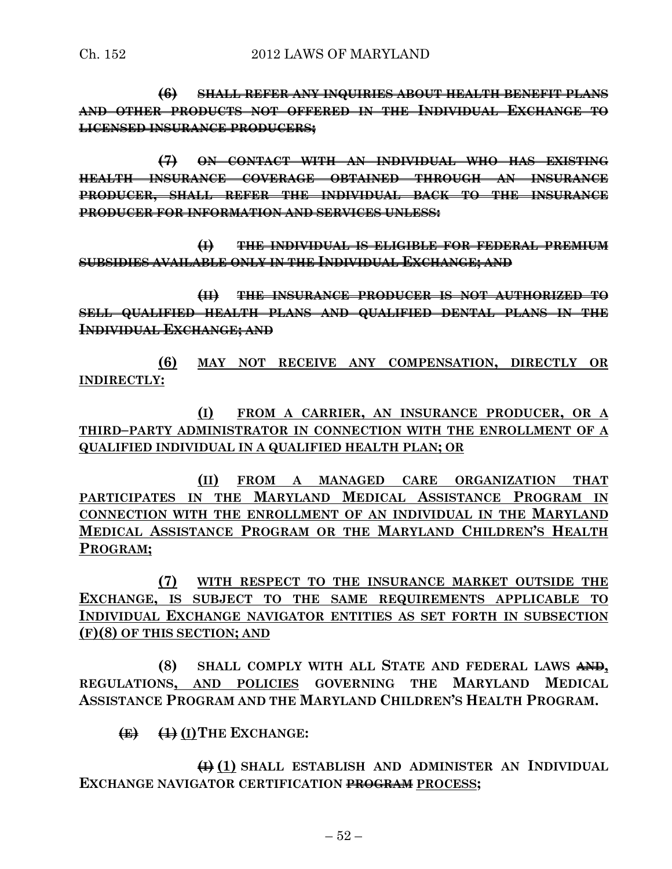**(6) SHALL REFER ANY INQUIRIES ABOUT HEALTH BENEFIT PLANS AND OTHER PRODUCTS NOT OFFERED IN THE INDIVIDUAL EXCHANGE TO LICENSED INSURANCE PRODUCERS;**

**(7) ON CONTACT WITH AN INDIVIDUAL WHO HAS EXISTING HEALTH INSURANCE COVERAGE OBTAINED THROUGH AN INSURANCE PRODUCER, SHALL REFER THE INDIVIDUAL BACK TO THE INSURANCE PRODUCER FOR INFORMATION AND SERVICES UNLESS:**

**(I) THE INDIVIDUAL IS ELIGIBLE FOR FEDERAL PREMIUM SUBSIDIES AVAILABLE ONLY IN THE INDIVIDUAL EXCHANGE; AND**

**(II) THE INSURANCE PRODUCER IS NOT AUTHORIZED TO SELL QUALIFIED HEALTH PLANS AND QUALIFIED DENTAL PLANS IN THE INDIVIDUAL EXCHANGE; AND**

**(6) MAY NOT RECEIVE ANY COMPENSATION, DIRECTLY OR INDIRECTLY:**

**(I) FROM A CARRIER, AN INSURANCE PRODUCER, OR A THIRD–PARTY ADMINISTRATOR IN CONNECTION WITH THE ENROLLMENT OF A QUALIFIED INDIVIDUAL IN A QUALIFIED HEALTH PLAN; OR**

**(II) FROM A MANAGED CARE ORGANIZATION THAT PARTICIPATES IN THE MARYLAND MEDICAL ASSISTANCE PROGRAM IN CONNECTION WITH THE ENROLLMENT OF AN INDIVIDUAL IN THE MARYLAND MEDICAL ASSISTANCE PROGRAM OR THE MARYLAND CHILDREN'S HEALTH PROGRAM;**

**(7) WITH RESPECT TO THE INSURANCE MARKET OUTSIDE THE EXCHANGE, IS SUBJECT TO THE SAME REQUIREMENTS APPLICABLE TO INDIVIDUAL EXCHANGE NAVIGATOR ENTITIES AS SET FORTH IN SUBSECTION (F)(8) OF THIS SECTION; AND**

**(8) SHALL COMPLY WITH ALL STATE AND FEDERAL LAWS AND, REGULATIONS, AND POLICIES GOVERNING THE MARYLAND MEDICAL ASSISTANCE PROGRAM AND THE MARYLAND CHILDREN'S HEALTH PROGRAM.**

**(E) (1) (I)THE EXCHANGE:**

**(I) (1) SHALL ESTABLISH AND ADMINISTER AN INDIVIDUAL EXCHANGE NAVIGATOR CERTIFICATION PROGRAM PROCESS;**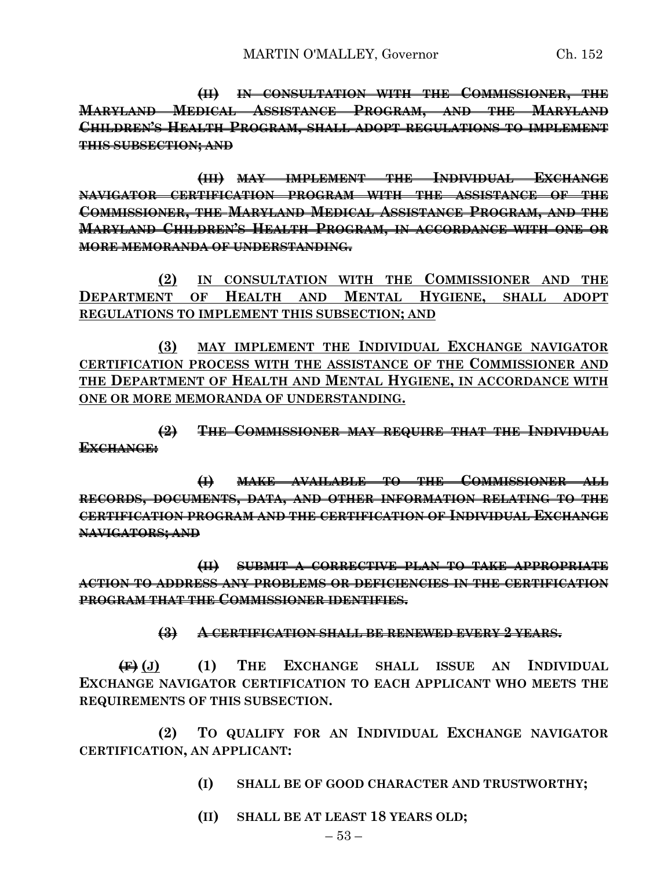**(II) IN CONSULTATION WITH THE COMMISSIONER, THE MARYLAND MEDICAL ASSISTANCE PROGRAM, AND THE MARYLAND CHILDREN'S HEALTH PROGRAM, SHALL ADOPT REGULATIONS TO IMPLEMENT THIS SUBSECTION; AND**

**(III) MAY IMPLEMENT THE INDIVIDUAL EXCHANGE NAVIGATOR CERTIFICATION PROGRAM WITH THE ASSISTANCE OF THE COMMISSIONER, THE MARYLAND MEDICAL ASSISTANCE PROGRAM, AND THE MARYLAND CHILDREN'S HEALTH PROGRAM, IN ACCORDANCE WITH ONE OR MORE MEMORANDA OF UNDERSTANDING.**

**(2) IN CONSULTATION WITH THE COMMISSIONER AND THE DEPARTMENT OF HEALTH AND MENTAL HYGIENE, SHALL ADOPT REGULATIONS TO IMPLEMENT THIS SUBSECTION; AND**

**(3) MAY IMPLEMENT THE INDIVIDUAL EXCHANGE NAVIGATOR CERTIFICATION PROCESS WITH THE ASSISTANCE OF THE COMMISSIONER AND THE DEPARTMENT OF HEALTH AND MENTAL HYGIENE, IN ACCORDANCE WITH ONE OR MORE MEMORANDA OF UNDERSTANDING.**

**(2) THE COMMISSIONER MAY REQUIRE THAT THE INDIVIDUAL EXCHANGE:**

**(I) MAKE AVAILABLE TO THE COMMISSIONER ALL RECORDS, DOCUMENTS, DATA, AND OTHER INFORMATION RELATING TO THE CERTIFICATION PROGRAM AND THE CERTIFICATION OF INDIVIDUAL EXCHANGE NAVIGATORS; AND**

**(II) SUBMIT A CORRECTIVE PLAN TO TAKE APPROPRIATE ACTION TO ADDRESS ANY PROBLEMS OR DEFICIENCIES IN THE CERTIFICATION PROGRAM THAT THE COMMISSIONER IDENTIFIES.**

**(3) A CERTIFICATION SHALL BE RENEWED EVERY 2 YEARS.**

**(F) (J) (1) THE EXCHANGE SHALL ISSUE AN INDIVIDUAL EXCHANGE NAVIGATOR CERTIFICATION TO EACH APPLICANT WHO MEETS THE REQUIREMENTS OF THIS SUBSECTION.**

**(2) TO QUALIFY FOR AN INDIVIDUAL EXCHANGE NAVIGATOR CERTIFICATION, AN APPLICANT:**

- **(I) SHALL BE OF GOOD CHARACTER AND TRUSTWORTHY;**
- **(II) SHALL BE AT LEAST 18 YEARS OLD;**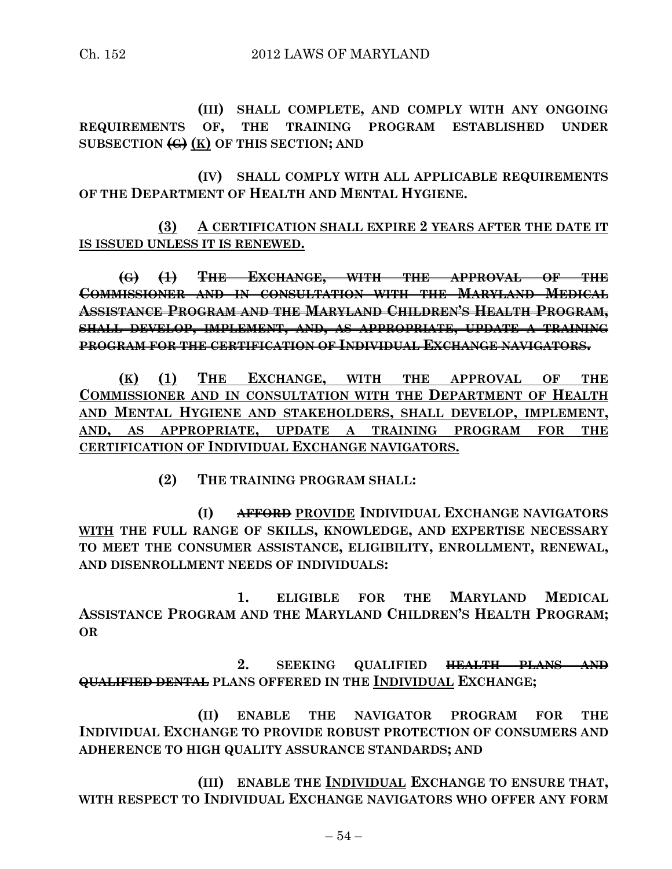**(III) SHALL COMPLETE, AND COMPLY WITH ANY ONGOING REQUIREMENTS OF, THE TRAINING PROGRAM ESTABLISHED UNDER SUBSECTION (G) (K) OF THIS SECTION; AND**

**(IV) SHALL COMPLY WITH ALL APPLICABLE REQUIREMENTS OF THE DEPARTMENT OF HEALTH AND MENTAL HYGIENE.**

**(3) A CERTIFICATION SHALL EXPIRE 2 YEARS AFTER THE DATE IT IS ISSUED UNLESS IT IS RENEWED.**

**(G) (1) THE EXCHANGE, WITH THE APPROVAL OF THE COMMISSIONER AND IN CONSULTATION WITH THE MARYLAND MEDICAL ASSISTANCE PROGRAM AND THE MARYLAND CHILDREN'S HEALTH PROGRAM, SHALL DEVELOP, IMPLEMENT, AND, AS APPROPRIATE, UPDATE A TRAINING PROGRAM FOR THE CERTIFICATION OF INDIVIDUAL EXCHANGE NAVIGATORS.**

**(K) (1) THE EXCHANGE, WITH THE APPROVAL OF THE COMMISSIONER AND IN CONSULTATION WITH THE DEPARTMENT OF HEALTH AND MENTAL HYGIENE AND STAKEHOLDERS, SHALL DEVELOP, IMPLEMENT, AND, AS APPROPRIATE, UPDATE A TRAINING PROGRAM FOR THE CERTIFICATION OF INDIVIDUAL EXCHANGE NAVIGATORS.**

**(2) THE TRAINING PROGRAM SHALL:**

**(I) AFFORD PROVIDE INDIVIDUAL EXCHANGE NAVIGATORS WITH THE FULL RANGE OF SKILLS, KNOWLEDGE, AND EXPERTISE NECESSARY TO MEET THE CONSUMER ASSISTANCE, ELIGIBILITY, ENROLLMENT, RENEWAL, AND DISENROLLMENT NEEDS OF INDIVIDUALS:**

**1. ELIGIBLE FOR THE MARYLAND MEDICAL ASSISTANCE PROGRAM AND THE MARYLAND CHILDREN'S HEALTH PROGRAM; OR**

**2. SEEKING QUALIFIED HEALTH PLANS AND QUALIFIED DENTAL PLANS OFFERED IN THE INDIVIDUAL EXCHANGE;**

**(II) ENABLE THE NAVIGATOR PROGRAM FOR THE INDIVIDUAL EXCHANGE TO PROVIDE ROBUST PROTECTION OF CONSUMERS AND ADHERENCE TO HIGH QUALITY ASSURANCE STANDARDS; AND**

**(III) ENABLE THE INDIVIDUAL EXCHANGE TO ENSURE THAT, WITH RESPECT TO INDIVIDUAL EXCHANGE NAVIGATORS WHO OFFER ANY FORM**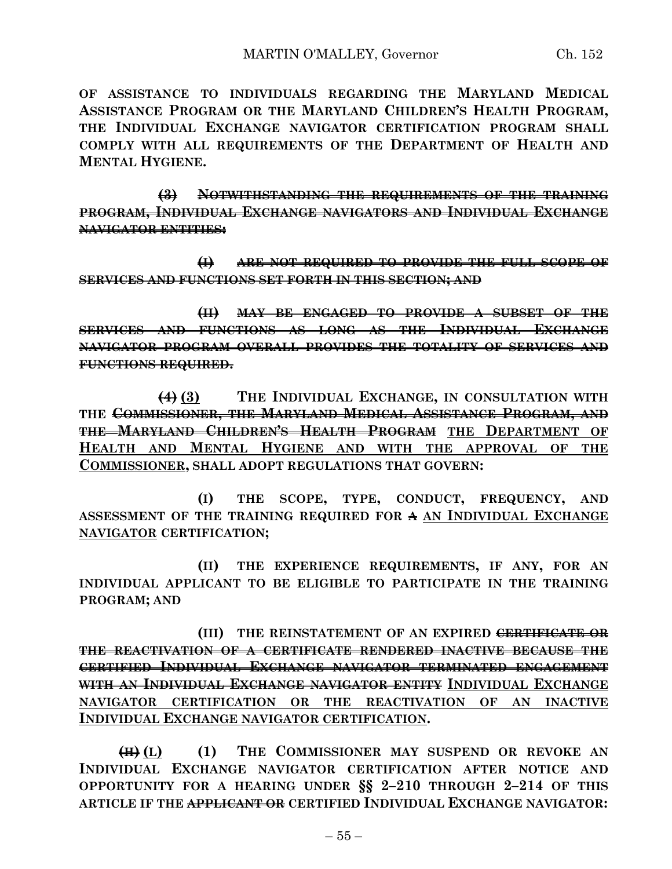**(3) NOTWITHSTANDING THE REQUIREMENTS OF THE TRAINING PROGRAM, INDIVIDUAL EXCHANGE NAVIGATORS AND INDIVIDUAL EXCHANGE NAVIGATOR ENTITIES:**

**(I) ARE NOT REQUIRED TO PROVIDE THE FULL SCOPE OF SERVICES AND FUNCTIONS SET FORTH IN THIS SECTION; AND**

**(II) MAY BE ENGAGED TO PROVIDE A SUBSET OF THE SERVICES AND FUNCTIONS AS LONG AS THE INDIVIDUAL EXCHANGE NAVIGATOR PROGRAM OVERALL PROVIDES THE TOTALITY OF SERVICES AND FUNCTIONS REQUIRED.**

**(4) (3) THE INDIVIDUAL EXCHANGE, IN CONSULTATION WITH THE COMMISSIONER, THE MARYLAND MEDICAL ASSISTANCE PROGRAM, AND THE MARYLAND CHILDREN'S HEALTH PROGRAM THE DEPARTMENT OF HEALTH AND MENTAL HYGIENE AND WITH THE APPROVAL OF THE COMMISSIONER, SHALL ADOPT REGULATIONS THAT GOVERN:**

**(I) THE SCOPE, TYPE, CONDUCT, FREQUENCY, AND ASSESSMENT OF THE TRAINING REQUIRED FOR A AN INDIVIDUAL EXCHANGE NAVIGATOR CERTIFICATION;**

**(II) THE EXPERIENCE REQUIREMENTS, IF ANY, FOR AN INDIVIDUAL APPLICANT TO BE ELIGIBLE TO PARTICIPATE IN THE TRAINING PROGRAM; AND**

**(III) THE REINSTATEMENT OF AN EXPIRED CERTIFICATE OR THE REACTIVATION OF A CERTIFICATE RENDERED INACTIVE BECAUSE THE CERTIFIED INDIVIDUAL EXCHANGE NAVIGATOR TERMINATED ENGAGEMENT WITH AN INDIVIDUAL EXCHANGE NAVIGATOR ENTITY INDIVIDUAL EXCHANGE NAVIGATOR CERTIFICATION OR THE REACTIVATION OF AN INACTIVE INDIVIDUAL EXCHANGE NAVIGATOR CERTIFICATION.**

**(H) (L) (1) THE COMMISSIONER MAY SUSPEND OR REVOKE AN INDIVIDUAL EXCHANGE NAVIGATOR CERTIFICATION AFTER NOTICE AND OPPORTUNITY FOR A HEARING UNDER §§ 2–210 THROUGH 2–214 OF THIS ARTICLE IF THE APPLICANT OR CERTIFIED INDIVIDUAL EXCHANGE NAVIGATOR:**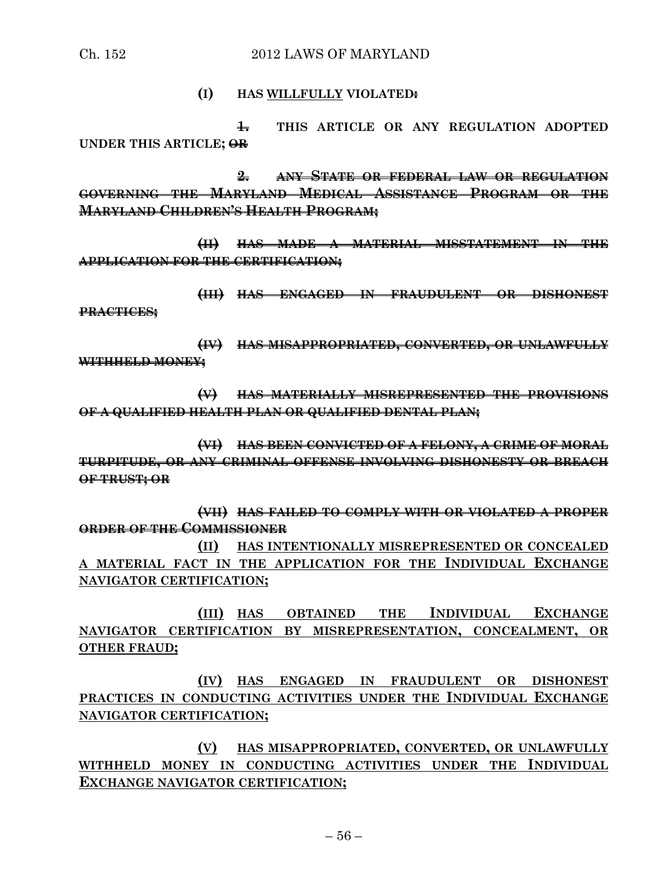#### **(I) HAS WILLFULLY VIOLATED:**

**1. THIS ARTICLE OR ANY REGULATION ADOPTED UNDER THIS ARTICLE; OR** 

**2. ANY STATE OR FEDERAL LAW OR REGULATION GOVERNING THE MARYLAND MEDICAL ASSISTANCE PROGRAM OR THE MARYLAND CHILDREN'S HEALTH PROGRAM;**

**(II) HAS MADE A MATERIAL MISSTATEMENT IN THE APPLICATION FOR THE CERTIFICATION;**

**(III) HAS ENGAGED IN FRAUDULENT OR DISHONEST PRACTICES;**

**(IV) HAS MISAPPROPRIATED, CONVERTED, OR UNLAWFULLY WITHHELD MONEY;**

**(V) HAS MATERIALLY MISREPRESENTED THE PROVISIONS OF A QUALIFIED HEALTH PLAN OR QUALIFIED DENTAL PLAN;**

**(VI) HAS BEEN CONVICTED OF A FELONY, A CRIME OF MORAL TURPITUDE, OR ANY CRIMINAL OFFENSE INVOLVING DISHONESTY OR BREACH OF TRUST; OR**

**(VII) HAS FAILED TO COMPLY WITH OR VIOLATED A PROPER ORDER OF THE COMMISSIONER**

**(II) HAS INTENTIONALLY MISREPRESENTED OR CONCEALED A MATERIAL FACT IN THE APPLICATION FOR THE INDIVIDUAL EXCHANGE NAVIGATOR CERTIFICATION;**

**(III) HAS OBTAINED THE INDIVIDUAL EXCHANGE NAVIGATOR CERTIFICATION BY MISREPRESENTATION, CONCEALMENT, OR OTHER FRAUD;**

**(IV) HAS ENGAGED IN FRAUDULENT OR DISHONEST PRACTICES IN CONDUCTING ACTIVITIES UNDER THE INDIVIDUAL EXCHANGE NAVIGATOR CERTIFICATION;**

**(V) HAS MISAPPROPRIATED, CONVERTED, OR UNLAWFULLY WITHHELD MONEY IN CONDUCTING ACTIVITIES UNDER THE INDIVIDUAL EXCHANGE NAVIGATOR CERTIFICATION;**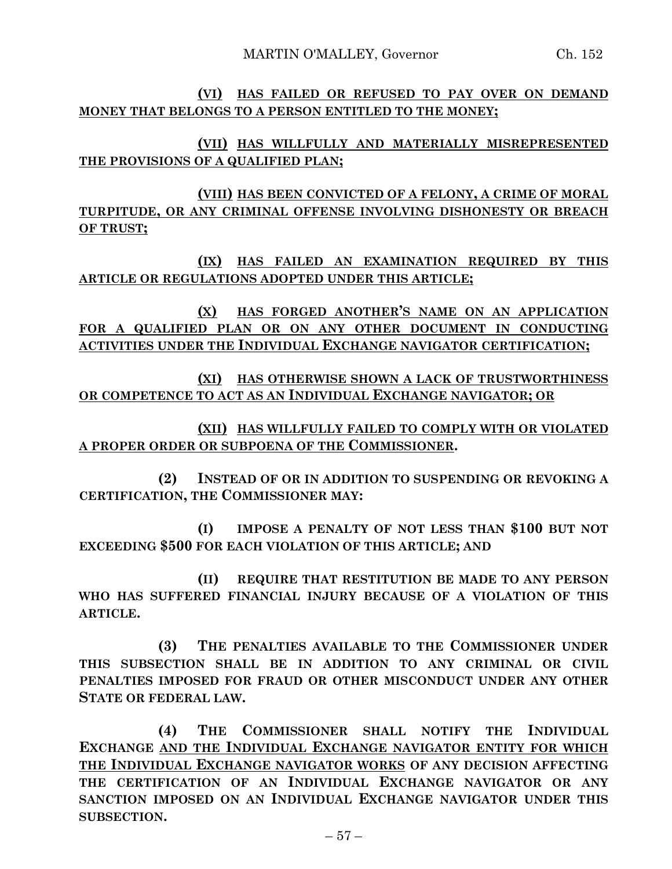**(VI) HAS FAILED OR REFUSED TO PAY OVER ON DEMAND MONEY THAT BELONGS TO A PERSON ENTITLED TO THE MONEY;**

**(VII) HAS WILLFULLY AND MATERIALLY MISREPRESENTED THE PROVISIONS OF A QUALIFIED PLAN;**

**(VIII) HAS BEEN CONVICTED OF A FELONY, A CRIME OF MORAL TURPITUDE, OR ANY CRIMINAL OFFENSE INVOLVING DISHONESTY OR BREACH OF TRUST;**

**(IX) HAS FAILED AN EXAMINATION REQUIRED BY THIS ARTICLE OR REGULATIONS ADOPTED UNDER THIS ARTICLE;**

**(X) HAS FORGED ANOTHER'S NAME ON AN APPLICATION FOR A QUALIFIED PLAN OR ON ANY OTHER DOCUMENT IN CONDUCTING ACTIVITIES UNDER THE INDIVIDUAL EXCHANGE NAVIGATOR CERTIFICATION;**

**(XI) HAS OTHERWISE SHOWN A LACK OF TRUSTWORTHINESS OR COMPETENCE TO ACT AS AN INDIVIDUAL EXCHANGE NAVIGATOR; OR**

**(XII) HAS WILLFULLY FAILED TO COMPLY WITH OR VIOLATED A PROPER ORDER OR SUBPOENA OF THE COMMISSIONER.**

**(2) INSTEAD OF OR IN ADDITION TO SUSPENDING OR REVOKING A CERTIFICATION, THE COMMISSIONER MAY:**

**(I) IMPOSE A PENALTY OF NOT LESS THAN \$100 BUT NOT EXCEEDING \$500 FOR EACH VIOLATION OF THIS ARTICLE; AND**

**(II) REQUIRE THAT RESTITUTION BE MADE TO ANY PERSON WHO HAS SUFFERED FINANCIAL INJURY BECAUSE OF A VIOLATION OF THIS ARTICLE.**

**(3) THE PENALTIES AVAILABLE TO THE COMMISSIONER UNDER THIS SUBSECTION SHALL BE IN ADDITION TO ANY CRIMINAL OR CIVIL PENALTIES IMPOSED FOR FRAUD OR OTHER MISCONDUCT UNDER ANY OTHER STATE OR FEDERAL LAW.**

**(4) THE COMMISSIONER SHALL NOTIFY THE INDIVIDUAL EXCHANGE AND THE INDIVIDUAL EXCHANGE NAVIGATOR ENTITY FOR WHICH THE INDIVIDUAL EXCHANGE NAVIGATOR WORKS OF ANY DECISION AFFECTING THE CERTIFICATION OF AN INDIVIDUAL EXCHANGE NAVIGATOR OR ANY SANCTION IMPOSED ON AN INDIVIDUAL EXCHANGE NAVIGATOR UNDER THIS SUBSECTION.**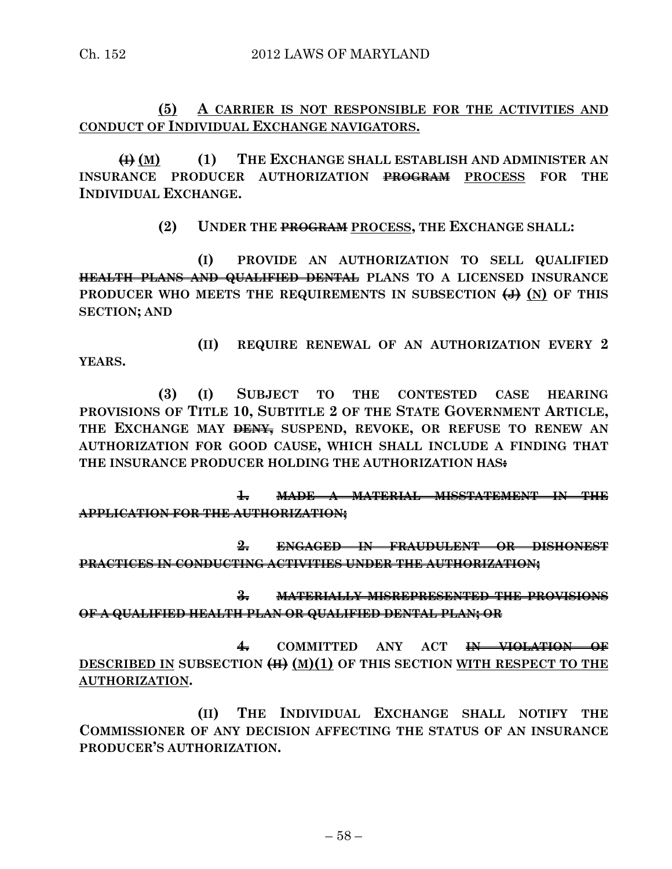**(5) A CARRIER IS NOT RESPONSIBLE FOR THE ACTIVITIES AND CONDUCT OF INDIVIDUAL EXCHANGE NAVIGATORS.**

**(I) (M) (1) THE EXCHANGE SHALL ESTABLISH AND ADMINISTER AN INSURANCE PRODUCER AUTHORIZATION PROGRAM PROCESS FOR THE INDIVIDUAL EXCHANGE.**

**(2) UNDER THE PROGRAM PROCESS, THE EXCHANGE SHALL:**

**(I) PROVIDE AN AUTHORIZATION TO SELL QUALIFIED HEALTH PLANS AND QUALIFIED DENTAL PLANS TO A LICENSED INSURANCE**  PRODUCER WHO MEETS THE REQUIREMENTS IN SUBSECTION  $\left(\frac{1}{2}\right)$  (N) OF THIS **SECTION; AND**

**(II) REQUIRE RENEWAL OF AN AUTHORIZATION EVERY 2 YEARS.**

**(3) (I) SUBJECT TO THE CONTESTED CASE HEARING PROVISIONS OF TITLE 10, SUBTITLE 2 OF THE STATE GOVERNMENT ARTICLE, THE EXCHANGE MAY DENY, SUSPEND, REVOKE, OR REFUSE TO RENEW AN AUTHORIZATION FOR GOOD CAUSE, WHICH SHALL INCLUDE A FINDING THAT THE INSURANCE PRODUCER HOLDING THE AUTHORIZATION HAS:**

**1. MADE A MATERIAL MISSTATEMENT IN THE APPLICATION FOR THE AUTHORIZATION;**

**2. ENGAGED IN FRAUDULENT OR DISHONEST PRACTICES IN CONDUCTING ACTIVITIES UNDER THE AUTHORIZATION;**

**3. MATERIALLY MISREPRESENTED THE PROVISIONS OF A QUALIFIED HEALTH PLAN OR QUALIFIED DENTAL PLAN; OR**

**4. COMMITTED ANY ACT IN VIOLATION OF DESCRIBED IN SUBSECTION (H) (M)(1) OF THIS SECTION WITH RESPECT TO THE AUTHORIZATION.**

**(II) THE INDIVIDUAL EXCHANGE SHALL NOTIFY THE COMMISSIONER OF ANY DECISION AFFECTING THE STATUS OF AN INSURANCE PRODUCER'S AUTHORIZATION.**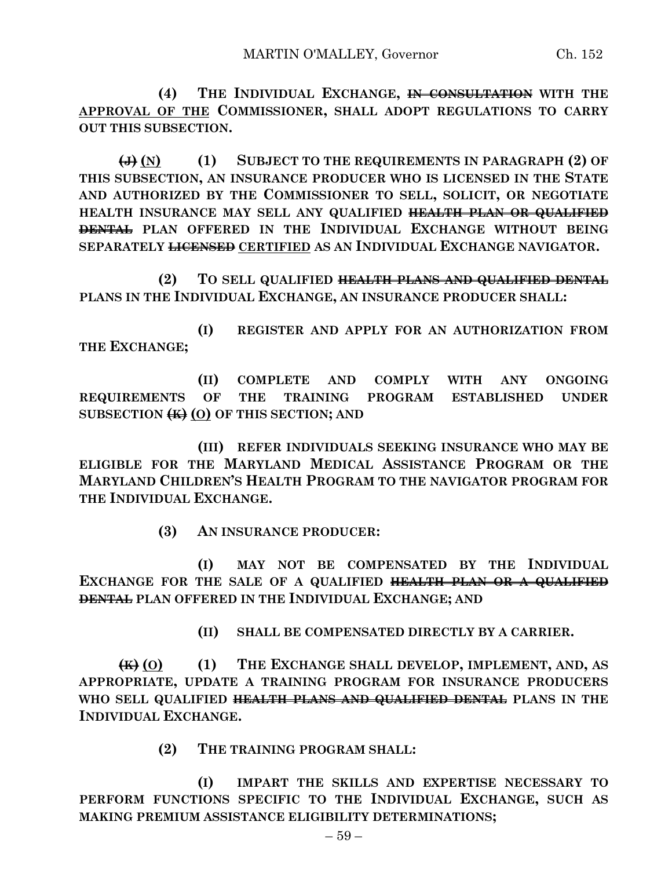**(4) THE INDIVIDUAL EXCHANGE, IN CONSULTATION WITH THE APPROVAL OF THE COMMISSIONER, SHALL ADOPT REGULATIONS TO CARRY OUT THIS SUBSECTION.**

**(J) (N) (1) SUBJECT TO THE REQUIREMENTS IN PARAGRAPH (2) OF THIS SUBSECTION, AN INSURANCE PRODUCER WHO IS LICENSED IN THE STATE AND AUTHORIZED BY THE COMMISSIONER TO SELL, SOLICIT, OR NEGOTIATE HEALTH INSURANCE MAY SELL ANY QUALIFIED HEALTH PLAN OR QUALIFIED DENTAL PLAN OFFERED IN THE INDIVIDUAL EXCHANGE WITHOUT BEING SEPARATELY LICENSED CERTIFIED AS AN INDIVIDUAL EXCHANGE NAVIGATOR.**

**(2) TO SELL QUALIFIED HEALTH PLANS AND QUALIFIED DENTAL PLANS IN THE INDIVIDUAL EXCHANGE, AN INSURANCE PRODUCER SHALL:**

**(I) REGISTER AND APPLY FOR AN AUTHORIZATION FROM THE EXCHANGE;**

**(II) COMPLETE AND COMPLY WITH ANY ONGOING REQUIREMENTS OF THE TRAINING PROGRAM ESTABLISHED UNDER SUBSECTION (K) (O) OF THIS SECTION; AND**

**(III) REFER INDIVIDUALS SEEKING INSURANCE WHO MAY BE ELIGIBLE FOR THE MARYLAND MEDICAL ASSISTANCE PROGRAM OR THE MARYLAND CHILDREN'S HEALTH PROGRAM TO THE NAVIGATOR PROGRAM FOR THE INDIVIDUAL EXCHANGE.**

**(3) AN INSURANCE PRODUCER:**

**(I) MAY NOT BE COMPENSATED BY THE INDIVIDUAL EXCHANGE FOR THE SALE OF A QUALIFIED HEALTH PLAN OR A QUALIFIED DENTAL PLAN OFFERED IN THE INDIVIDUAL EXCHANGE; AND**

**(II) SHALL BE COMPENSATED DIRECTLY BY A CARRIER.**

**(K) (O) (1) THE EXCHANGE SHALL DEVELOP, IMPLEMENT, AND, AS APPROPRIATE, UPDATE A TRAINING PROGRAM FOR INSURANCE PRODUCERS WHO SELL QUALIFIED HEALTH PLANS AND QUALIFIED DENTAL PLANS IN THE INDIVIDUAL EXCHANGE.**

**(2) THE TRAINING PROGRAM SHALL:**

**(I) IMPART THE SKILLS AND EXPERTISE NECESSARY TO PERFORM FUNCTIONS SPECIFIC TO THE INDIVIDUAL EXCHANGE, SUCH AS MAKING PREMIUM ASSISTANCE ELIGIBILITY DETERMINATIONS;**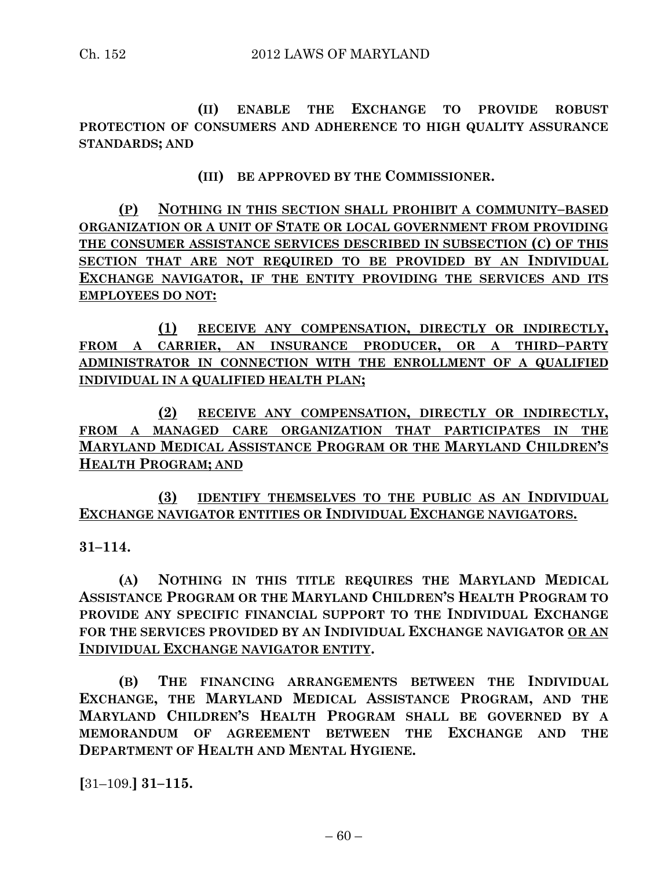**(II) ENABLE THE EXCHANGE TO PROVIDE ROBUST PROTECTION OF CONSUMERS AND ADHERENCE TO HIGH QUALITY ASSURANCE STANDARDS; AND**

**(III) BE APPROVED BY THE COMMISSIONER.**

**(P) NOTHING IN THIS SECTION SHALL PROHIBIT A COMMUNITY–BASED ORGANIZATION OR A UNIT OF STATE OR LOCAL GOVERNMENT FROM PROVIDING THE CONSUMER ASSISTANCE SERVICES DESCRIBED IN SUBSECTION (C) OF THIS SECTION THAT ARE NOT REQUIRED TO BE PROVIDED BY AN INDIVIDUAL EXCHANGE NAVIGATOR, IF THE ENTITY PROVIDING THE SERVICES AND ITS EMPLOYEES DO NOT:**

**(1) RECEIVE ANY COMPENSATION, DIRECTLY OR INDIRECTLY, FROM A CARRIER, AN INSURANCE PRODUCER, OR A THIRD–PARTY ADMINISTRATOR IN CONNECTION WITH THE ENROLLMENT OF A QUALIFIED INDIVIDUAL IN A QUALIFIED HEALTH PLAN;**

**(2) RECEIVE ANY COMPENSATION, DIRECTLY OR INDIRECTLY, FROM A MANAGED CARE ORGANIZATION THAT PARTICIPATES IN THE MARYLAND MEDICAL ASSISTANCE PROGRAM OR THE MARYLAND CHILDREN'S HEALTH PROGRAM; AND**

**(3) IDENTIFY THEMSELVES TO THE PUBLIC AS AN INDIVIDUAL EXCHANGE NAVIGATOR ENTITIES OR INDIVIDUAL EXCHANGE NAVIGATORS.**

**31–114.**

**(A) NOTHING IN THIS TITLE REQUIRES THE MARYLAND MEDICAL ASSISTANCE PROGRAM OR THE MARYLAND CHILDREN'S HEALTH PROGRAM TO PROVIDE ANY SPECIFIC FINANCIAL SUPPORT TO THE INDIVIDUAL EXCHANGE FOR THE SERVICES PROVIDED BY AN INDIVIDUAL EXCHANGE NAVIGATOR OR AN INDIVIDUAL EXCHANGE NAVIGATOR ENTITY.**

**(B) THE FINANCING ARRANGEMENTS BETWEEN THE INDIVIDUAL EXCHANGE, THE MARYLAND MEDICAL ASSISTANCE PROGRAM, AND THE MARYLAND CHILDREN'S HEALTH PROGRAM SHALL BE GOVERNED BY A MEMORANDUM OF AGREEMENT BETWEEN THE EXCHANGE AND THE DEPARTMENT OF HEALTH AND MENTAL HYGIENE.**

**[**31–109.**] 31–115.**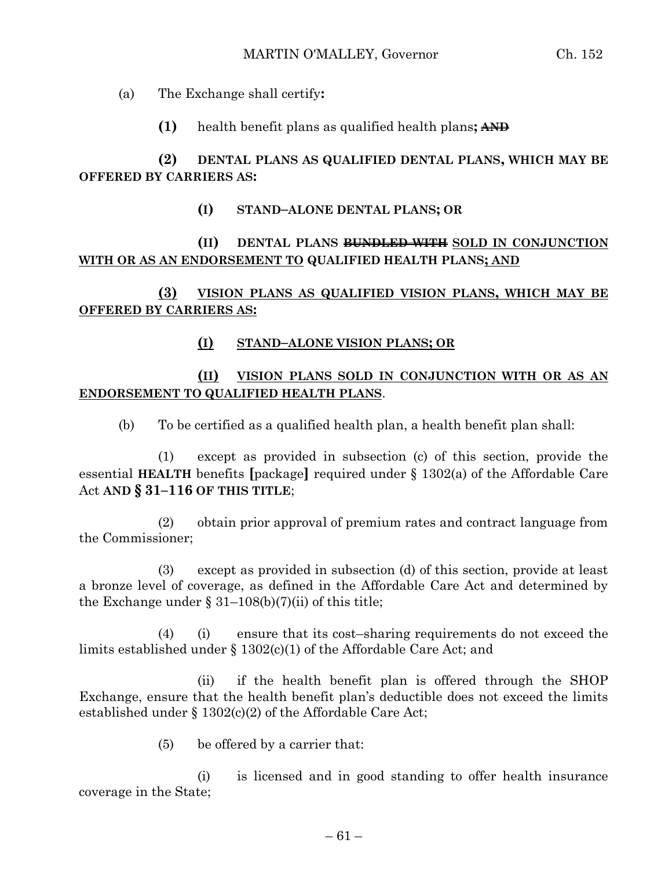(a) The Exchange shall certify**:**

**(1)** health benefit plans as qualified health plans**; AND**

# **(2) DENTAL PLANS AS QUALIFIED DENTAL PLANS, WHICH MAY BE OFFERED BY CARRIERS AS:**

**(I) STAND–ALONE DENTAL PLANS; OR** 

# **(II) DENTAL PLANS BUNDLED WITH SOLD IN CONJUNCTION WITH OR AS AN ENDORSEMENT TO QUALIFIED HEALTH PLANS; AND**

**(3) VISION PLANS AS QUALIFIED VISION PLANS, WHICH MAY BE OFFERED BY CARRIERS AS:**

### **(I) STAND–ALONE VISION PLANS; OR**

# **(II) VISION PLANS SOLD IN CONJUNCTION WITH OR AS AN ENDORSEMENT TO QUALIFIED HEALTH PLANS**.

(b) To be certified as a qualified health plan, a health benefit plan shall:

(1) except as provided in subsection (c) of this section, provide the essential **HEALTH** benefits **[**package**]** required under § 1302(a) of the Affordable Care Act **AND § 31–116 OF THIS TITLE**;

(2) obtain prior approval of premium rates and contract language from the Commissioner;

(3) except as provided in subsection (d) of this section, provide at least a bronze level of coverage, as defined in the Affordable Care Act and determined by the Exchange under  $\S 31-108(b)(7)(ii)$  of this title;

(4) (i) ensure that its cost–sharing requirements do not exceed the limits established under § 1302(c)(1) of the Affordable Care Act; and

(ii) if the health benefit plan is offered through the SHOP Exchange, ensure that the health benefit plan's deductible does not exceed the limits established under § 1302(c)(2) of the Affordable Care Act;

(5) be offered by a carrier that:

(i) is licensed and in good standing to offer health insurance coverage in the State;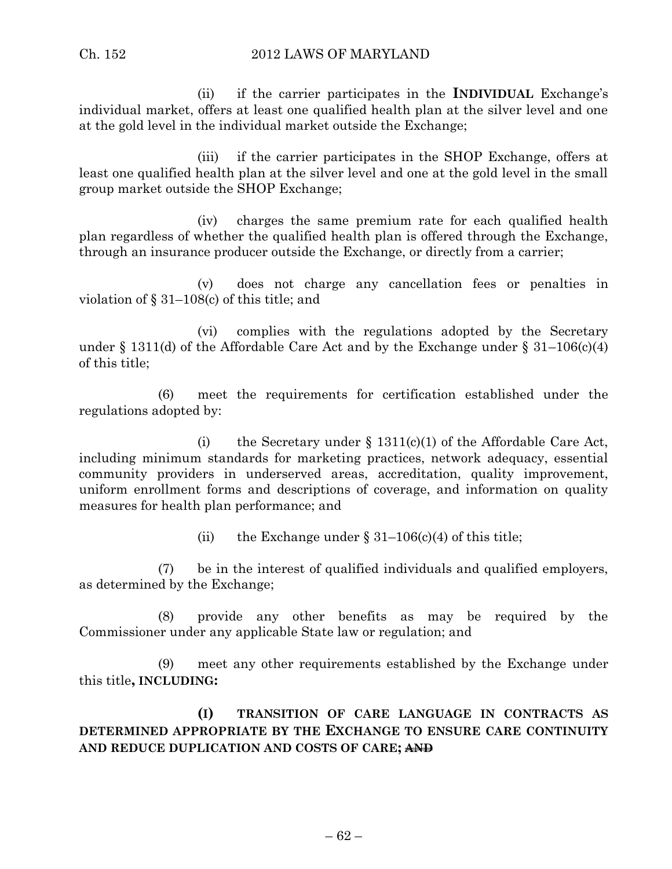(ii) if the carrier participates in the **INDIVIDUAL** Exchange's individual market, offers at least one qualified health plan at the silver level and one at the gold level in the individual market outside the Exchange;

(iii) if the carrier participates in the SHOP Exchange, offers at least one qualified health plan at the silver level and one at the gold level in the small group market outside the SHOP Exchange;

(iv) charges the same premium rate for each qualified health plan regardless of whether the qualified health plan is offered through the Exchange, through an insurance producer outside the Exchange, or directly from a carrier;

(v) does not charge any cancellation fees or penalties in violation of § 31–108(c) of this title; and

(vi) complies with the regulations adopted by the Secretary under  $\S 1311(d)$  of the Affordable Care Act and by the Exchange under  $\S 31-106(c)(4)$ of this title;

(6) meet the requirements for certification established under the regulations adopted by:

(i) the Secretary under  $\S$  1311(c)(1) of the Affordable Care Act, including minimum standards for marketing practices, network adequacy, essential community providers in underserved areas, accreditation, quality improvement, uniform enrollment forms and descriptions of coverage, and information on quality measures for health plan performance; and

(ii) the Exchange under  $\S 31-106(c)(4)$  of this title;

(7) be in the interest of qualified individuals and qualified employers, as determined by the Exchange;

(8) provide any other benefits as may be required by the Commissioner under any applicable State law or regulation; and

(9) meet any other requirements established by the Exchange under this title**, INCLUDING:**

**(I) TRANSITION OF CARE LANGUAGE IN CONTRACTS AS DETERMINED APPROPRIATE BY THE EXCHANGE TO ENSURE CARE CONTINUITY AND REDUCE DUPLICATION AND COSTS OF CARE; AND**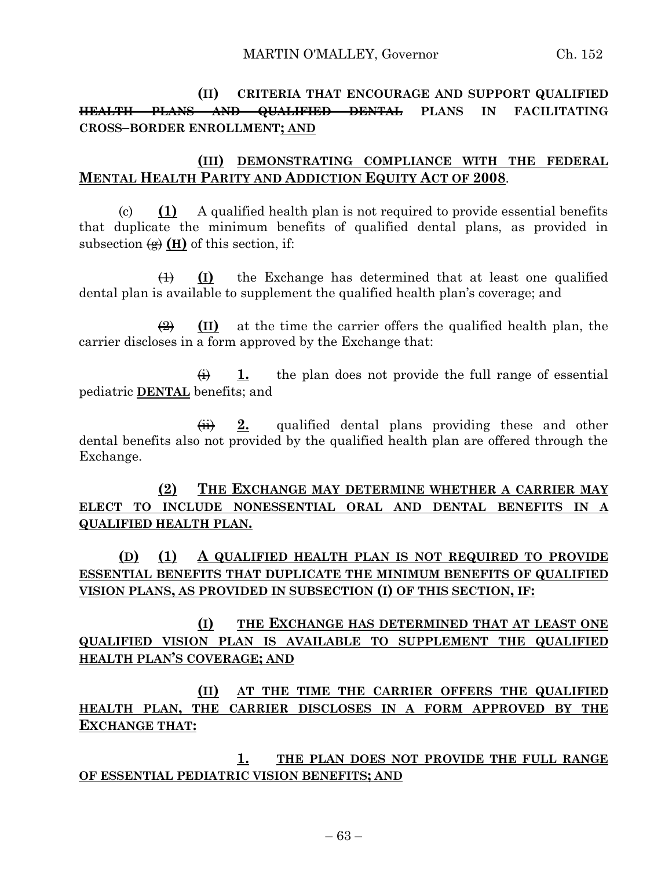**(II) CRITERIA THAT ENCOURAGE AND SUPPORT QUALIFIED HEALTH PLANS AND QUALIFIED DENTAL PLANS IN FACILITATING CROSS–BORDER ENROLLMENT; AND**

### **(III) DEMONSTRATING COMPLIANCE WITH THE FEDERAL MENTAL HEALTH PARITY AND ADDICTION EQUITY ACT OF 2008**.

(c) **(1)** A qualified health plan is not required to provide essential benefits that duplicate the minimum benefits of qualified dental plans, as provided in subsection  $\left( \frac{A}{A} \right)$  (**H**) of this section, if:

(1) **(I)** the Exchange has determined that at least one qualified dental plan is available to supplement the qualified health plan's coverage; and

 $\left(\frac{2}{2}\right)$  (II) at the time the carrier offers the qualified health plan, the carrier discloses in a form approved by the Exchange that:

 $\overrightarrow{H}$  1. the plan does not provide the full range of essential pediatric **DENTAL** benefits; and

(ii) **2.** qualified dental plans providing these and other dental benefits also not provided by the qualified health plan are offered through the Exchange.

**(2) THE EXCHANGE MAY DETERMINE WHETHER A CARRIER MAY ELECT TO INCLUDE NONESSENTIAL ORAL AND DENTAL BENEFITS IN A QUALIFIED HEALTH PLAN.**

**(D) (1) A QUALIFIED HEALTH PLAN IS NOT REQUIRED TO PROVIDE ESSENTIAL BENEFITS THAT DUPLICATE THE MINIMUM BENEFITS OF QUALIFIED VISION PLANS, AS PROVIDED IN SUBSECTION (I) OF THIS SECTION, IF:**

**(I) THE EXCHANGE HAS DETERMINED THAT AT LEAST ONE QUALIFIED VISION PLAN IS AVAILABLE TO SUPPLEMENT THE QUALIFIED HEALTH PLAN'S COVERAGE; AND**

**(II) AT THE TIME THE CARRIER OFFERS THE QUALIFIED HEALTH PLAN, THE CARRIER DISCLOSES IN A FORM APPROVED BY THE EXCHANGE THAT:**

**1. THE PLAN DOES NOT PROVIDE THE FULL RANGE OF ESSENTIAL PEDIATRIC VISION BENEFITS; AND**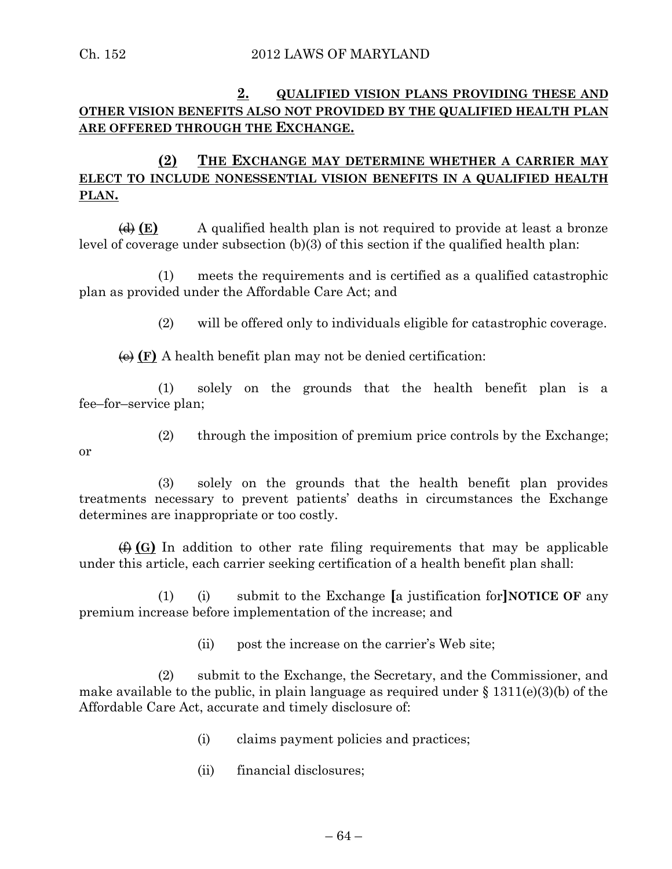# **2. QUALIFIED VISION PLANS PROVIDING THESE AND OTHER VISION BENEFITS ALSO NOT PROVIDED BY THE QUALIFIED HEALTH PLAN ARE OFFERED THROUGH THE EXCHANGE.**

## **(2) THE EXCHANGE MAY DETERMINE WHETHER A CARRIER MAY ELECT TO INCLUDE NONESSENTIAL VISION BENEFITS IN A QUALIFIED HEALTH PLAN.**

(d) **(E)** A qualified health plan is not required to provide at least a bronze level of coverage under subsection (b)(3) of this section if the qualified health plan:

(1) meets the requirements and is certified as a qualified catastrophic plan as provided under the Affordable Care Act; and

(2) will be offered only to individuals eligible for catastrophic coverage.

 $\overline{\Theta}$  (F) A health benefit plan may not be denied certification:

(1) solely on the grounds that the health benefit plan is a fee–for–service plan;

or

(2) through the imposition of premium price controls by the Exchange;

(3) solely on the grounds that the health benefit plan provides treatments necessary to prevent patients' deaths in circumstances the Exchange determines are inappropriate or too costly.

(f) **(G)** In addition to other rate filing requirements that may be applicable under this article, each carrier seeking certification of a health benefit plan shall:

(1) (i) submit to the Exchange **[**a justification for**]NOTICE OF** any premium increase before implementation of the increase; and

(ii) post the increase on the carrier's Web site;

(2) submit to the Exchange, the Secretary, and the Commissioner, and make available to the public, in plain language as required under  $\S$  1311(e)(3)(b) of the Affordable Care Act, accurate and timely disclosure of:

- (i) claims payment policies and practices;
- (ii) financial disclosures;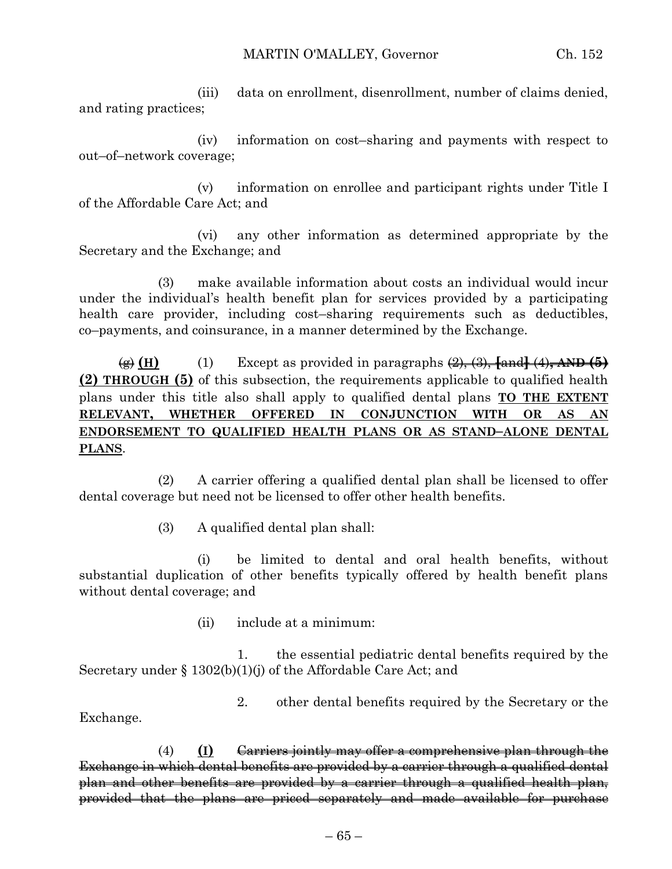(iii) data on enrollment, disenrollment, number of claims denied, and rating practices;

(iv) information on cost–sharing and payments with respect to out–of–network coverage;

(v) information on enrollee and participant rights under Title I of the Affordable Care Act; and

(vi) any other information as determined appropriate by the Secretary and the Exchange; and

(3) make available information about costs an individual would incur under the individual's health benefit plan for services provided by a participating health care provider, including cost–sharing requirements such as deductibles, co–payments, and coinsurance, in a manner determined by the Exchange.

 $\overline{\text{H}}$  (H) (1) Except as provided in paragraphs  $\overline{\text{H}}$ ,  $\overline{\text{H}}$ ,  $\overline{\text{H}}$  (4),  $\overline{\text{AND}}$  (5) **(2) THROUGH (5)** of this subsection, the requirements applicable to qualified health plans under this title also shall apply to qualified dental plans **TO THE EXTENT RELEVANT, WHETHER OFFERED IN CONJUNCTION WITH OR AS AN ENDORSEMENT TO QUALIFIED HEALTH PLANS OR AS STAND–ALONE DENTAL PLANS**.

(2) A carrier offering a qualified dental plan shall be licensed to offer dental coverage but need not be licensed to offer other health benefits.

(3) A qualified dental plan shall:

Exchange.

(i) be limited to dental and oral health benefits, without substantial duplication of other benefits typically offered by health benefit plans without dental coverage; and

(ii) include at a minimum:

1. the essential pediatric dental benefits required by the Secretary under § 1302(b)(1)(j) of the Affordable Care Act; and

2. other dental benefits required by the Secretary or the

(4) **(I)** Carriers jointly may offer a comprehensive plan through the Exchange in which dental benefits are provided by a carrier through a qualified dental plan and other benefits are provided by a carrier through a qualified health plan, provided that the plans are priced separately and made available for purchase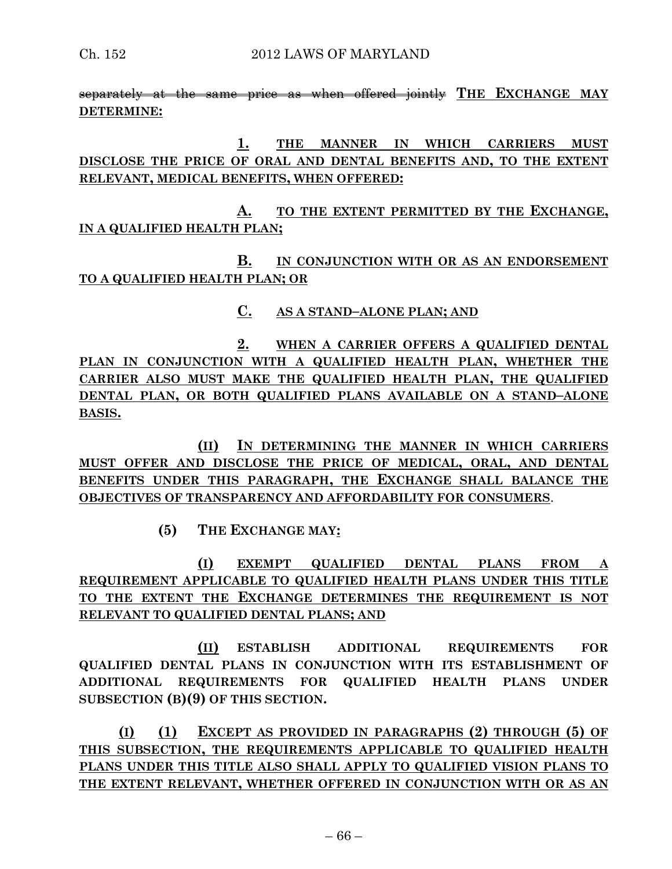separately at the same price as when offered jointly **THE EXCHANGE MAY DETERMINE:**

**1. THE MANNER IN WHICH CARRIERS MUST DISCLOSE THE PRICE OF ORAL AND DENTAL BENEFITS AND, TO THE EXTENT RELEVANT, MEDICAL BENEFITS, WHEN OFFERED:**

**A. TO THE EXTENT PERMITTED BY THE EXCHANGE, IN A QUALIFIED HEALTH PLAN;**

**B. IN CONJUNCTION WITH OR AS AN ENDORSEMENT TO A QUALIFIED HEALTH PLAN; OR**

**C. AS A STAND–ALONE PLAN; AND**

**2. WHEN A CARRIER OFFERS A QUALIFIED DENTAL PLAN IN CONJUNCTION WITH A QUALIFIED HEALTH PLAN, WHETHER THE CARRIER ALSO MUST MAKE THE QUALIFIED HEALTH PLAN, THE QUALIFIED DENTAL PLAN, OR BOTH QUALIFIED PLANS AVAILABLE ON A STAND–ALONE BASIS.**

**(II) IN DETERMINING THE MANNER IN WHICH CARRIERS MUST OFFER AND DISCLOSE THE PRICE OF MEDICAL, ORAL, AND DENTAL BENEFITS UNDER THIS PARAGRAPH, THE EXCHANGE SHALL BALANCE THE OBJECTIVES OF TRANSPARENCY AND AFFORDABILITY FOR CONSUMERS**.

**(5) THE EXCHANGE MAY:**

**(I) EXEMPT QUALIFIED DENTAL PLANS FROM A REQUIREMENT APPLICABLE TO QUALIFIED HEALTH PLANS UNDER THIS TITLE TO THE EXTENT THE EXCHANGE DETERMINES THE REQUIREMENT IS NOT RELEVANT TO QUALIFIED DENTAL PLANS; AND**

**(II) ESTABLISH ADDITIONAL REQUIREMENTS FOR QUALIFIED DENTAL PLANS IN CONJUNCTION WITH ITS ESTABLISHMENT OF ADDITIONAL REQUIREMENTS FOR QUALIFIED HEALTH PLANS UNDER SUBSECTION (B)(9) OF THIS SECTION.**

**(I) (1) EXCEPT AS PROVIDED IN PARAGRAPHS (2) THROUGH (5) OF THIS SUBSECTION, THE REQUIREMENTS APPLICABLE TO QUALIFIED HEALTH PLANS UNDER THIS TITLE ALSO SHALL APPLY TO QUALIFIED VISION PLANS TO THE EXTENT RELEVANT, WHETHER OFFERED IN CONJUNCTION WITH OR AS AN**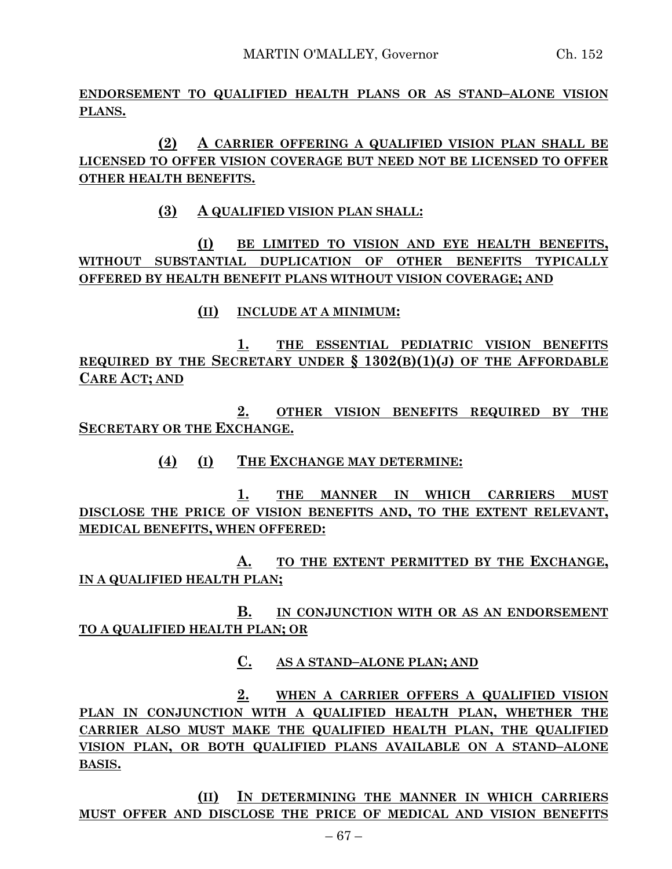**ENDORSEMENT TO QUALIFIED HEALTH PLANS OR AS STAND–ALONE VISION PLANS.**

**(2) A CARRIER OFFERING A QUALIFIED VISION PLAN SHALL BE LICENSED TO OFFER VISION COVERAGE BUT NEED NOT BE LICENSED TO OFFER OTHER HEALTH BENEFITS.**

**(3) A QUALIFIED VISION PLAN SHALL:**

**(I) BE LIMITED TO VISION AND EYE HEALTH BENEFITS, WITHOUT SUBSTANTIAL DUPLICATION OF OTHER BENEFITS TYPICALLY OFFERED BY HEALTH BENEFIT PLANS WITHOUT VISION COVERAGE; AND**

**(II) INCLUDE AT A MINIMUM:**

**1. THE ESSENTIAL PEDIATRIC VISION BENEFITS REQUIRED BY THE SECRETARY UNDER § 1302(B)(1)(J) OF THE AFFORDABLE CARE ACT; AND**

**2. OTHER VISION BENEFITS REQUIRED BY THE SECRETARY OR THE EXCHANGE.**

**(4) (I) THE EXCHANGE MAY DETERMINE:**

**1. THE MANNER IN WHICH CARRIERS MUST DISCLOSE THE PRICE OF VISION BENEFITS AND, TO THE EXTENT RELEVANT, MEDICAL BENEFITS, WHEN OFFERED:**

**A. TO THE EXTENT PERMITTED BY THE EXCHANGE, IN A QUALIFIED HEALTH PLAN;**

**B. IN CONJUNCTION WITH OR AS AN ENDORSEMENT TO A QUALIFIED HEALTH PLAN; OR**

**C. AS A STAND–ALONE PLAN; AND**

**2. WHEN A CARRIER OFFERS A QUALIFIED VISION PLAN IN CONJUNCTION WITH A QUALIFIED HEALTH PLAN, WHETHER THE CARRIER ALSO MUST MAKE THE QUALIFIED HEALTH PLAN, THE QUALIFIED VISION PLAN, OR BOTH QUALIFIED PLANS AVAILABLE ON A STAND–ALONE BASIS.**

**(II) IN DETERMINING THE MANNER IN WHICH CARRIERS MUST OFFER AND DISCLOSE THE PRICE OF MEDICAL AND VISION BENEFITS**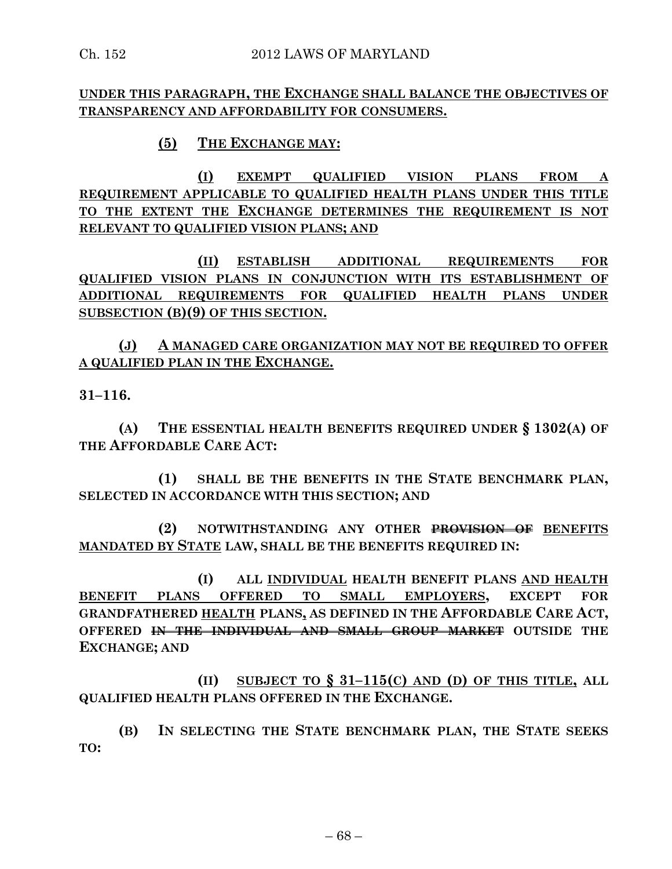#### **UNDER THIS PARAGRAPH, THE EXCHANGE SHALL BALANCE THE OBJECTIVES OF TRANSPARENCY AND AFFORDABILITY FOR CONSUMERS.**

# **(5) THE EXCHANGE MAY:**

**(I) EXEMPT QUALIFIED VISION PLANS FROM A REQUIREMENT APPLICABLE TO QUALIFIED HEALTH PLANS UNDER THIS TITLE TO THE EXTENT THE EXCHANGE DETERMINES THE REQUIREMENT IS NOT RELEVANT TO QUALIFIED VISION PLANS; AND**

**(II) ESTABLISH ADDITIONAL REQUIREMENTS FOR QUALIFIED VISION PLANS IN CONJUNCTION WITH ITS ESTABLISHMENT OF ADDITIONAL REQUIREMENTS FOR QUALIFIED HEALTH PLANS UNDER SUBSECTION (B)(9) OF THIS SECTION.**

**(J) A MANAGED CARE ORGANIZATION MAY NOT BE REQUIRED TO OFFER A QUALIFIED PLAN IN THE EXCHANGE.**

**31–116.**

**(A) THE ESSENTIAL HEALTH BENEFITS REQUIRED UNDER § 1302(A) OF THE AFFORDABLE CARE ACT:**

**(1) SHALL BE THE BENEFITS IN THE STATE BENCHMARK PLAN, SELECTED IN ACCORDANCE WITH THIS SECTION; AND** 

**(2) NOTWITHSTANDING ANY OTHER PROVISION OF BENEFITS MANDATED BY STATE LAW, SHALL BE THE BENEFITS REQUIRED IN:**

**(I) ALL INDIVIDUAL HEALTH BENEFIT PLANS AND HEALTH BENEFIT PLANS OFFERED TO SMALL EMPLOYERS, EXCEPT FOR GRANDFATHERED HEALTH PLANS, AS DEFINED IN THE AFFORDABLE CARE ACT, OFFERED IN THE INDIVIDUAL AND SMALL GROUP MARKET OUTSIDE THE EXCHANGE; AND** 

**(II) SUBJECT TO § 31–115(C) AND (D) OF THIS TITLE, ALL QUALIFIED HEALTH PLANS OFFERED IN THE EXCHANGE.**

**(B) IN SELECTING THE STATE BENCHMARK PLAN, THE STATE SEEKS TO:**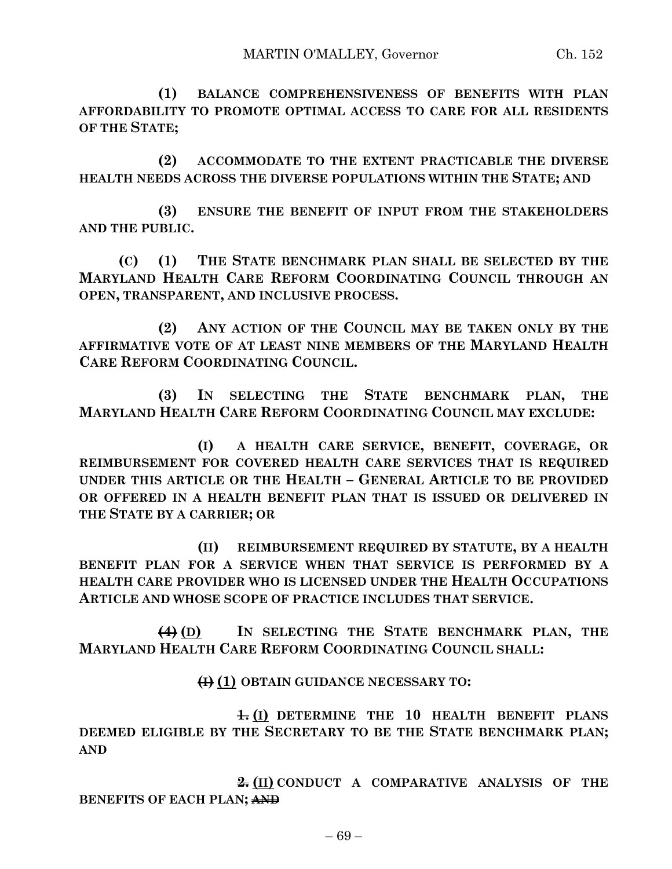**(2) ACCOMMODATE TO THE EXTENT PRACTICABLE THE DIVERSE HEALTH NEEDS ACROSS THE DIVERSE POPULATIONS WITHIN THE STATE; AND**

**(3) ENSURE THE BENEFIT OF INPUT FROM THE STAKEHOLDERS AND THE PUBLIC.**

**(C) (1) THE STATE BENCHMARK PLAN SHALL BE SELECTED BY THE MARYLAND HEALTH CARE REFORM COORDINATING COUNCIL THROUGH AN OPEN, TRANSPARENT, AND INCLUSIVE PROCESS.**

**(2) ANY ACTION OF THE COUNCIL MAY BE TAKEN ONLY BY THE AFFIRMATIVE VOTE OF AT LEAST NINE MEMBERS OF THE MARYLAND HEALTH CARE REFORM COORDINATING COUNCIL.**

**(3) IN SELECTING THE STATE BENCHMARK PLAN, THE MARYLAND HEALTH CARE REFORM COORDINATING COUNCIL MAY EXCLUDE:**

**(I) A HEALTH CARE SERVICE, BENEFIT, COVERAGE, OR REIMBURSEMENT FOR COVERED HEALTH CARE SERVICES THAT IS REQUIRED UNDER THIS ARTICLE OR THE HEALTH – GENERAL ARTICLE TO BE PROVIDED OR OFFERED IN A HEALTH BENEFIT PLAN THAT IS ISSUED OR DELIVERED IN THE STATE BY A CARRIER; OR**

**(II) REIMBURSEMENT REQUIRED BY STATUTE, BY A HEALTH BENEFIT PLAN FOR A SERVICE WHEN THAT SERVICE IS PERFORMED BY A HEALTH CARE PROVIDER WHO IS LICENSED UNDER THE HEALTH OCCUPATIONS ARTICLE AND WHOSE SCOPE OF PRACTICE INCLUDES THAT SERVICE.**

**(4) (D) IN SELECTING THE STATE BENCHMARK PLAN, THE MARYLAND HEALTH CARE REFORM COORDINATING COUNCIL SHALL:**

# **(I) (1) OBTAIN GUIDANCE NECESSARY TO:**

**1. (I) DETERMINE THE 10 HEALTH BENEFIT PLANS DEEMED ELIGIBLE BY THE SECRETARY TO BE THE STATE BENCHMARK PLAN; AND**

**2. (II) CONDUCT A COMPARATIVE ANALYSIS OF THE BENEFITS OF EACH PLAN; AND**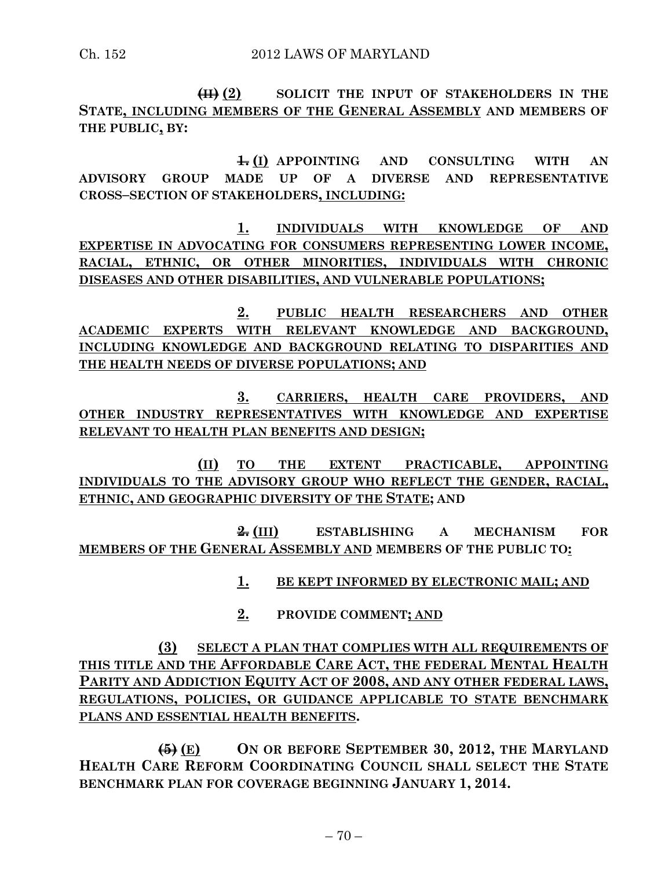**(II) (2) SOLICIT THE INPUT OF STAKEHOLDERS IN THE STATE, INCLUDING MEMBERS OF THE GENERAL ASSEMBLY AND MEMBERS OF THE PUBLIC, BY:**

**1. (I) APPOINTING AND CONSULTING WITH AN ADVISORY GROUP MADE UP OF A DIVERSE AND REPRESENTATIVE CROSS–SECTION OF STAKEHOLDERS, INCLUDING:**

**1. INDIVIDUALS WITH KNOWLEDGE OF AND EXPERTISE IN ADVOCATING FOR CONSUMERS REPRESENTING LOWER INCOME, RACIAL, ETHNIC, OR OTHER MINORITIES, INDIVIDUALS WITH CHRONIC DISEASES AND OTHER DISABILITIES, AND VULNERABLE POPULATIONS;**

**2. PUBLIC HEALTH RESEARCHERS AND OTHER ACADEMIC EXPERTS WITH RELEVANT KNOWLEDGE AND BACKGROUND, INCLUDING KNOWLEDGE AND BACKGROUND RELATING TO DISPARITIES AND THE HEALTH NEEDS OF DIVERSE POPULATIONS; AND**

**3. CARRIERS, HEALTH CARE PROVIDERS, AND OTHER INDUSTRY REPRESENTATIVES WITH KNOWLEDGE AND EXPERTISE RELEVANT TO HEALTH PLAN BENEFITS AND DESIGN;**

**(II) TO THE EXTENT PRACTICABLE, APPOINTING INDIVIDUALS TO THE ADVISORY GROUP WHO REFLECT THE GENDER, RACIAL, ETHNIC, AND GEOGRAPHIC DIVERSITY OF THE STATE; AND**

**2. (III) ESTABLISHING A MECHANISM FOR MEMBERS OF THE GENERAL ASSEMBLY AND MEMBERS OF THE PUBLIC TO:**

**1. BE KEPT INFORMED BY ELECTRONIC MAIL; AND**

**2. PROVIDE COMMENT; AND**

**(3) SELECT A PLAN THAT COMPLIES WITH ALL REQUIREMENTS OF THIS TITLE AND THE AFFORDABLE CARE ACT, THE FEDERAL MENTAL HEALTH PARITY AND ADDICTION EQUITY ACT OF 2008, AND ANY OTHER FEDERAL LAWS, REGULATIONS, POLICIES, OR GUIDANCE APPLICABLE TO STATE BENCHMARK PLANS AND ESSENTIAL HEALTH BENEFITS.**

**(5) (E) ON OR BEFORE SEPTEMBER 30, 2012, THE MARYLAND HEALTH CARE REFORM COORDINATING COUNCIL SHALL SELECT THE STATE BENCHMARK PLAN FOR COVERAGE BEGINNING JANUARY 1, 2014.**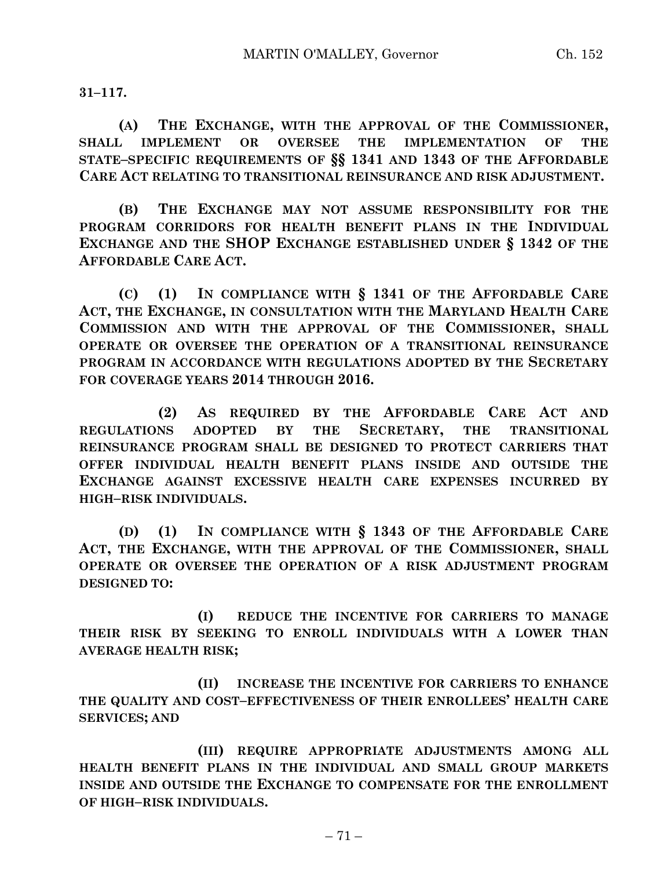**31–117.**

**(A) THE EXCHANGE, WITH THE APPROVAL OF THE COMMISSIONER, SHALL IMPLEMENT OR OVERSEE THE IMPLEMENTATION OF THE STATE–SPECIFIC REQUIREMENTS OF §§ 1341 AND 1343 OF THE AFFORDABLE CARE ACT RELATING TO TRANSITIONAL REINSURANCE AND RISK ADJUSTMENT.**

**(B) THE EXCHANGE MAY NOT ASSUME RESPONSIBILITY FOR THE PROGRAM CORRIDORS FOR HEALTH BENEFIT PLANS IN THE INDIVIDUAL EXCHANGE AND THE SHOP EXCHANGE ESTABLISHED UNDER § 1342 OF THE AFFORDABLE CARE ACT.**

**(C) (1) IN COMPLIANCE WITH § 1341 OF THE AFFORDABLE CARE ACT, THE EXCHANGE, IN CONSULTATION WITH THE MARYLAND HEALTH CARE COMMISSION AND WITH THE APPROVAL OF THE COMMISSIONER, SHALL OPERATE OR OVERSEE THE OPERATION OF A TRANSITIONAL REINSURANCE PROGRAM IN ACCORDANCE WITH REGULATIONS ADOPTED BY THE SECRETARY FOR COVERAGE YEARS 2014 THROUGH 2016.**

**(2) AS REQUIRED BY THE AFFORDABLE CARE ACT AND REGULATIONS ADOPTED BY THE SECRETARY, THE TRANSITIONAL REINSURANCE PROGRAM SHALL BE DESIGNED TO PROTECT CARRIERS THAT OFFER INDIVIDUAL HEALTH BENEFIT PLANS INSIDE AND OUTSIDE THE EXCHANGE AGAINST EXCESSIVE HEALTH CARE EXPENSES INCURRED BY HIGH–RISK INDIVIDUALS.**

**(D) (1) IN COMPLIANCE WITH § 1343 OF THE AFFORDABLE CARE ACT, THE EXCHANGE, WITH THE APPROVAL OF THE COMMISSIONER, SHALL OPERATE OR OVERSEE THE OPERATION OF A RISK ADJUSTMENT PROGRAM DESIGNED TO:**

**(I) REDUCE THE INCENTIVE FOR CARRIERS TO MANAGE THEIR RISK BY SEEKING TO ENROLL INDIVIDUALS WITH A LOWER THAN AVERAGE HEALTH RISK;**

**(II) INCREASE THE INCENTIVE FOR CARRIERS TO ENHANCE THE QUALITY AND COST–EFFECTIVENESS OF THEIR ENROLLEES' HEALTH CARE SERVICES; AND**

**(III) REQUIRE APPROPRIATE ADJUSTMENTS AMONG ALL HEALTH BENEFIT PLANS IN THE INDIVIDUAL AND SMALL GROUP MARKETS INSIDE AND OUTSIDE THE EXCHANGE TO COMPENSATE FOR THE ENROLLMENT OF HIGH–RISK INDIVIDUALS.**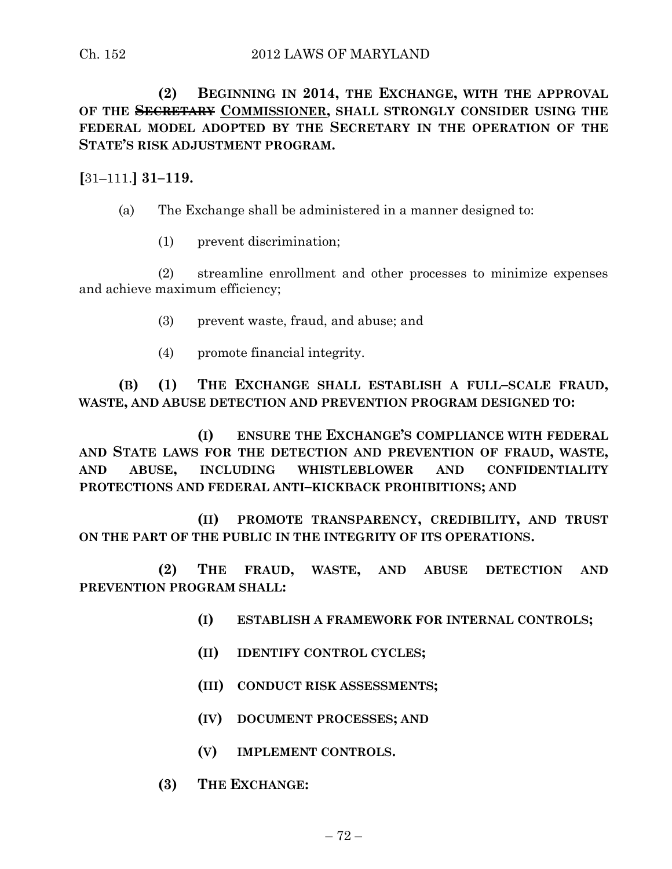**(2) BEGINNING IN 2014, THE EXCHANGE, WITH THE APPROVAL OF THE SECRETARY COMMISSIONER, SHALL STRONGLY CONSIDER USING THE FEDERAL MODEL ADOPTED BY THE SECRETARY IN THE OPERATION OF THE STATE'S RISK ADJUSTMENT PROGRAM.**

**[**31–111.**] 31–119.**

(a) The Exchange shall be administered in a manner designed to:

(1) prevent discrimination;

(2) streamline enrollment and other processes to minimize expenses and achieve maximum efficiency;

- (3) prevent waste, fraud, and abuse; and
- (4) promote financial integrity.

**(B) (1) THE EXCHANGE SHALL ESTABLISH A FULL–SCALE FRAUD, WASTE, AND ABUSE DETECTION AND PREVENTION PROGRAM DESIGNED TO:**

**(I) ENSURE THE EXCHANGE'S COMPLIANCE WITH FEDERAL AND STATE LAWS FOR THE DETECTION AND PREVENTION OF FRAUD, WASTE, AND ABUSE, INCLUDING WHISTLEBLOWER AND CONFIDENTIALITY PROTECTIONS AND FEDERAL ANTI–KICKBACK PROHIBITIONS; AND**

**(II) PROMOTE TRANSPARENCY, CREDIBILITY, AND TRUST ON THE PART OF THE PUBLIC IN THE INTEGRITY OF ITS OPERATIONS.**

**(2) THE FRAUD, WASTE, AND ABUSE DETECTION AND PREVENTION PROGRAM SHALL:**

- **(I) ESTABLISH A FRAMEWORK FOR INTERNAL CONTROLS;**
- **(II) IDENTIFY CONTROL CYCLES;**
- **(III) CONDUCT RISK ASSESSMENTS;**
- **(IV) DOCUMENT PROCESSES; AND**
- **(V) IMPLEMENT CONTROLS.**
- **(3) THE EXCHANGE:**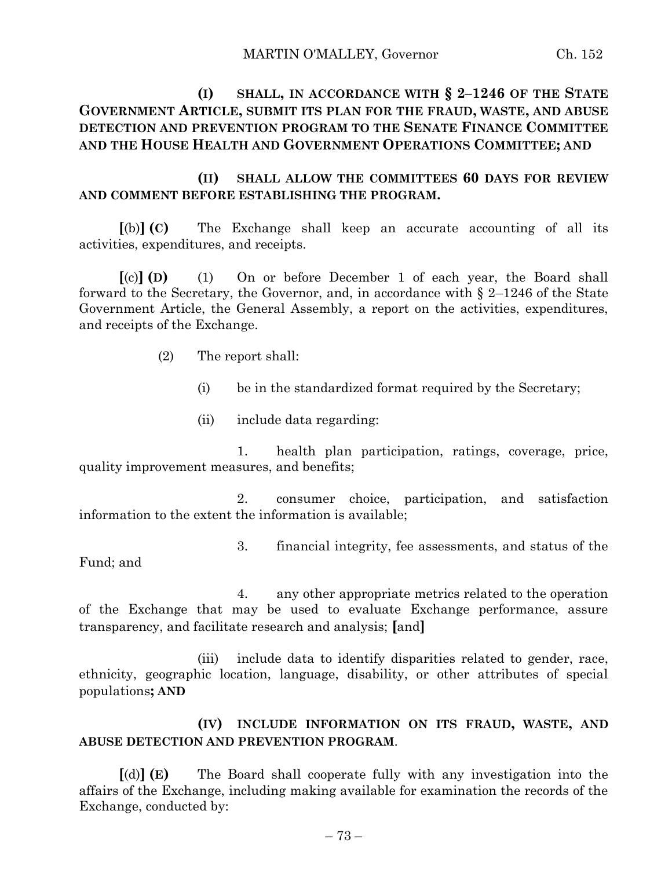# **(I) SHALL, IN ACCORDANCE WITH § 2–1246 OF THE STATE GOVERNMENT ARTICLE, SUBMIT ITS PLAN FOR THE FRAUD, WASTE, AND ABUSE DETECTION AND PREVENTION PROGRAM TO THE SENATE FINANCE COMMITTEE AND THE HOUSE HEALTH AND GOVERNMENT OPERATIONS COMMITTEE; AND**

### **(II) SHALL ALLOW THE COMMITTEES 60 DAYS FOR REVIEW AND COMMENT BEFORE ESTABLISHING THE PROGRAM.**

**[**(b)**] (C)** The Exchange shall keep an accurate accounting of all its activities, expenditures, and receipts.

**[**(c)**] (D)** (1) On or before December 1 of each year, the Board shall forward to the Secretary, the Governor, and, in accordance with § 2–1246 of the State Government Article, the General Assembly, a report on the activities, expenditures, and receipts of the Exchange.

- (2) The report shall:
	- (i) be in the standardized format required by the Secretary;
	- (ii) include data regarding:

1. health plan participation, ratings, coverage, price, quality improvement measures, and benefits;

2. consumer choice, participation, and satisfaction information to the extent the information is available;

3. financial integrity, fee assessments, and status of the

Fund; and

4. any other appropriate metrics related to the operation of the Exchange that may be used to evaluate Exchange performance, assure transparency, and facilitate research and analysis; **[**and**]**

(iii) include data to identify disparities related to gender, race, ethnicity, geographic location, language, disability, or other attributes of special populations**; AND**

### **(IV) INCLUDE INFORMATION ON ITS FRAUD, WASTE, AND ABUSE DETECTION AND PREVENTION PROGRAM**.

**[**(d)**] (E)** The Board shall cooperate fully with any investigation into the affairs of the Exchange, including making available for examination the records of the Exchange, conducted by: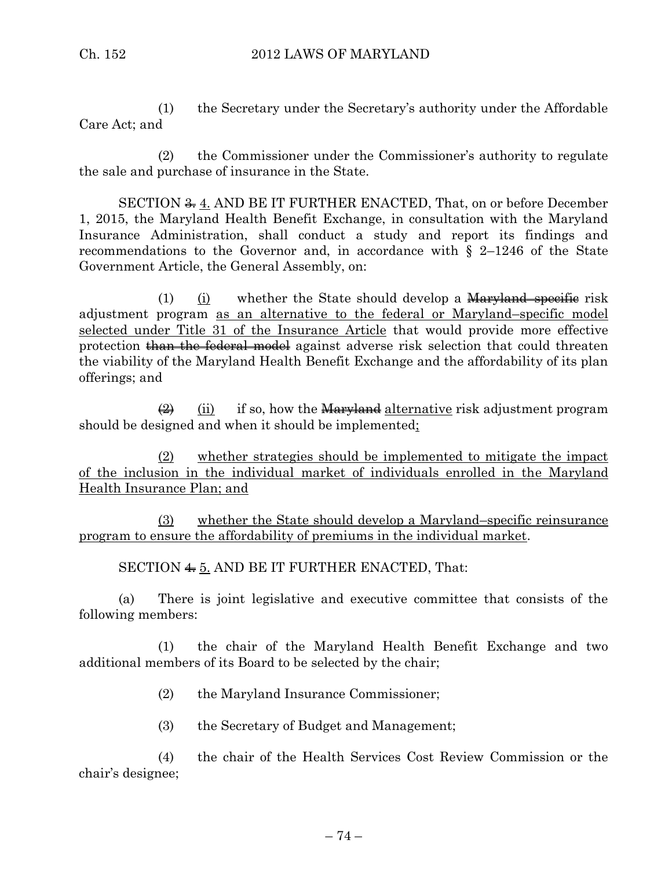(1) the Secretary under the Secretary's authority under the Affordable Care Act; and

(2) the Commissioner under the Commissioner's authority to regulate the sale and purchase of insurance in the State.

SECTION <del>3.</del> 4. AND BE IT FURTHER ENACTED, That, on or before December 1, 2015, the Maryland Health Benefit Exchange, in consultation with the Maryland Insurance Administration, shall conduct a study and report its findings and recommendations to the Governor and, in accordance with  $\S$  2–1246 of the State Government Article, the General Assembly, on:

(1) (i) whether the State should develop a  $Maryland-specific risk$ adjustment program as an alternative to the federal or Maryland–specific model selected under Title 31 of the Insurance Article that would provide more effective protection than the federal model against adverse risk selection that could threaten the viability of the Maryland Health Benefit Exchange and the affordability of its plan offerings; and

 $\frac{1}{2}$  (ii) if so, how the Maryland alternative risk adjustment program should be designed and when it should be implemented;

(2) whether strategies should be implemented to mitigate the impact of the inclusion in the individual market of individuals enrolled in the Maryland Health Insurance Plan; and

(3) whether the State should develop a Maryland–specific reinsurance program to ensure the affordability of premiums in the individual market.

SECTION  $4.5$ . AND BE IT FURTHER ENACTED, That:

(a) There is joint legislative and executive committee that consists of the following members:

(1) the chair of the Maryland Health Benefit Exchange and two additional members of its Board to be selected by the chair;

- (2) the Maryland Insurance Commissioner;
- (3) the Secretary of Budget and Management;

(4) the chair of the Health Services Cost Review Commission or the chair's designee;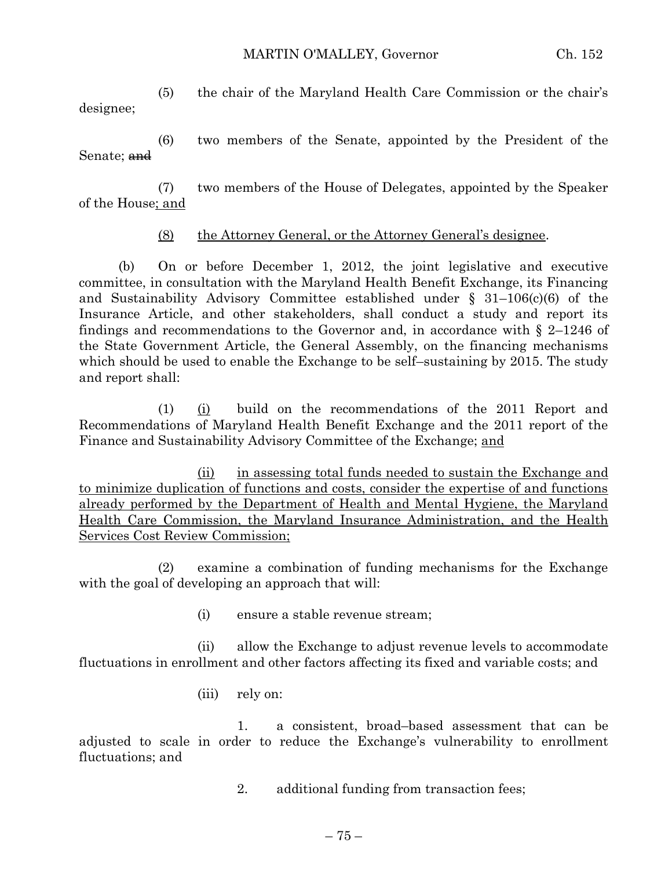#### MARTIN O'MALLEY, Governor Ch. 152

(5) the chair of the Maryland Health Care Commission or the chair's designee;

(6) two members of the Senate, appointed by the President of the Senate; <del>and</del>

(7) two members of the House of Delegates, appointed by the Speaker of the House; and

### (8) the Attorney General, or the Attorney General's designee.

(b) On or before December 1, 2012, the joint legislative and executive committee, in consultation with the Maryland Health Benefit Exchange, its Financing and Sustainability Advisory Committee established under § 31–106(c)(6) of the Insurance Article, and other stakeholders, shall conduct a study and report its findings and recommendations to the Governor and, in accordance with  $\S$  2–1246 of the State Government Article, the General Assembly, on the financing mechanisms which should be used to enable the Exchange to be self–sustaining by 2015. The study and report shall:

 $(1)$   $(i)$  build on the recommendations of the 2011 Report and Recommendations of Maryland Health Benefit Exchange and the 2011 report of the Finance and Sustainability Advisory Committee of the Exchange; and

(ii) in assessing total funds needed to sustain the Exchange and to minimize duplication of functions and costs, consider the expertise of and functions already performed by the Department of Health and Mental Hygiene, the Maryland Health Care Commission, the Maryland Insurance Administration, and the Health Services Cost Review Commission;

(2) examine a combination of funding mechanisms for the Exchange with the goal of developing an approach that will:

(i) ensure a stable revenue stream;

(ii) allow the Exchange to adjust revenue levels to accommodate fluctuations in enrollment and other factors affecting its fixed and variable costs; and

(iii) rely on:

1. a consistent, broad–based assessment that can be adjusted to scale in order to reduce the Exchange's vulnerability to enrollment fluctuations; and

2. additional funding from transaction fees;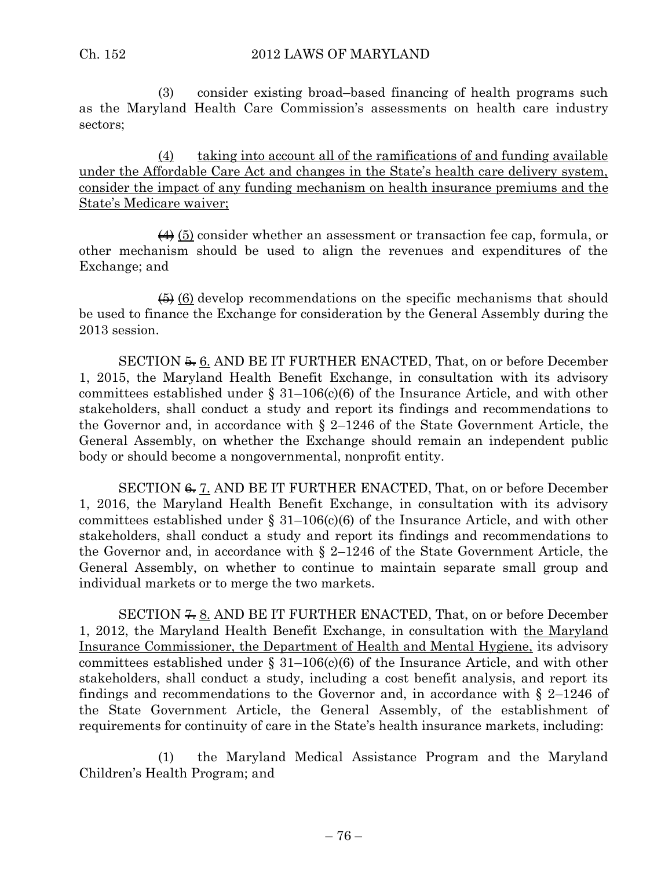(3) consider existing broad–based financing of health programs such as the Maryland Health Care Commission's assessments on health care industry sectors;

 $(4)$  taking into account all of the ramifications of and funding available under the Affordable Care Act and changes in the State's health care delivery system, consider the impact of any funding mechanism on health insurance premiums and the State's Medicare waiver;

 $(4)$  (5) consider whether an assessment or transaction fee cap, formula, or other mechanism should be used to align the revenues and expenditures of the Exchange; and

 $\left(\frac{1}{2}\right)$  (6) develop recommendations on the specific mechanisms that should be used to finance the Exchange for consideration by the General Assembly during the 2013 session.

SECTION  $\frac{5}{2}$ . AND BE IT FURTHER ENACTED, That, on or before December 1, 2015, the Maryland Health Benefit Exchange, in consultation with its advisory committees established under  $\S$  31–106(c)(6) of the Insurance Article, and with other stakeholders, shall conduct a study and report its findings and recommendations to the Governor and, in accordance with  $\S$  2–1246 of the State Government Article, the General Assembly, on whether the Exchange should remain an independent public body or should become a nongovernmental, nonprofit entity.

SECTION <del>6.</del> 7. AND BE IT FURTHER ENACTED, That, on or before December 1, 2016, the Maryland Health Benefit Exchange, in consultation with its advisory committees established under  $\S$  31–106(c)(6) of the Insurance Article, and with other stakeholders, shall conduct a study and report its findings and recommendations to the Governor and, in accordance with  $\S$  2–1246 of the State Government Article, the General Assembly, on whether to continue to maintain separate small group and individual markets or to merge the two markets.

SECTION  $\frac{2}{\sqrt{5}}$ . AND BE IT FURTHER ENACTED, That, on or before December 1, 2012, the Maryland Health Benefit Exchange, in consultation with the Maryland Insurance Commissioner, the Department of Health and Mental Hygiene, its advisory committees established under  $\S$  31–106(c)(6) of the Insurance Article, and with other stakeholders, shall conduct a study, including a cost benefit analysis, and report its findings and recommendations to the Governor and, in accordance with  $\S$  2–1246 of the State Government Article, the General Assembly, of the establishment of requirements for continuity of care in the State's health insurance markets, including:

(1) the Maryland Medical Assistance Program and the Maryland Children's Health Program; and